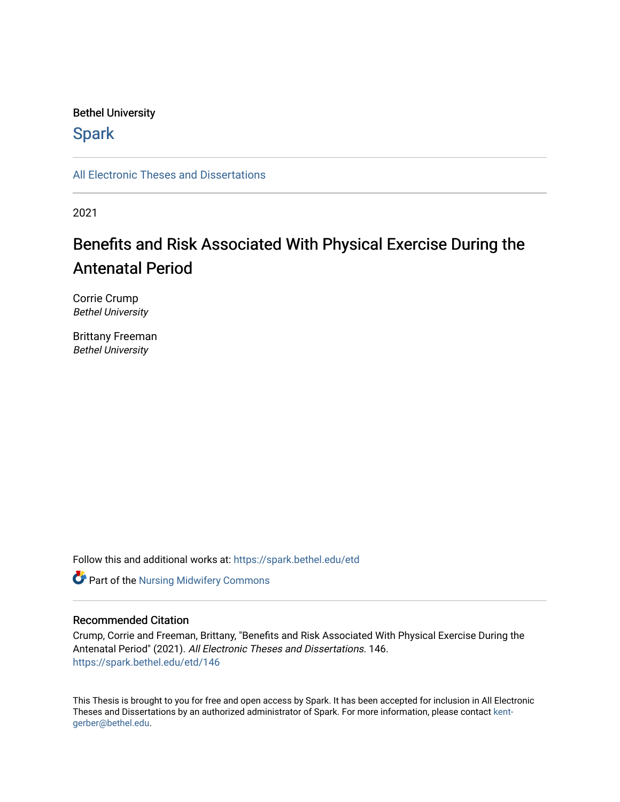# Bethel University

# **Spark**

[All Electronic Theses and Dissertations](https://spark.bethel.edu/etd) 

2021

# Benefits and Risk Associated With Physical Exercise During the Antenatal Period

Corrie Crump Bethel University

Brittany Freeman Bethel University

Follow this and additional works at: [https://spark.bethel.edu/etd](https://spark.bethel.edu/etd?utm_source=spark.bethel.edu%2Fetd%2F146&utm_medium=PDF&utm_campaign=PDFCoverPages)

**Part of the Nursing Midwifery Commons** 

#### Recommended Citation

Crump, Corrie and Freeman, Brittany, "Benefits and Risk Associated With Physical Exercise During the Antenatal Period" (2021). All Electronic Theses and Dissertations. 146. [https://spark.bethel.edu/etd/146](https://spark.bethel.edu/etd/146?utm_source=spark.bethel.edu%2Fetd%2F146&utm_medium=PDF&utm_campaign=PDFCoverPages)

This Thesis is brought to you for free and open access by Spark. It has been accepted for inclusion in All Electronic Theses and Dissertations by an authorized administrator of Spark. For more information, please contact [kent](mailto:kent-gerber@bethel.edu)[gerber@bethel.edu.](mailto:kent-gerber@bethel.edu)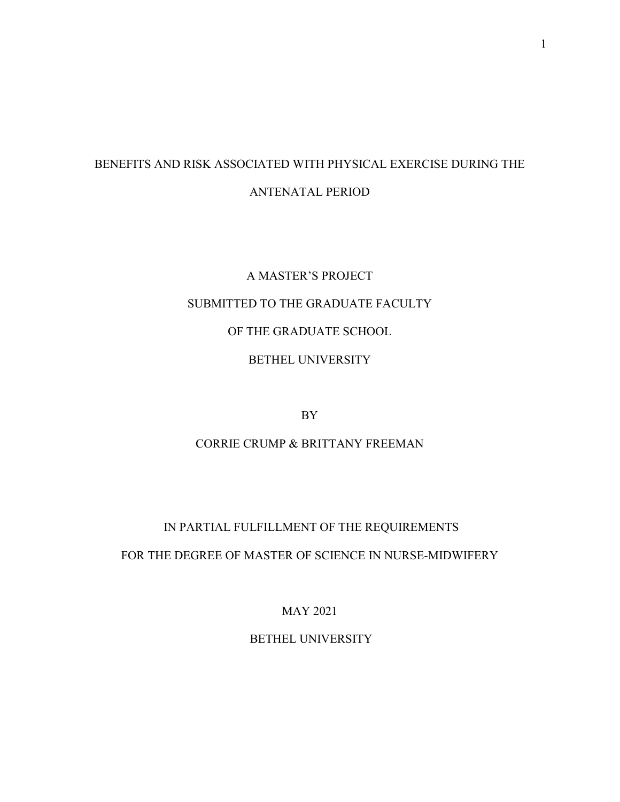# BENEFITS AND RISK ASSOCIATED WITH PHYSICAL EXERCISE DURING THE ANTENATAL PERIOD

# A MASTER'S PROJECT SUBMITTED TO THE GRADUATE FACULTY OF THE GRADUATE SCHOOL BETHEL UNIVERSITY

BY

# CORRIE CRUMP & BRITTANY FREEMAN

# IN PARTIAL FULFILLMENT OF THE REQUIREMENTS

## FOR THE DEGREE OF MASTER OF SCIENCE IN NURSE-MIDWIFERY

MAY 2021

BETHEL UNIVERSITY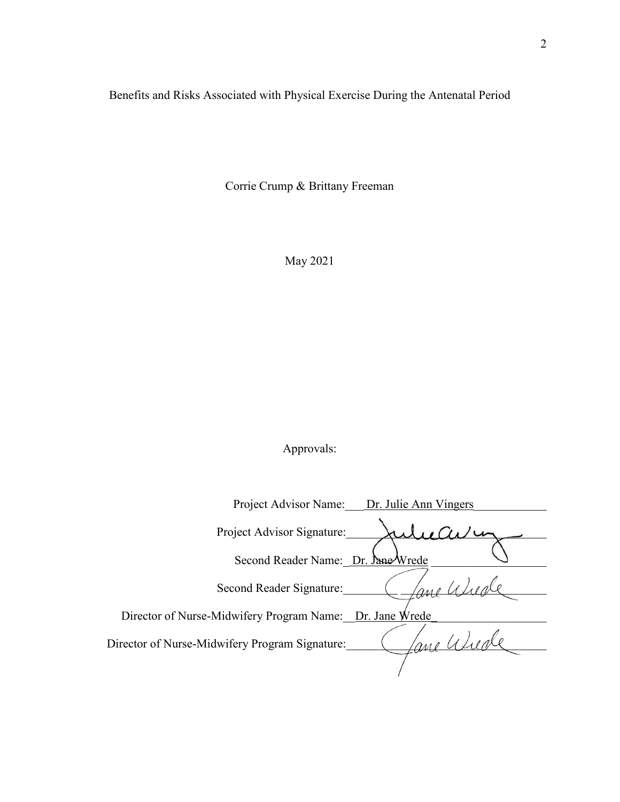Benefits and Risks Associated with Physical Exercise During the Antenatal Period

Corrie Crump & Brittany Freeman

May 2021

Approvals:

| Project Advisor Name:<br>Dr. Julie Ann Vingers              |
|-------------------------------------------------------------|
| Project Advisor Signature:                                  |
| Second Reader Name: Dr. Jane Wrede                          |
| Second Reader Signature:                                    |
| Director of Nurse-Midwifery Program Name:<br>Dr. Jane Wrede |
| Director of Nurse-Midwifery Program Signature:<br>$2\mu$    |
|                                                             |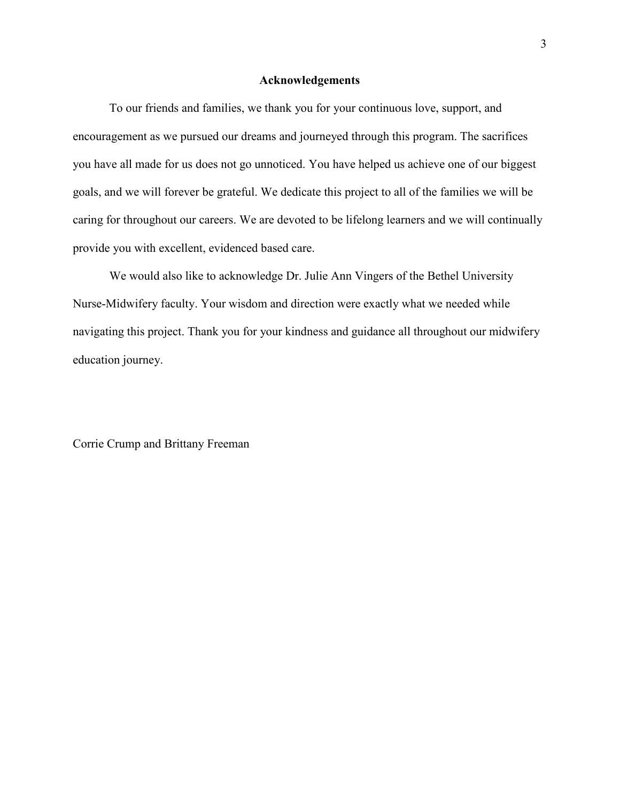#### **Acknowledgements**

 To our friends and families, we thank you for your continuous love, support, and encouragement as we pursued our dreams and journeyed through this program. The sacrifices you have all made for us does not go unnoticed. You have helped us achieve one of our biggest goals, and we will forever be grateful. We dedicate this project to all of the families we will be caring for throughout our careers. We are devoted to be lifelong learners and we will continually provide you with excellent, evidenced based care.

We would also like to acknowledge Dr. Julie Ann Vingers of the Bethel University Nurse-Midwifery faculty. Your wisdom and direction were exactly what we needed while navigating this project. Thank you for your kindness and guidance all throughout our midwifery education journey.

Corrie Crump and Brittany Freeman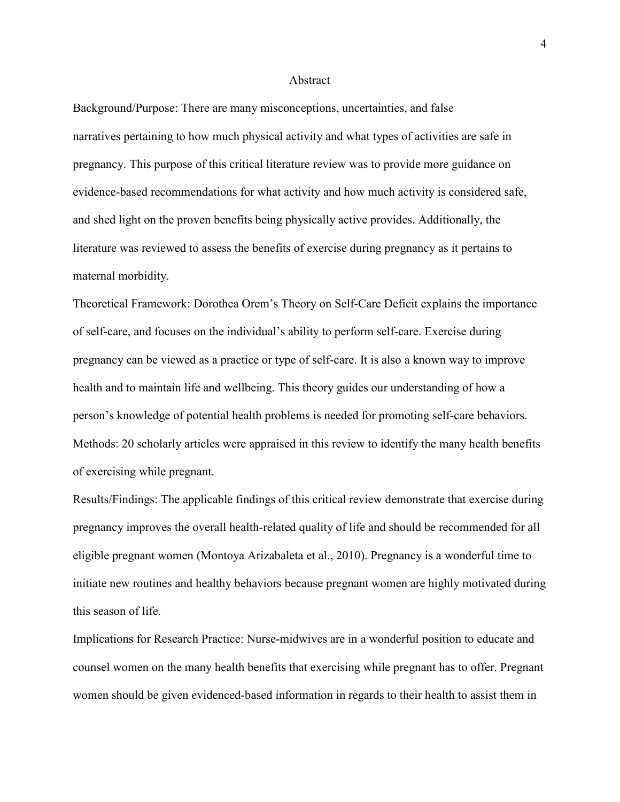#### Abstract

Background/Purpose: There are many misconceptions, uncertainties, and false narratives pertaining to how much physical activity and what types of activities are safe in pregnancy. This purpose of this critical literature review was to provide more guidance on evidence-based recommendations for what activity and how much activity is considered safe, and shed light on the proven benefits being physically active provides. Additionally, the literature was reviewed to assess the benefits of exercise during pregnancy as it pertains to maternal morbidity.

Theoretical Framework: Dorothea Orem's Theory on Self-Care Deficit explains the importance of self-care, and focuses on the individual's ability to perform self-care. Exercise during pregnancy can be viewed as a practice or type of self-care. It is also a known way to improve health and to maintain life and wellbeing. This theory guides our understanding of how a person's knowledge of potential health problems is needed for promoting self-care behaviors. Methods: 20 scholarly articles were appraised in this review to identify the many health benefits of exercising while pregnant.

Results/Findings: The applicable findings of this critical review demonstrate that exercise during pregnancy improves the overall health-related quality of life and should be recommended for all eligible pregnant women (Montoya Arizabaleta et al., 2010). Pregnancy is a wonderful time to initiate new routines and healthy behaviors because pregnant women are highly motivated during this season of life.

Implications for Research Practice: Nurse-midwives are in a wonderful position to educate and counsel women on the many health benefits that exercising while pregnant has to offer. Pregnant women should be given evidenced-based information in regards to their health to assist them in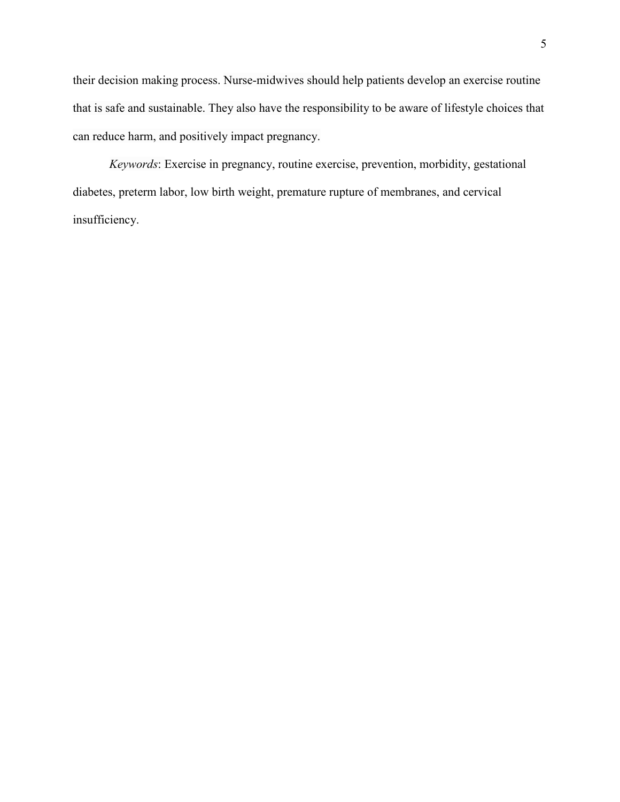their decision making process. Nurse-midwives should help patients develop an exercise routine that is safe and sustainable. They also have the responsibility to be aware of lifestyle choices that can reduce harm, and positively impact pregnancy.

*Keywords*: Exercise in pregnancy, routine exercise, prevention, morbidity, gestational diabetes, preterm labor, low birth weight, premature rupture of membranes, and cervical insufficiency.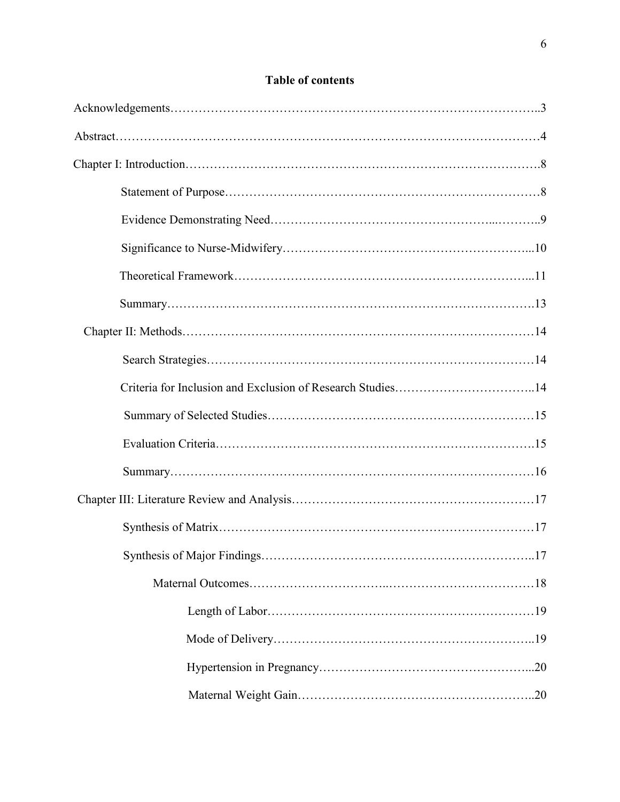# **Table of contents**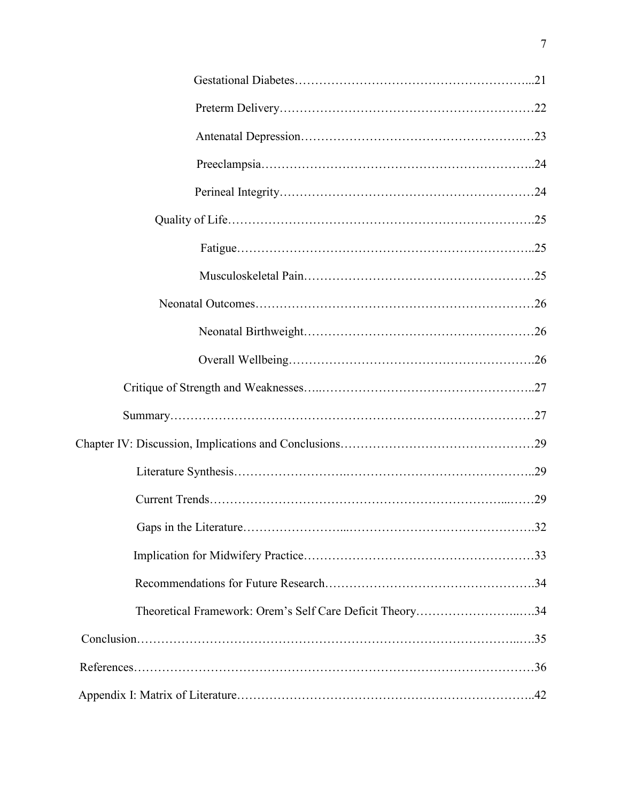| Theoretical Framework: Orem's Self Care Deficit Theory34 |
|----------------------------------------------------------|
|                                                          |
|                                                          |
|                                                          |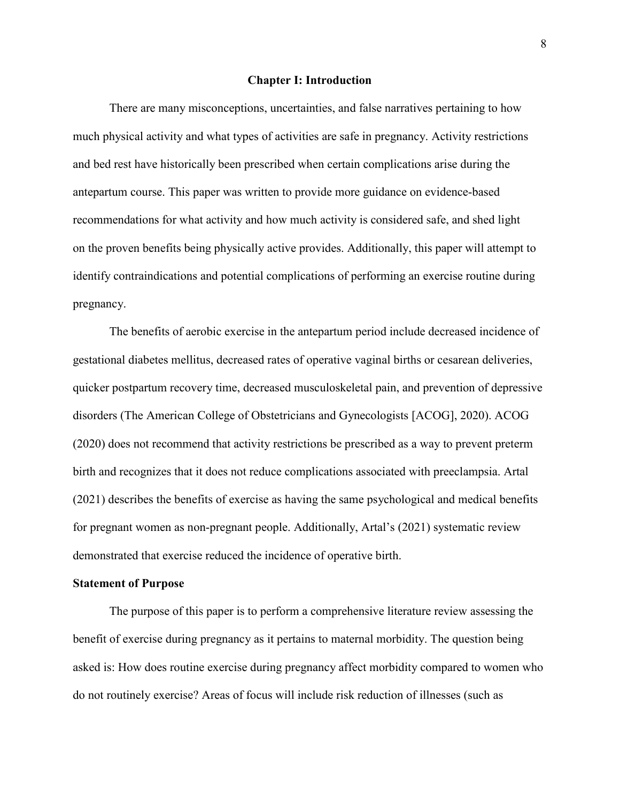#### **Chapter I: Introduction**

There are many misconceptions, uncertainties, and false narratives pertaining to how much physical activity and what types of activities are safe in pregnancy. Activity restrictions and bed rest have historically been prescribed when certain complications arise during the antepartum course. This paper was written to provide more guidance on evidence-based recommendations for what activity and how much activity is considered safe, and shed light on the proven benefits being physically active provides. Additionally, this paper will attempt to identify contraindications and potential complications of performing an exercise routine during pregnancy.

The benefits of aerobic exercise in the antepartum period include decreased incidence of gestational diabetes mellitus, decreased rates of operative vaginal births or cesarean deliveries, quicker postpartum recovery time, decreased musculoskeletal pain, and prevention of depressive disorders (The American College of Obstetricians and Gynecologists [ACOG], 2020). ACOG (2020) does not recommend that activity restrictions be prescribed as a way to prevent preterm birth and recognizes that it does not reduce complications associated with preeclampsia. Artal (2021) describes the benefits of exercise as having the same psychological and medical benefits for pregnant women as non-pregnant people. Additionally, Artal's (2021) systematic review demonstrated that exercise reduced the incidence of operative birth.

#### **Statement of Purpose**

The purpose of this paper is to perform a comprehensive literature review assessing the benefit of exercise during pregnancy as it pertains to maternal morbidity. The question being asked is: How does routine exercise during pregnancy affect morbidity compared to women who do not routinely exercise? Areas of focus will include risk reduction of illnesses (such as

8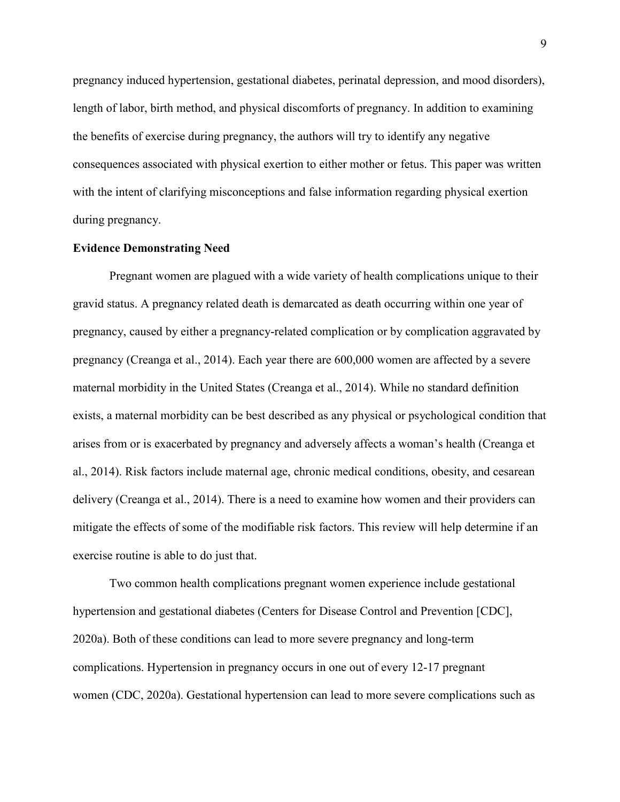pregnancy induced hypertension, gestational diabetes, perinatal depression, and mood disorders), length of labor, birth method, and physical discomforts of pregnancy. In addition to examining the benefits of exercise during pregnancy, the authors will try to identify any negative consequences associated with physical exertion to either mother or fetus. This paper was written with the intent of clarifying misconceptions and false information regarding physical exertion during pregnancy.

#### **Evidence Demonstrating Need**

Pregnant women are plagued with a wide variety of health complications unique to their gravid status. A pregnancy related death is demarcated as death occurring within one year of pregnancy, caused by either a pregnancy-related complication or by complication aggravated by pregnancy (Creanga et al., 2014). Each year there are 600,000 women are affected by a severe maternal morbidity in the United States (Creanga et al., 2014). While no standard definition exists, a maternal morbidity can be best described as any physical or psychological condition that arises from or is exacerbated by pregnancy and adversely affects a woman's health (Creanga et al., 2014). Risk factors include maternal age, chronic medical conditions, obesity, and cesarean delivery (Creanga et al., 2014). There is a need to examine how women and their providers can mitigate the effects of some of the modifiable risk factors. This review will help determine if an exercise routine is able to do just that.

Two common health complications pregnant women experience include gestational hypertension and gestational diabetes (Centers for Disease Control and Prevention [CDC], 2020a). Both of these conditions can lead to more severe pregnancy and long-term complications. Hypertension in pregnancy occurs in one out of every 12-17 pregnant women (CDC, 2020a). Gestational hypertension can lead to more severe complications such as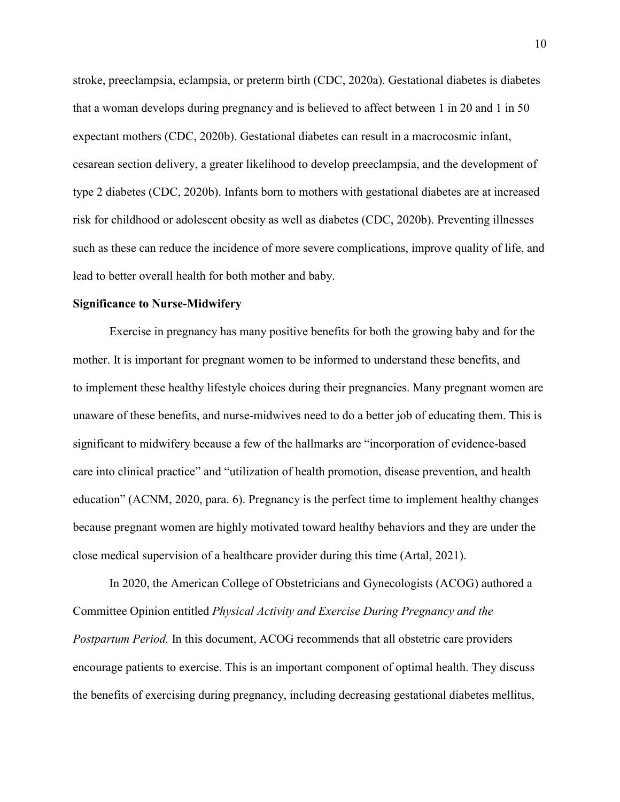stroke, preeclampsia, eclampsia, or preterm birth (CDC, 2020a). Gestational diabetes is diabetes that a woman develops during pregnancy and is believed to affect between 1 in 20 and 1 in 50 expectant mothers (CDC, 2020b). Gestational diabetes can result in a macrocosmic infant, cesarean section delivery, a greater likelihood to develop preeclampsia, and the development of type 2 diabetes (CDC, 2020b). Infants born to mothers with gestational diabetes are at increased risk for childhood or adolescent obesity as well as diabetes (CDC, 2020b). Preventing illnesses such as these can reduce the incidence of more severe complications, improve quality of life, and lead to better overall health for both mother and baby.

#### **Significance to Nurse-Midwifery**

Exercise in pregnancy has many positive benefits for both the growing baby and for the mother. It is important for pregnant women to be informed to understand these benefits, and to implement these healthy lifestyle choices during their pregnancies. Many pregnant women are unaware of these benefits, and nurse-midwives need to do a better job of educating them. This is significant to midwifery because a few of the hallmarks are "incorporation of evidence-based care into clinical practice" and "utilization of health promotion, disease prevention, and health education" (ACNM, 2020, para. 6). Pregnancy is the perfect time to implement healthy changes because pregnant women are highly motivated toward healthy behaviors and they are under the close medical supervision of a healthcare provider during this time (Artal, 2021).

In 2020, the American College of Obstetricians and Gynecologists (ACOG) authored a Committee Opinion entitled *Physical Activity and Exercise During Pregnancy and the Postpartum Period.* In this document, ACOG recommends that all obstetric care providers encourage patients to exercise. This is an important component of optimal health. They discuss the benefits of exercising during pregnancy, including decreasing gestational diabetes mellitus,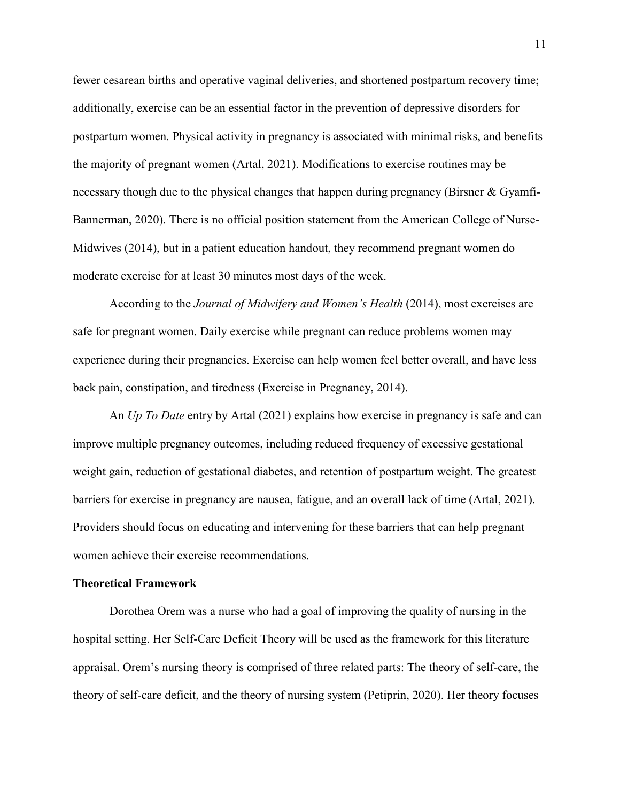fewer cesarean births and operative vaginal deliveries, and shortened postpartum recovery time; additionally, exercise can be an essential factor in the prevention of depressive disorders for postpartum women. Physical activity in pregnancy is associated with minimal risks, and benefits the majority of pregnant women (Artal, 2021). Modifications to exercise routines may be necessary though due to the physical changes that happen during pregnancy (Birsner & Gyamfi-Bannerman, 2020). There is no official position statement from the American College of Nurse-Midwives (2014), but in a patient education handout, they recommend pregnant women do moderate exercise for at least 30 minutes most days of the week.

According to the *Journal of Midwifery and Women's Health* (2014), most exercises are safe for pregnant women. Daily exercise while pregnant can reduce problems women may experience during their pregnancies. Exercise can help women feel better overall, and have less back pain, constipation, and tiredness (Exercise in Pregnancy, 2014).

An *Up To Date* entry by Artal (2021) explains how exercise in pregnancy is safe and can improve multiple pregnancy outcomes, including reduced frequency of excessive gestational weight gain, reduction of gestational diabetes, and retention of postpartum weight. The greatest barriers for exercise in pregnancy are nausea, fatigue, and an overall lack of time (Artal, 2021). Providers should focus on educating and intervening for these barriers that can help pregnant women achieve their exercise recommendations.

#### **Theoretical Framework**

Dorothea Orem was a nurse who had a goal of improving the quality of nursing in the hospital setting. Her Self-Care Deficit Theory will be used as the framework for this literature appraisal. Orem's nursing theory is comprised of three related parts: The theory of self-care, the theory of self-care deficit, and the theory of nursing system (Petiprin, 2020). Her theory focuses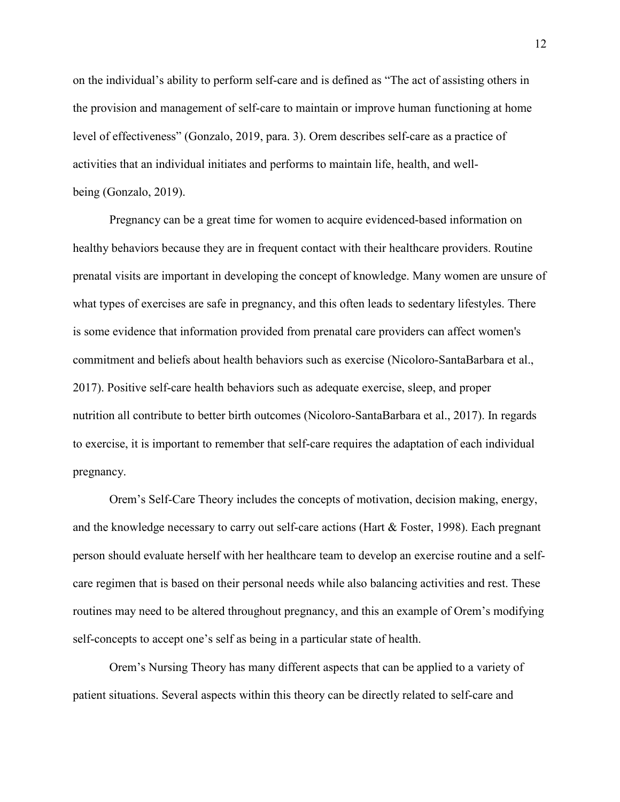on the individual's ability to perform self-care and is defined as "The act of assisting others in the provision and management of self-care to maintain or improve human functioning at home level of effectiveness" (Gonzalo, 2019, para. 3). Orem describes self-care as a practice of activities that an individual initiates and performs to maintain life, health, and wellbeing (Gonzalo, 2019).

Pregnancy can be a great time for women to acquire evidenced-based information on healthy behaviors because they are in frequent contact with their healthcare providers. Routine prenatal visits are important in developing the concept of knowledge. Many women are unsure of what types of exercises are safe in pregnancy, and this often leads to sedentary lifestyles. There is some evidence that information provided from prenatal care providers can affect women's commitment and beliefs about health behaviors such as exercise (Nicoloro-SantaBarbara et al., 2017). Positive self-care health behaviors such as adequate exercise, sleep, and proper nutrition all contribute to better birth outcomes (Nicoloro-SantaBarbara et al., 2017). In regards to exercise, it is important to remember that self-care requires the adaptation of each individual pregnancy.

Orem's Self-Care Theory includes the concepts of motivation, decision making, energy, and the knowledge necessary to carry out self-care actions (Hart & Foster, 1998). Each pregnant person should evaluate herself with her healthcare team to develop an exercise routine and a selfcare regimen that is based on their personal needs while also balancing activities and rest. These routines may need to be altered throughout pregnancy, and this an example of Orem's modifying self-concepts to accept one's self as being in a particular state of health.

Orem's Nursing Theory has many different aspects that can be applied to a variety of patient situations. Several aspects within this theory can be directly related to self-care and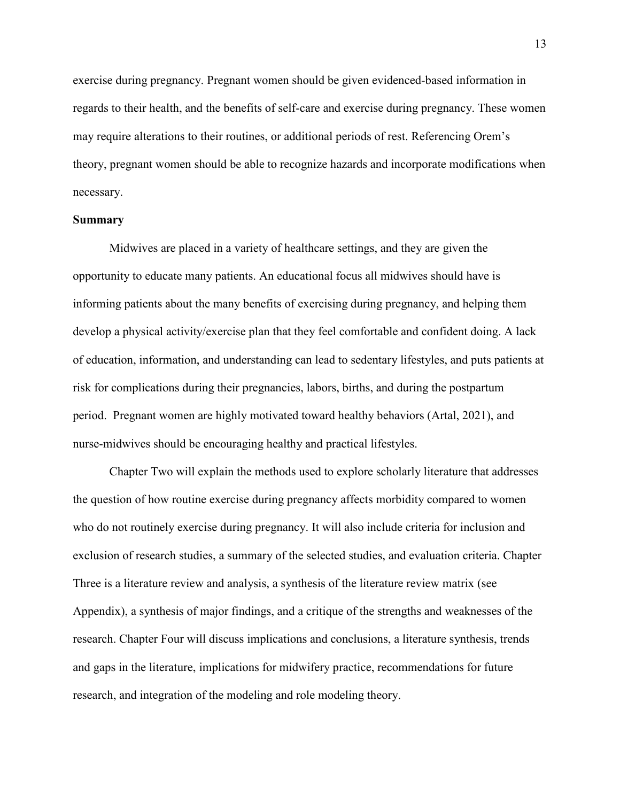exercise during pregnancy. Pregnant women should be given evidenced-based information in regards to their health, and the benefits of self-care and exercise during pregnancy. These women may require alterations to their routines, or additional periods of rest. Referencing Orem's theory, pregnant women should be able to recognize hazards and incorporate modifications when necessary.

#### **Summary**

Midwives are placed in a variety of healthcare settings, and they are given the opportunity to educate many patients. An educational focus all midwives should have is informing patients about the many benefits of exercising during pregnancy, and helping them develop a physical activity/exercise plan that they feel comfortable and confident doing. A lack of education, information, and understanding can lead to sedentary lifestyles, and puts patients at risk for complications during their pregnancies, labors, births, and during the postpartum period. Pregnant women are highly motivated toward healthy behaviors (Artal, 2021), and nurse-midwives should be encouraging healthy and practical lifestyles.

Chapter Two will explain the methods used to explore scholarly literature that addresses the question of how routine exercise during pregnancy affects morbidity compared to women who do not routinely exercise during pregnancy. It will also include criteria for inclusion and exclusion of research studies, a summary of the selected studies, and evaluation criteria. Chapter Three is a literature review and analysis, a synthesis of the literature review matrix (see Appendix), a synthesis of major findings, and a critique of the strengths and weaknesses of the research. Chapter Four will discuss implications and conclusions, a literature synthesis, trends and gaps in the literature, implications for midwifery practice, recommendations for future research, and integration of the modeling and role modeling theory.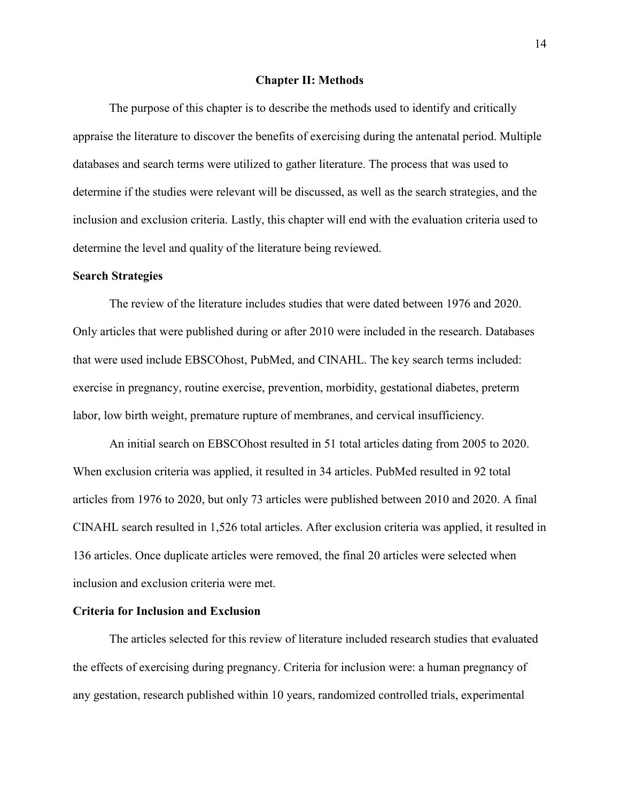#### **Chapter II: Methods**

The purpose of this chapter is to describe the methods used to identify and critically appraise the literature to discover the benefits of exercising during the antenatal period. Multiple databases and search terms were utilized to gather literature. The process that was used to determine if the studies were relevant will be discussed, as well as the search strategies, and the inclusion and exclusion criteria. Lastly, this chapter will end with the evaluation criteria used to determine the level and quality of the literature being reviewed.

#### **Search Strategies**

The review of the literature includes studies that were dated between 1976 and 2020. Only articles that were published during or after 2010 were included in the research. Databases that were used include EBSCOhost, PubMed, and CINAHL. The key search terms included: exercise in pregnancy, routine exercise, prevention, morbidity, gestational diabetes, preterm labor, low birth weight, premature rupture of membranes, and cervical insufficiency.

 An initial search on EBSCOhost resulted in 51 total articles dating from 2005 to 2020. When exclusion criteria was applied, it resulted in 34 articles. PubMed resulted in 92 total articles from 1976 to 2020, but only 73 articles were published between 2010 and 2020. A final CINAHL search resulted in 1,526 total articles. After exclusion criteria was applied, it resulted in 136 articles. Once duplicate articles were removed, the final 20 articles were selected when inclusion and exclusion criteria were met.

#### **Criteria for Inclusion and Exclusion**

The articles selected for this review of literature included research studies that evaluated the effects of exercising during pregnancy. Criteria for inclusion were: a human pregnancy of any gestation, research published within 10 years, randomized controlled trials, experimental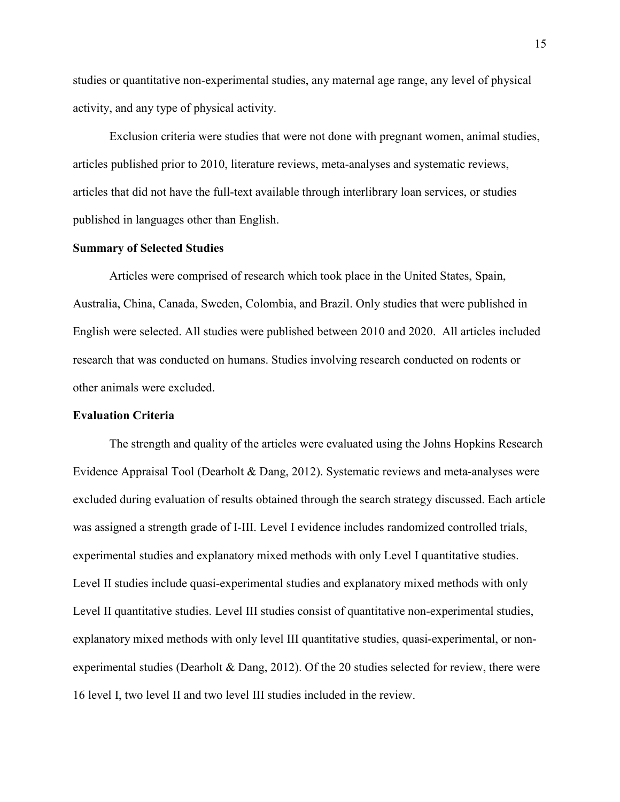studies or quantitative non-experimental studies, any maternal age range, any level of physical activity, and any type of physical activity.

Exclusion criteria were studies that were not done with pregnant women, animal studies, articles published prior to 2010, literature reviews, meta-analyses and systematic reviews, articles that did not have the full-text available through interlibrary loan services, or studies published in languages other than English.

#### **Summary of Selected Studies**

Articles were comprised of research which took place in the United States, Spain, Australia, China, Canada, Sweden, Colombia, and Brazil. Only studies that were published in English were selected. All studies were published between 2010 and 2020. All articles included research that was conducted on humans. Studies involving research conducted on rodents or other animals were excluded.

#### **Evaluation Criteria**

The strength and quality of the articles were evaluated using the Johns Hopkins Research Evidence Appraisal Tool (Dearholt & Dang, 2012). Systematic reviews and meta-analyses were excluded during evaluation of results obtained through the search strategy discussed. Each article was assigned a strength grade of I-III. Level I evidence includes randomized controlled trials, experimental studies and explanatory mixed methods with only Level I quantitative studies. Level II studies include quasi-experimental studies and explanatory mixed methods with only Level II quantitative studies. Level III studies consist of quantitative non-experimental studies, explanatory mixed methods with only level III quantitative studies, quasi-experimental, or nonexperimental studies (Dearholt & Dang, 2012). Of the 20 studies selected for review, there were 16 level I, two level II and two level III studies included in the review.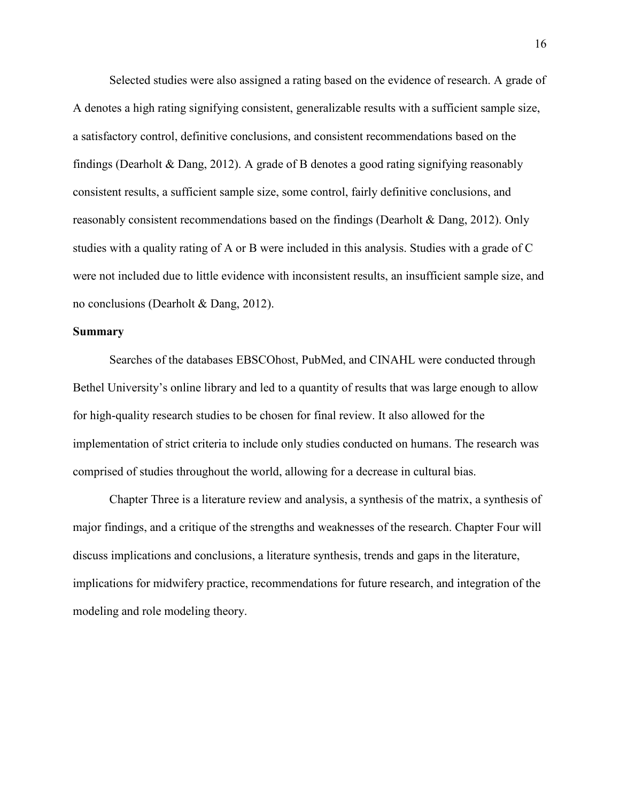Selected studies were also assigned a rating based on the evidence of research. A grade of A denotes a high rating signifying consistent, generalizable results with a sufficient sample size, a satisfactory control, definitive conclusions, and consistent recommendations based on the findings (Dearholt & Dang, 2012). A grade of B denotes a good rating signifying reasonably consistent results, a sufficient sample size, some control, fairly definitive conclusions, and reasonably consistent recommendations based on the findings (Dearholt & Dang, 2012). Only studies with a quality rating of A or B were included in this analysis. Studies with a grade of C were not included due to little evidence with inconsistent results, an insufficient sample size, and no conclusions (Dearholt & Dang, 2012).

#### **Summary**

Searches of the databases EBSCOhost, PubMed, and CINAHL were conducted through Bethel University's online library and led to a quantity of results that was large enough to allow for high-quality research studies to be chosen for final review. It also allowed for the implementation of strict criteria to include only studies conducted on humans. The research was comprised of studies throughout the world, allowing for a decrease in cultural bias.

Chapter Three is a literature review and analysis, a synthesis of the matrix, a synthesis of major findings, and a critique of the strengths and weaknesses of the research. Chapter Four will discuss implications and conclusions, a literature synthesis, trends and gaps in the literature, implications for midwifery practice, recommendations for future research, and integration of the modeling and role modeling theory.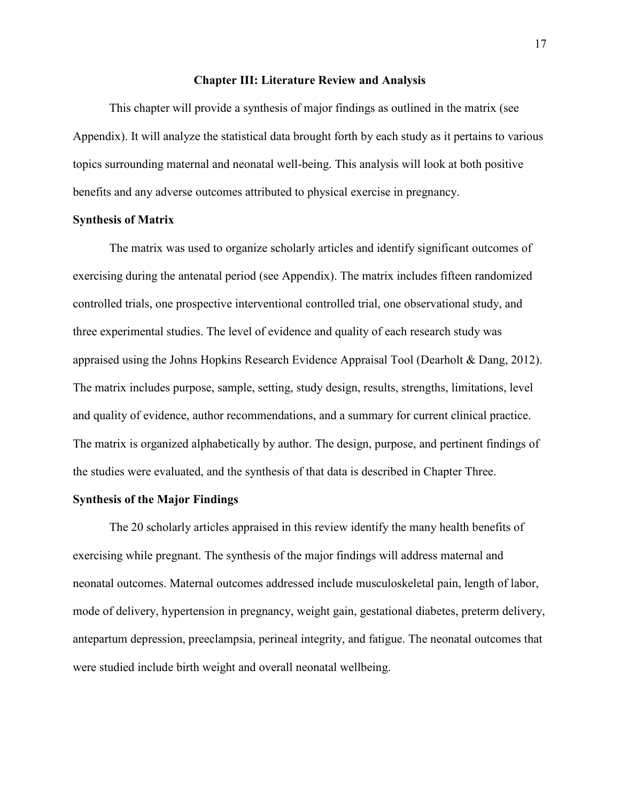#### **Chapter III: Literature Review and Analysis**

 This chapter will provide a synthesis of major findings as outlined in the matrix (see Appendix). It will analyze the statistical data brought forth by each study as it pertains to various topics surrounding maternal and neonatal well-being. This analysis will look at both positive benefits and any adverse outcomes attributed to physical exercise in pregnancy.

#### **Synthesis of Matrix**

The matrix was used to organize scholarly articles and identify significant outcomes of exercising during the antenatal period (see Appendix). The matrix includes fifteen randomized controlled trials, one prospective interventional controlled trial, one observational study, and three experimental studies. The level of evidence and quality of each research study was appraised using the Johns Hopkins Research Evidence Appraisal Tool (Dearholt & Dang, 2012). The matrix includes purpose, sample, setting, study design, results, strengths, limitations, level and quality of evidence, author recommendations, and a summary for current clinical practice. The matrix is organized alphabetically by author. The design, purpose, and pertinent findings of the studies were evaluated, and the synthesis of that data is described in Chapter Three.

#### **Synthesis of the Major Findings**

The 20 scholarly articles appraised in this review identify the many health benefits of exercising while pregnant. The synthesis of the major findings will address maternal and neonatal outcomes. Maternal outcomes addressed include musculoskeletal pain, length of labor, mode of delivery, hypertension in pregnancy, weight gain, gestational diabetes, preterm delivery, antepartum depression, preeclampsia, perineal integrity, and fatigue. The neonatal outcomes that were studied include birth weight and overall neonatal wellbeing.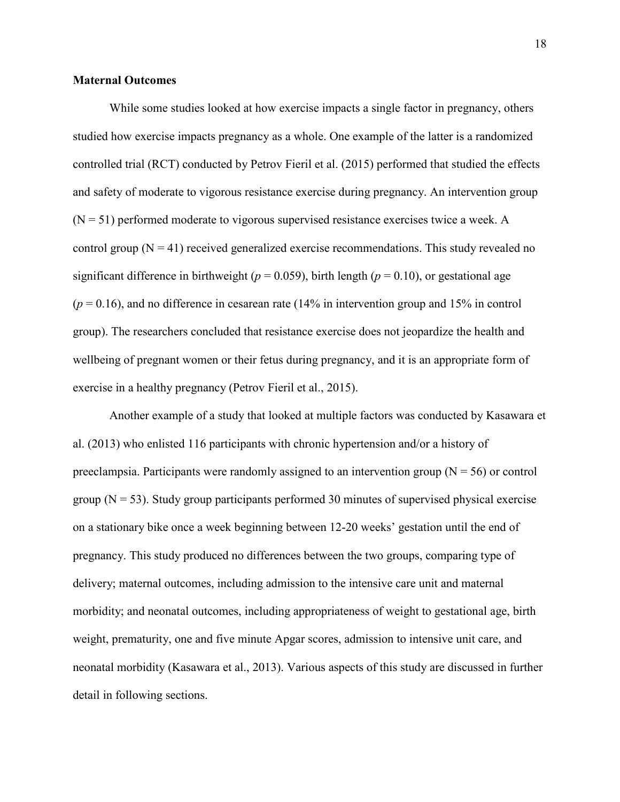#### **Maternal Outcomes**

While some studies looked at how exercise impacts a single factor in pregnancy, others studied how exercise impacts pregnancy as a whole. One example of the latter is a randomized controlled trial (RCT) conducted by Petrov Fieril et al. (2015) performed that studied the effects and safety of moderate to vigorous resistance exercise during pregnancy. An intervention group  $(N = 51)$  performed moderate to vigorous supervised resistance exercises twice a week. A control group  $(N = 41)$  received generalized exercise recommendations. This study revealed no significant difference in birthweight ( $p = 0.059$ ), birth length ( $p = 0.10$ ), or gestational age  $(p = 0.16)$ , and no difference in cesarean rate (14% in intervention group and 15% in control group). The researchers concluded that resistance exercise does not jeopardize the health and wellbeing of pregnant women or their fetus during pregnancy, and it is an appropriate form of exercise in a healthy pregnancy (Petrov Fieril et al., 2015).

Another example of a study that looked at multiple factors was conducted by Kasawara et al. (2013) who enlisted 116 participants with chronic hypertension and/or a history of preeclampsia. Participants were randomly assigned to an intervention group ( $N = 56$ ) or control group  $(N = 53)$ . Study group participants performed 30 minutes of supervised physical exercise on a stationary bike once a week beginning between 12-20 weeks' gestation until the end of pregnancy. This study produced no differences between the two groups, comparing type of delivery; maternal outcomes, including admission to the intensive care unit and maternal morbidity; and neonatal outcomes, including appropriateness of weight to gestational age, birth weight, prematurity, one and five minute Apgar scores, admission to intensive unit care, and neonatal morbidity (Kasawara et al., 2013). Various aspects of this study are discussed in further detail in following sections.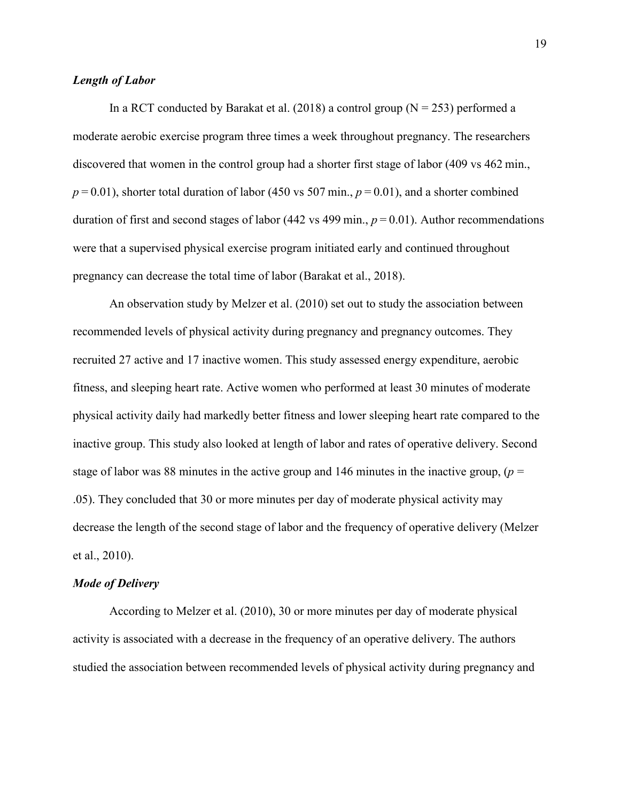#### *Length of Labor*

In a RCT conducted by Barakat et al. (2018) a control group ( $N = 253$ ) performed a moderate aerobic exercise program three times a week throughout pregnancy. The researchers discovered that women in the control group had a shorter first stage of labor (409 vs 462 min.,  $p = 0.01$ ), shorter total duration of labor (450 vs 507 min.,  $p = 0.01$ ), and a shorter combined duration of first and second stages of labor (442 vs 499 min.,  $p = 0.01$ ). Author recommendations were that a supervised physical exercise program initiated early and continued throughout pregnancy can decrease the total time of labor (Barakat et al., 2018).

 An observation study by Melzer et al. (2010) set out to study the association between recommended levels of physical activity during pregnancy and pregnancy outcomes. They recruited 27 active and 17 inactive women. This study assessed energy expenditure, aerobic fitness, and sleeping heart rate. Active women who performed at least 30 minutes of moderate physical activity daily had markedly better fitness and lower sleeping heart rate compared to the inactive group. This study also looked at length of labor and rates of operative delivery. Second stage of labor was 88 minutes in the active group and 146 minutes in the inactive group,  $(p =$ .05). They concluded that 30 or more minutes per day of moderate physical activity may decrease the length of the second stage of labor and the frequency of operative delivery (Melzer et al., 2010).

#### *Mode of Delivery*

According to Melzer et al. (2010), 30 or more minutes per day of moderate physical activity is associated with a decrease in the frequency of an operative delivery. The authors studied the association between recommended levels of physical activity during pregnancy and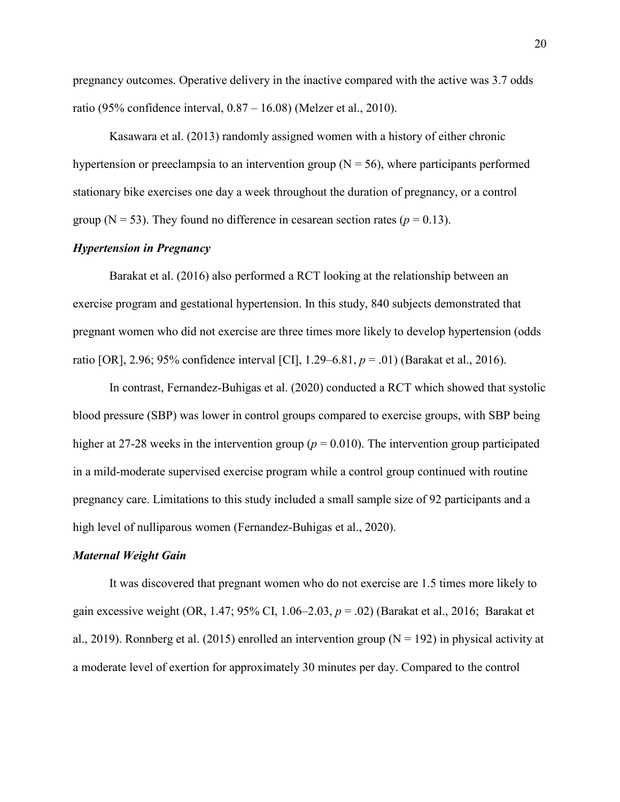pregnancy outcomes. Operative delivery in the inactive compared with the active was 3.7 odds ratio (95% confidence interval, 0.87 – 16.08) (Melzer et al., 2010).

Kasawara et al. (2013) randomly assigned women with a history of either chronic hypertension or preeclampsia to an intervention group ( $N = 56$ ), where participants performed stationary bike exercises one day a week throughout the duration of pregnancy, or a control group ( $N = 53$ ). They found no difference in cesarean section rates ( $p = 0.13$ ).

#### *Hypertension in Pregnancy*

Barakat et al. (2016) also performed a RCT looking at the relationship between an exercise program and gestational hypertension. In this study, 840 subjects demonstrated that pregnant women who did not exercise are three times more likely to develop hypertension (odds ratio [OR], 2.96; 95% confidence interval [CI], 1.29–6.81, *p* = .01) (Barakat et al., 2016).

In contrast, Fernandez-Buhigas et al. (2020) conducted a RCT which showed that systolic blood pressure (SBP) was lower in control groups compared to exercise groups, with SBP being higher at 27-28 weeks in the intervention group ( $p = 0.010$ ). The intervention group participated in a mild-moderate supervised exercise program while a control group continued with routine pregnancy care. Limitations to this study included a small sample size of 92 participants and a high level of nulliparous women (Fernandez-Buhigas et al., 2020).

#### *Maternal Weight Gain*

It was discovered that pregnant women who do not exercise are 1.5 times more likely to gain excessive weight (OR, 1.47; 95% CI, 1.06–2.03, *p* = .02) (Barakat et al., 2016; Barakat et al., 2019). Ronnberg et al. (2015) enrolled an intervention group ( $N = 192$ ) in physical activity at a moderate level of exertion for approximately 30 minutes per day. Compared to the control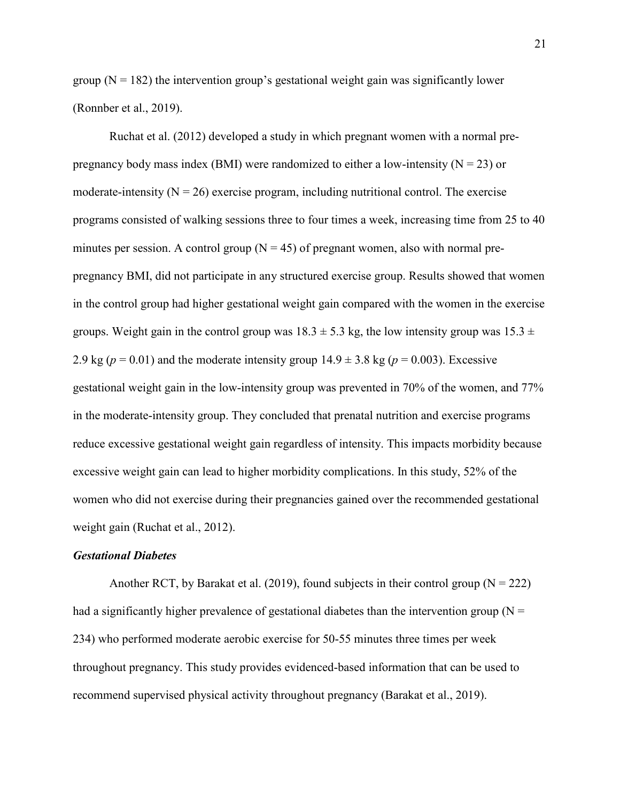group  $(N = 182)$  the intervention group's gestational weight gain was significantly lower (Ronnber et al., 2019).

Ruchat et al. (2012) developed a study in which pregnant women with a normal prepregnancy body mass index (BMI) were randomized to either a low-intensity ( $N = 23$ ) or moderate-intensity  $(N = 26)$  exercise program, including nutritional control. The exercise programs consisted of walking sessions three to four times a week, increasing time from 25 to 40 minutes per session. A control group  $(N = 45)$  of pregnant women, also with normal prepregnancy BMI, did not participate in any structured exercise group. Results showed that women in the control group had higher gestational weight gain compared with the women in the exercise groups. Weight gain in the control group was  $18.3 \pm 5.3$  kg, the low intensity group was  $15.3 \pm 1.5$ 2.9 kg ( $p = 0.01$ ) and the moderate intensity group  $14.9 \pm 3.8$  kg ( $p = 0.003$ ). Excessive gestational weight gain in the low-intensity group was prevented in 70% of the women, and 77% in the moderate-intensity group. They concluded that prenatal nutrition and exercise programs reduce excessive gestational weight gain regardless of intensity. This impacts morbidity because excessive weight gain can lead to higher morbidity complications. In this study, 52% of the women who did not exercise during their pregnancies gained over the recommended gestational weight gain (Ruchat et al., 2012).

#### *Gestational Diabetes*

Another RCT, by Barakat et al. (2019), found subjects in their control group ( $N = 222$ ) had a significantly higher prevalence of gestational diabetes than the intervention group ( $N =$ 234) who performed moderate aerobic exercise for 50-55 minutes three times per week throughout pregnancy. This study provides evidenced-based information that can be used to recommend supervised physical activity throughout pregnancy (Barakat et al., 2019).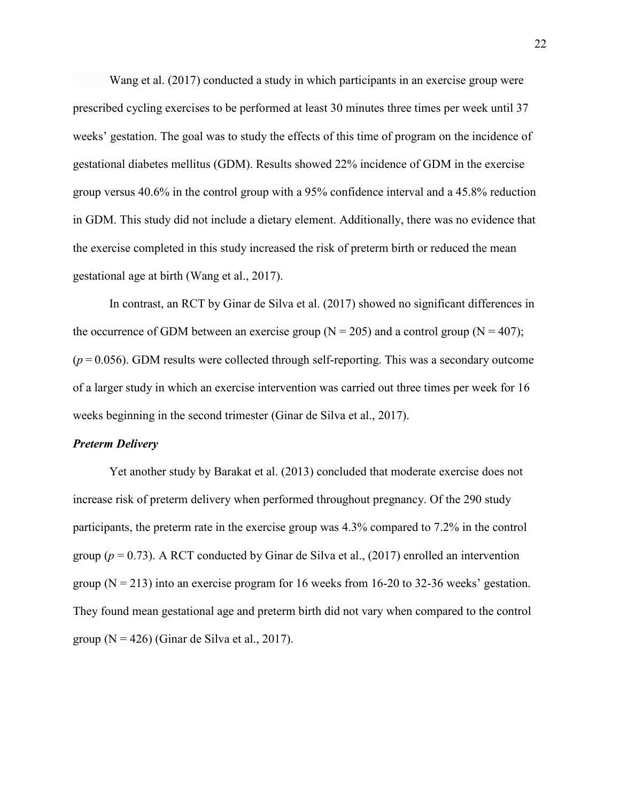Wang et al. (2017) conducted a study in which participants in an exercise group were prescribed cycling exercises to be performed at least 30 minutes three times per week until 37 weeks' gestation. The goal was to study the effects of this time of program on the incidence of gestational diabetes mellitus (GDM). Results showed 22% incidence of GDM in the exercise group versus 40.6% in the control group with a 95% confidence interval and a 45.8% reduction in GDM. This study did not include a dietary element. Additionally, there was no evidence that the exercise completed in this study increased the risk of preterm birth or reduced the mean gestational age at birth (Wang et al., 2017).

In contrast, an RCT by Ginar de Silva et al. (2017) showed no significant differences in the occurrence of GDM between an exercise group ( $N = 205$ ) and a control group ( $N = 407$ );  $(p=0.056)$ . GDM results were collected through self-reporting. This was a secondary outcome of a larger study in which an exercise intervention was carried out three times per week for 16 weeks beginning in the second trimester (Ginar de Silva et al., 2017).

#### *Preterm Delivery*

Yet another study by Barakat et al. (2013) concluded that moderate exercise does not increase risk of preterm delivery when performed throughout pregnancy. Of the 290 study participants, the preterm rate in the exercise group was 4.3% compared to 7.2% in the control group ( $p = 0.73$ ). A RCT conducted by Ginar de Silva et al., (2017) enrolled an intervention group  $(N = 213)$  into an exercise program for 16 weeks from 16-20 to 32-36 weeks' gestation. They found mean gestational age and preterm birth did not vary when compared to the control group ( $N = 426$ ) (Ginar de Silva et al., 2017).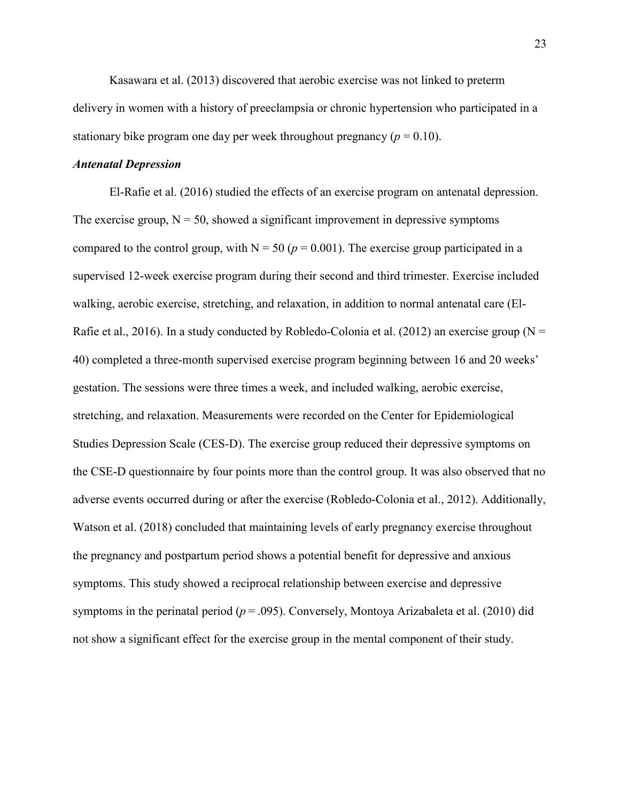Kasawara et al. (2013) discovered that aerobic exercise was not linked to preterm delivery in women with a history of preeclampsia or chronic hypertension who participated in a stationary bike program one day per week throughout pregnancy ( $p = 0.10$ ).

#### *Antenatal Depression*

El-Rafie et al. (2016) studied the effects of an exercise program on antenatal depression. The exercise group,  $N = 50$ , showed a significant improvement in depressive symptoms compared to the control group, with  $N = 50$  ( $p = 0.001$ ). The exercise group participated in a supervised 12-week exercise program during their second and third trimester. Exercise included walking, aerobic exercise, stretching, and relaxation, in addition to normal antenatal care (El-Rafie et al., 2016). In a study conducted by Robledo-Colonia et al. (2012) an exercise group ( $N =$ 40) completed a three-month supervised exercise program beginning between 16 and 20 weeks' gestation. The sessions were three times a week, and included walking, aerobic exercise, stretching, and relaxation. Measurements were recorded on the Center for Epidemiological Studies Depression Scale (CES-D). The exercise group reduced their depressive symptoms on the CSE-D questionnaire by four points more than the control group. It was also observed that no adverse events occurred during or after the exercise (Robledo-Colonia et al., 2012). Additionally, Watson et al. (2018) concluded that maintaining levels of early pregnancy exercise throughout the pregnancy and postpartum period shows a potential benefit for depressive and anxious symptoms. This study showed a reciprocal relationship between exercise and depressive symptoms in the perinatal period (*p* = .095). Conversely, Montoya Arizabaleta et al. (2010) did not show a significant effect for the exercise group in the mental component of their study.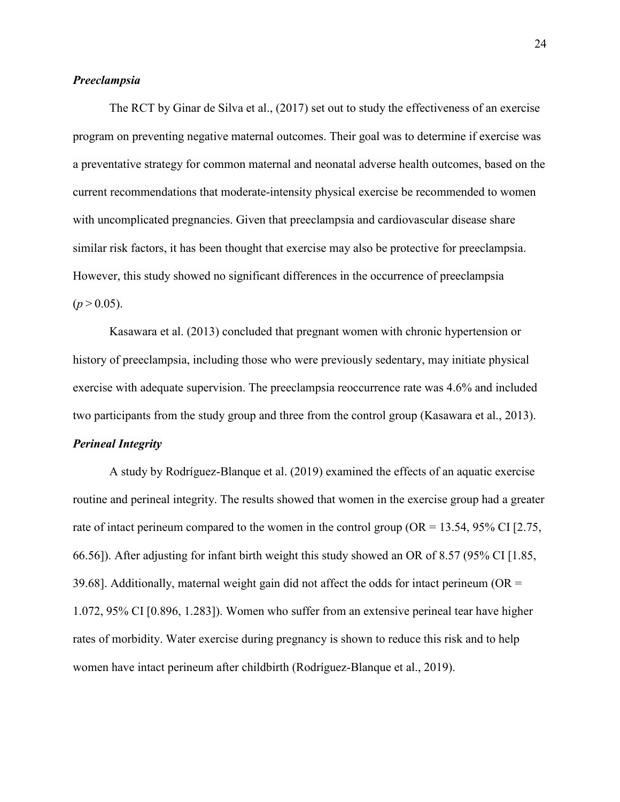#### *Preeclampsia*

The RCT by Ginar de Silva et al., (2017) set out to study the effectiveness of an exercise program on preventing negative maternal outcomes. Their goal was to determine if exercise was a preventative strategy for common maternal and neonatal adverse health outcomes, based on the current recommendations that moderate-intensity physical exercise be recommended to women with uncomplicated pregnancies. Given that preeclampsia and cardiovascular disease share similar risk factors, it has been thought that exercise may also be protective for preeclampsia. However, this study showed no significant differences in the occurrence of preeclampsia  $(p > 0.05)$ .

Kasawara et al. (2013) concluded that pregnant women with chronic hypertension or history of preeclampsia, including those who were previously sedentary, may initiate physical exercise with adequate supervision. The preeclampsia reoccurrence rate was 4.6% and included two participants from the study group and three from the control group (Kasawara et al., 2013).

#### *Perineal Integrity*

A study by Rodríguez-Blanque et al. (2019) examined the effects of an aquatic exercise routine and perineal integrity. The results showed that women in the exercise group had a greater rate of intact perineum compared to the women in the control group ( $OR = 13.54$ , 95% CI [2.75, 66.56]). After adjusting for infant birth weight this study showed an OR of 8.57 (95% CI [1.85, 39.68]. Additionally, maternal weight gain did not affect the odds for intact perineum ( $OR =$ 1.072, 95% CI [0.896, 1.283]). Women who suffer from an extensive perineal tear have higher rates of morbidity. Water exercise during pregnancy is shown to reduce this risk and to help women have intact perineum after childbirth (Rodríguez-Blanque et al., 2019).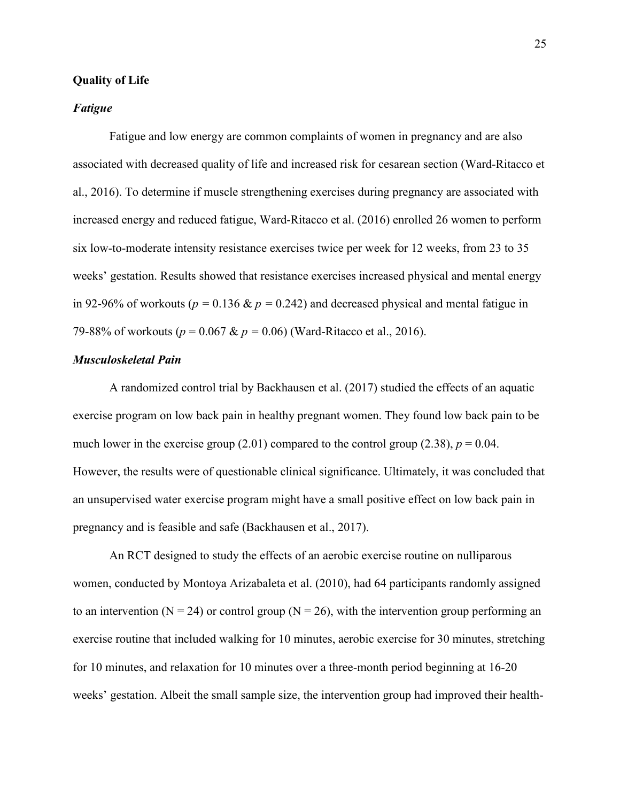#### **Quality of Life**

#### *Fatigue*

Fatigue and low energy are common complaints of women in pregnancy and are also associated with decreased quality of life and increased risk for cesarean section (Ward-Ritacco et al., 2016). To determine if muscle strengthening exercises during pregnancy are associated with increased energy and reduced fatigue, Ward-Ritacco et al. (2016) enrolled 26 women to perform six low-to-moderate intensity resistance exercises twice per week for 12 weeks, from 23 to 35 weeks' gestation. Results showed that resistance exercises increased physical and mental energy in 92-96% of workouts ( $p = 0.136 \& p = 0.242$ ) and decreased physical and mental fatigue in 79-88% of workouts (*p* = 0.067 & *p =* 0.06) (Ward-Ritacco et al., 2016).

#### *Musculoskeletal Pain*

A randomized control trial by Backhausen et al. (2017) studied the effects of an aquatic exercise program on low back pain in healthy pregnant women. They found low back pain to be much lower in the exercise group  $(2.01)$  compared to the control group  $(2.38)$ ,  $p = 0.04$ . However, the results were of questionable clinical significance. Ultimately, it was concluded that an unsupervised water exercise program might have a small positive effect on low back pain in pregnancy and is feasible and safe (Backhausen et al., 2017).

An RCT designed to study the effects of an aerobic exercise routine on nulliparous women, conducted by Montoya Arizabaleta et al. (2010), had 64 participants randomly assigned to an intervention ( $N = 24$ ) or control group ( $N = 26$ ), with the intervention group performing an exercise routine that included walking for 10 minutes, aerobic exercise for 30 minutes, stretching for 10 minutes, and relaxation for 10 minutes over a three-month period beginning at 16-20 weeks' gestation. Albeit the small sample size, the intervention group had improved their health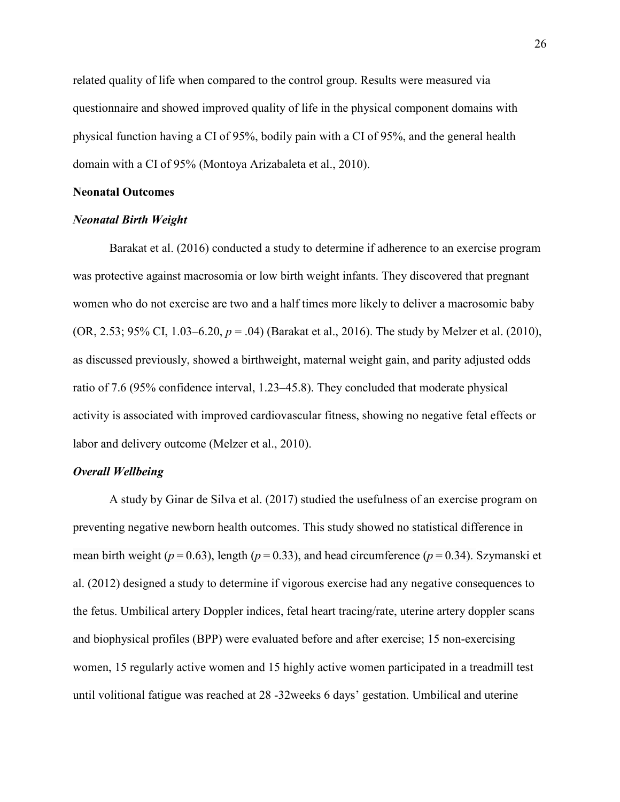related quality of life when compared to the control group. Results were measured via questionnaire and showed improved quality of life in the physical component domains with physical function having a CI of 95%, bodily pain with a CI of 95%, and the general health domain with a CI of 95% (Montoya Arizabaleta et al., 2010).

#### **Neonatal Outcomes**

#### *Neonatal Birth Weight*

Barakat et al. (2016) conducted a study to determine if adherence to an exercise program was protective against macrosomia or low birth weight infants. They discovered that pregnant women who do not exercise are two and a half times more likely to deliver a macrosomic baby (OR, 2.53; 95% CI, 1.03–6.20, *p* = .04) (Barakat et al., 2016). The study by Melzer et al. (2010), as discussed previously, showed a birthweight, maternal weight gain, and parity adjusted odds ratio of 7.6 (95% confidence interval, 1.23–45.8). They concluded that moderate physical activity is associated with improved cardiovascular fitness, showing no negative fetal effects or labor and delivery outcome (Melzer et al., 2010).

#### *Overall Wellbeing*

A study by Ginar de Silva et al. (2017) studied the usefulness of an exercise program on preventing negative newborn health outcomes. This study showed no statistical difference in mean birth weight ( $p = 0.63$ ), length ( $p = 0.33$ ), and head circumference ( $p = 0.34$ ). Szymanski et al. (2012) designed a study to determine if vigorous exercise had any negative consequences to the fetus. Umbilical artery Doppler indices, fetal heart tracing/rate, uterine artery doppler scans and biophysical profiles (BPP) were evaluated before and after exercise; 15 non-exercising women, 15 regularly active women and 15 highly active women participated in a treadmill test until volitional fatigue was reached at 28 -32weeks 6 days' gestation. Umbilical and uterine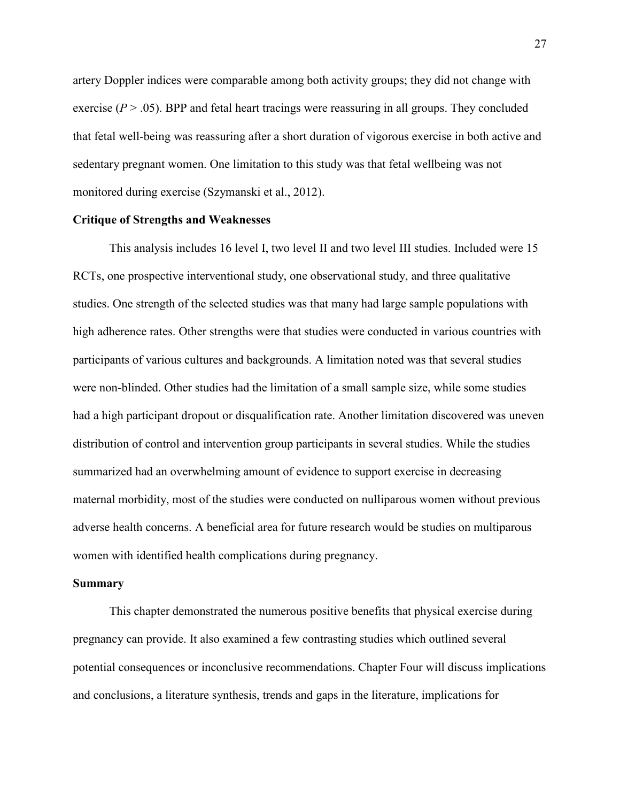artery Doppler indices were comparable among both activity groups; they did not change with exercise  $(P > .05)$ . BPP and fetal heart tracings were reassuring in all groups. They concluded that fetal well-being was reassuring after a short duration of vigorous exercise in both active and sedentary pregnant women. One limitation to this study was that fetal wellbeing was not monitored during exercise (Szymanski et al., 2012).

#### **Critique of Strengths and Weaknesses**

This analysis includes 16 level I, two level II and two level III studies. Included were 15 RCTs, one prospective interventional study, one observational study, and three qualitative studies. One strength of the selected studies was that many had large sample populations with high adherence rates. Other strengths were that studies were conducted in various countries with participants of various cultures and backgrounds. A limitation noted was that several studies were non-blinded. Other studies had the limitation of a small sample size, while some studies had a high participant dropout or disqualification rate. Another limitation discovered was uneven distribution of control and intervention group participants in several studies. While the studies summarized had an overwhelming amount of evidence to support exercise in decreasing maternal morbidity, most of the studies were conducted on nulliparous women without previous adverse health concerns. A beneficial area for future research would be studies on multiparous women with identified health complications during pregnancy.

#### **Summary**

This chapter demonstrated the numerous positive benefits that physical exercise during pregnancy can provide. It also examined a few contrasting studies which outlined several potential consequences or inconclusive recommendations. Chapter Four will discuss implications and conclusions, a literature synthesis, trends and gaps in the literature, implications for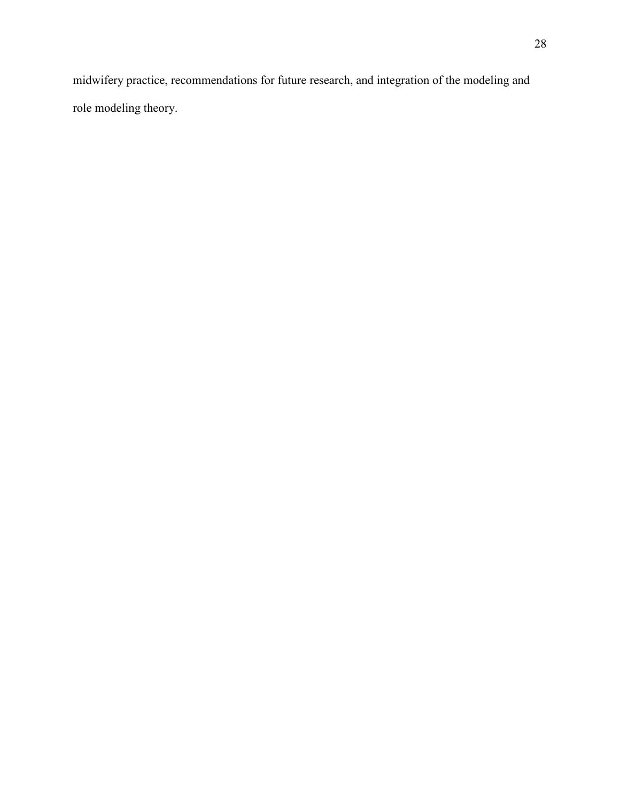midwifery practice, recommendations for future research, and integration of the modeling and role modeling theory.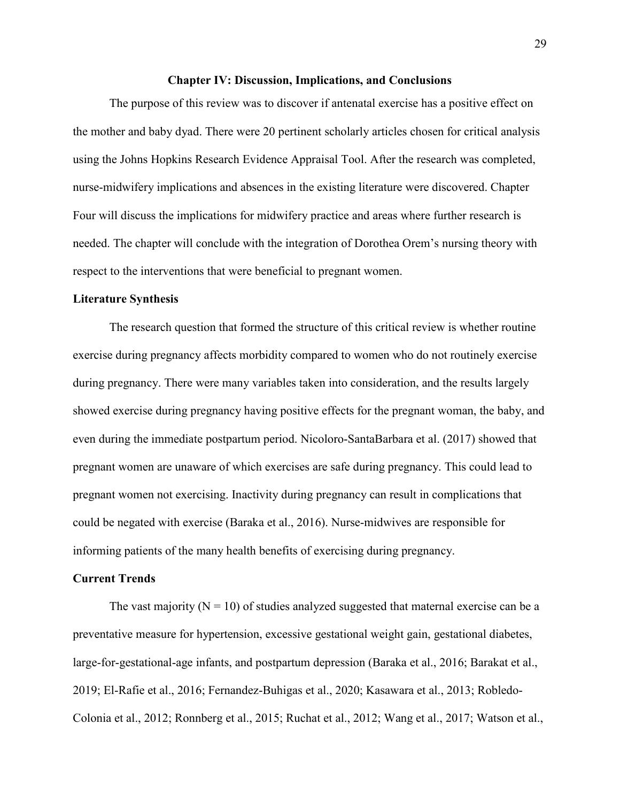#### **Chapter IV: Discussion, Implications, and Conclusions**

The purpose of this review was to discover if antenatal exercise has a positive effect on the mother and baby dyad. There were 20 pertinent scholarly articles chosen for critical analysis using the Johns Hopkins Research Evidence Appraisal Tool. After the research was completed, nurse-midwifery implications and absences in the existing literature were discovered. Chapter Four will discuss the implications for midwifery practice and areas where further research is needed. The chapter will conclude with the integration of Dorothea Orem's nursing theory with respect to the interventions that were beneficial to pregnant women.

#### **Literature Synthesis**

The research question that formed the structure of this critical review is whether routine exercise during pregnancy affects morbidity compared to women who do not routinely exercise during pregnancy. There were many variables taken into consideration, and the results largely showed exercise during pregnancy having positive effects for the pregnant woman, the baby, and even during the immediate postpartum period. Nicoloro-SantaBarbara et al. (2017) showed that pregnant women are unaware of which exercises are safe during pregnancy. This could lead to pregnant women not exercising. Inactivity during pregnancy can result in complications that could be negated with exercise (Baraka et al., 2016). Nurse-midwives are responsible for informing patients of the many health benefits of exercising during pregnancy.

#### **Current Trends**

The vast majority ( $N = 10$ ) of studies analyzed suggested that maternal exercise can be a preventative measure for hypertension, excessive gestational weight gain, gestational diabetes, large-for-gestational-age infants, and postpartum depression (Baraka et al., 2016; Barakat et al., 2019; El-Rafie et al., 2016; Fernandez-Buhigas et al., 2020; Kasawara et al., 2013; Robledo-Colonia et al., 2012; Ronnberg et al., 2015; Ruchat et al., 2012; Wang et al., 2017; Watson et al.,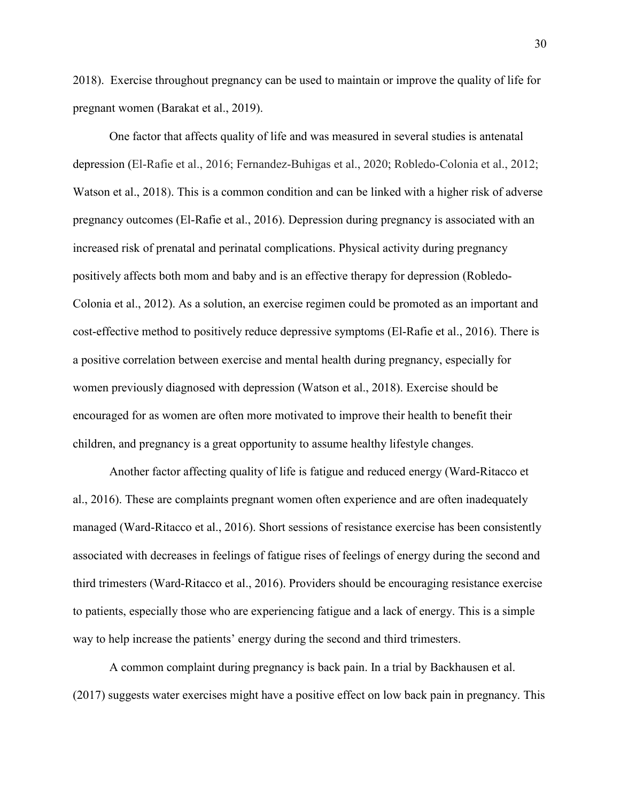2018). Exercise throughout pregnancy can be used to maintain or improve the quality of life for pregnant women (Barakat et al., 2019).

One factor that affects quality of life and was measured in several studies is antenatal depression (El-Rafie et al., 2016; Fernandez-Buhigas et al., 2020; Robledo-Colonia et al., 2012; Watson et al., 2018). This is a common condition and can be linked with a higher risk of adverse pregnancy outcomes (El-Rafie et al., 2016). Depression during pregnancy is associated with an increased risk of prenatal and perinatal complications. Physical activity during pregnancy positively affects both mom and baby and is an effective therapy for depression (Robledo-Colonia et al., 2012). As a solution, an exercise regimen could be promoted as an important and cost-effective method to positively reduce depressive symptoms (El-Rafie et al., 2016). There is a positive correlation between exercise and mental health during pregnancy, especially for women previously diagnosed with depression (Watson et al., 2018). Exercise should be encouraged for as women are often more motivated to improve their health to benefit their children, and pregnancy is a great opportunity to assume healthy lifestyle changes.

Another factor affecting quality of life is fatigue and reduced energy (Ward-Ritacco et al., 2016). These are complaints pregnant women often experience and are often inadequately managed (Ward-Ritacco et al., 2016). Short sessions of resistance exercise has been consistently associated with decreases in feelings of fatigue rises of feelings of energy during the second and third trimesters (Ward-Ritacco et al., 2016). Providers should be encouraging resistance exercise to patients, especially those who are experiencing fatigue and a lack of energy. This is a simple way to help increase the patients' energy during the second and third trimesters.

A common complaint during pregnancy is back pain. In a trial by Backhausen et al. (2017) suggests water exercises might have a positive effect on low back pain in pregnancy. This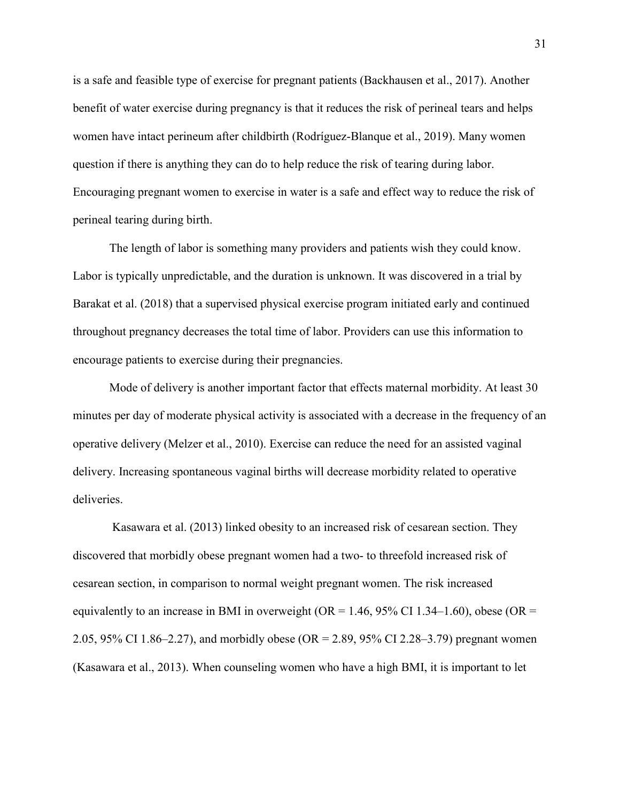is a safe and feasible type of exercise for pregnant patients (Backhausen et al., 2017). Another benefit of water exercise during pregnancy is that it reduces the risk of perineal tears and helps women have intact perineum after childbirth (Rodríguez-Blanque et al., 2019). Many women question if there is anything they can do to help reduce the risk of tearing during labor. Encouraging pregnant women to exercise in water is a safe and effect way to reduce the risk of perineal tearing during birth.

The length of labor is something many providers and patients wish they could know. Labor is typically unpredictable, and the duration is unknown. It was discovered in a trial by Barakat et al. (2018) that a supervised physical exercise program initiated early and continued throughout pregnancy decreases the total time of labor. Providers can use this information to encourage patients to exercise during their pregnancies.

Mode of delivery is another important factor that effects maternal morbidity. At least 30 minutes per day of moderate physical activity is associated with a decrease in the frequency of an operative delivery (Melzer et al., 2010). Exercise can reduce the need for an assisted vaginal delivery. Increasing spontaneous vaginal births will decrease morbidity related to operative deliveries.

 Kasawara et al. (2013) linked obesity to an increased risk of cesarean section. They discovered that morbidly obese pregnant women had a two- to threefold increased risk of cesarean section, in comparison to normal weight pregnant women. The risk increased equivalently to an increase in BMI in overweight ( $OR = 1.46$ , 95% CI 1.34–1.60), obese ( $OR =$ 2.05, 95% CI 1.86–2.27), and morbidly obese (OR = 2.89, 95% CI 2.28–3.79) pregnant women (Kasawara et al., 2013). When counseling women who have a high BMI, it is important to let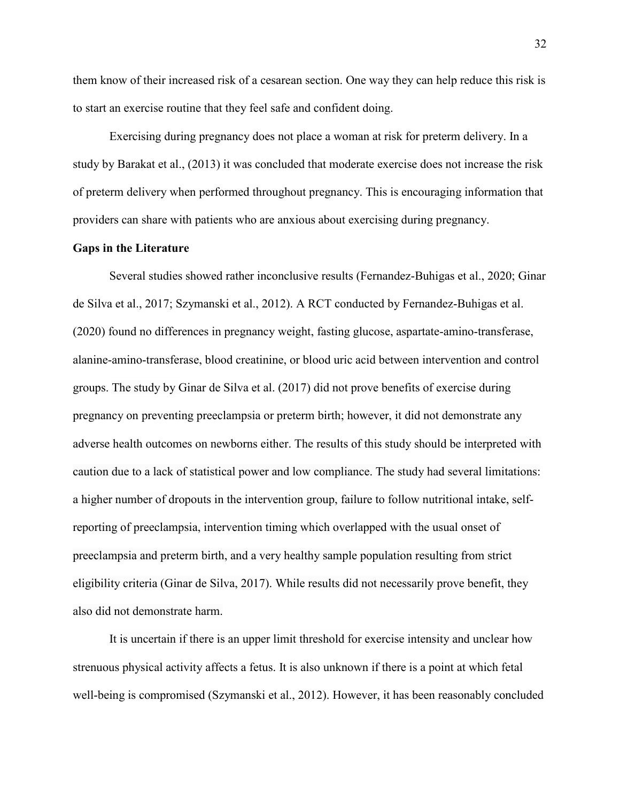them know of their increased risk of a cesarean section. One way they can help reduce this risk is to start an exercise routine that they feel safe and confident doing.

Exercising during pregnancy does not place a woman at risk for preterm delivery. In a study by Barakat et al., (2013) it was concluded that moderate exercise does not increase the risk of preterm delivery when performed throughout pregnancy. This is encouraging information that providers can share with patients who are anxious about exercising during pregnancy.

#### **Gaps in the Literature**

Several studies showed rather inconclusive results (Fernandez-Buhigas et al., 2020; Ginar de Silva et al., 2017; Szymanski et al., 2012). A RCT conducted by Fernandez-Buhigas et al. (2020) found no differences in pregnancy weight, fasting glucose, aspartate-amino-transferase, alanine-amino-transferase, blood creatinine, or blood uric acid between intervention and control groups. The study by Ginar de Silva et al. (2017) did not prove benefits of exercise during pregnancy on preventing preeclampsia or preterm birth; however, it did not demonstrate any adverse health outcomes on newborns either. The results of this study should be interpreted with caution due to a lack of statistical power and low compliance. The study had several limitations: a higher number of dropouts in the intervention group, failure to follow nutritional intake, selfreporting of preeclampsia, intervention timing which overlapped with the usual onset of preeclampsia and preterm birth, and a very healthy sample population resulting from strict eligibility criteria (Ginar de Silva, 2017). While results did not necessarily prove benefit, they also did not demonstrate harm.

It is uncertain if there is an upper limit threshold for exercise intensity and unclear how strenuous physical activity affects a fetus. It is also unknown if there is a point at which fetal well-being is compromised (Szymanski et al., 2012). However, it has been reasonably concluded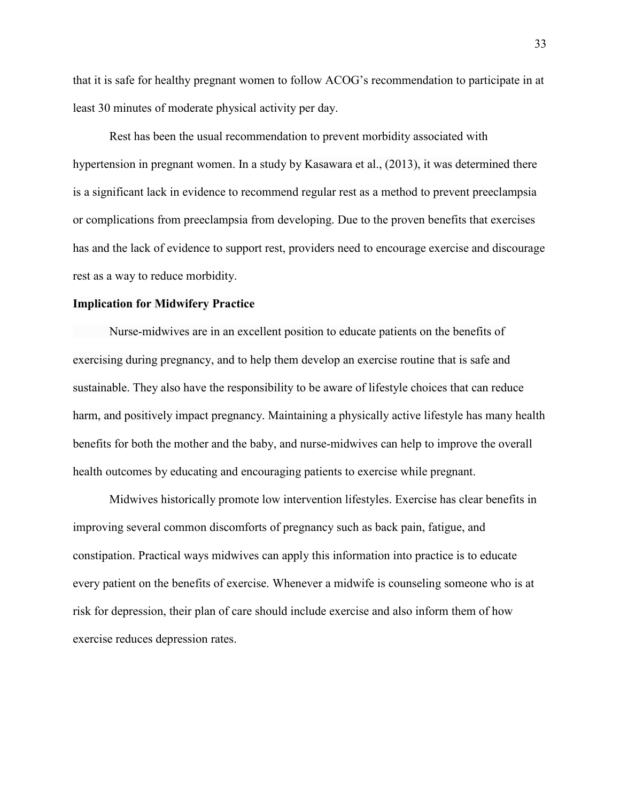that it is safe for healthy pregnant women to follow ACOG's recommendation to participate in at least 30 minutes of moderate physical activity per day.

Rest has been the usual recommendation to prevent morbidity associated with hypertension in pregnant women. In a study by Kasawara et al., (2013), it was determined there is a significant lack in evidence to recommend regular rest as a method to prevent preeclampsia or complications from preeclampsia from developing. Due to the proven benefits that exercises has and the lack of evidence to support rest, providers need to encourage exercise and discourage rest as a way to reduce morbidity.

#### **Implication for Midwifery Practice**

Nurse-midwives are in an excellent position to educate patients on the benefits of exercising during pregnancy, and to help them develop an exercise routine that is safe and sustainable. They also have the responsibility to be aware of lifestyle choices that can reduce harm, and positively impact pregnancy. Maintaining a physically active lifestyle has many health benefits for both the mother and the baby, and nurse-midwives can help to improve the overall health outcomes by educating and encouraging patients to exercise while pregnant.

Midwives historically promote low intervention lifestyles. Exercise has clear benefits in improving several common discomforts of pregnancy such as back pain, fatigue, and constipation. Practical ways midwives can apply this information into practice is to educate every patient on the benefits of exercise. Whenever a midwife is counseling someone who is at risk for depression, their plan of care should include exercise and also inform them of how exercise reduces depression rates.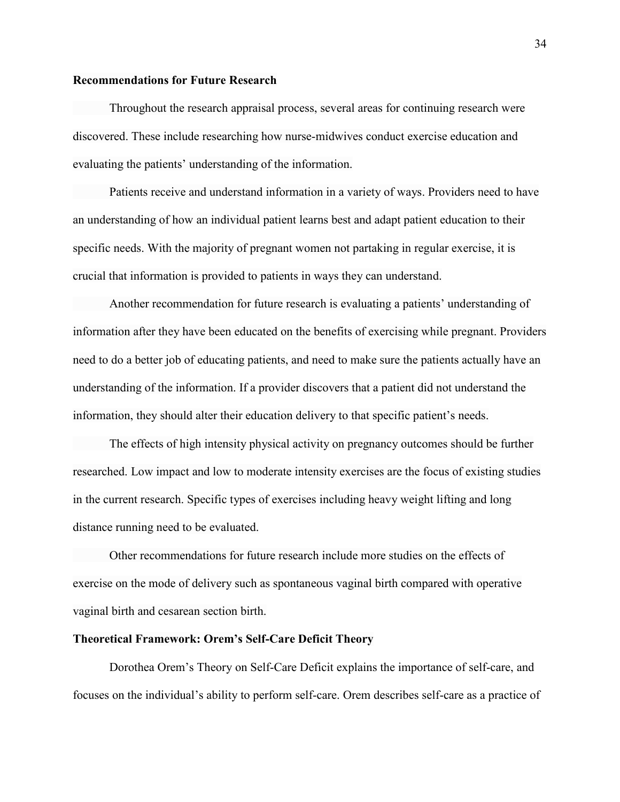# **Recommendations for Future Research**

Throughout the research appraisal process, several areas for continuing research were discovered. These include researching how nurse-midwives conduct exercise education and evaluating the patients' understanding of the information.

 Patients receive and understand information in a variety of ways. Providers need to have an understanding of how an individual patient learns best and adapt patient education to their specific needs. With the majority of pregnant women not partaking in regular exercise, it is crucial that information is provided to patients in ways they can understand.

 Another recommendation for future research is evaluating a patients' understanding of information after they have been educated on the benefits of exercising while pregnant. Providers need to do a better job of educating patients, and need to make sure the patients actually have an understanding of the information. If a provider discovers that a patient did not understand the information, they should alter their education delivery to that specific patient's needs.

 The effects of high intensity physical activity on pregnancy outcomes should be further researched. Low impact and low to moderate intensity exercises are the focus of existing studies in the current research. Specific types of exercises including heavy weight lifting and long distance running need to be evaluated.

 Other recommendations for future research include more studies on the effects of exercise on the mode of delivery such as spontaneous vaginal birth compared with operative vaginal birth and cesarean section birth.

#### **Theoretical Framework: Orem's Self-Care Deficit Theory**

Dorothea Orem's Theory on Self-Care Deficit explains the importance of self-care, and focuses on the individual's ability to perform self-care. Orem describes self-care as a practice of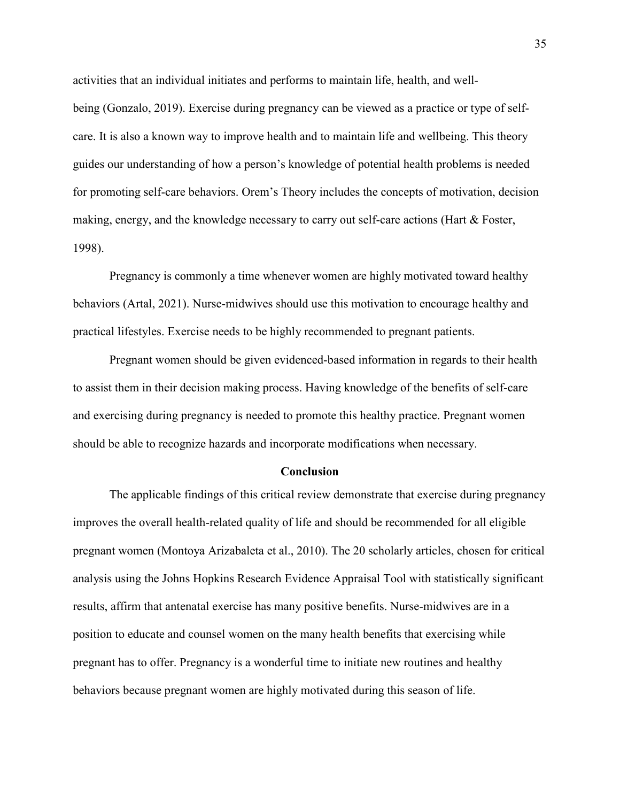activities that an individual initiates and performs to maintain life, health, and wellbeing (Gonzalo, 2019). Exercise during pregnancy can be viewed as a practice or type of selfcare. It is also a known way to improve health and to maintain life and wellbeing. This theory guides our understanding of how a person's knowledge of potential health problems is needed for promoting self-care behaviors. Orem's Theory includes the concepts of motivation, decision making, energy, and the knowledge necessary to carry out self-care actions (Hart & Foster, 1998).

Pregnancy is commonly a time whenever women are highly motivated toward healthy behaviors (Artal, 2021). Nurse-midwives should use this motivation to encourage healthy and practical lifestyles. Exercise needs to be highly recommended to pregnant patients.

Pregnant women should be given evidenced-based information in regards to their health to assist them in their decision making process. Having knowledge of the benefits of self-care and exercising during pregnancy is needed to promote this healthy practice. Pregnant women should be able to recognize hazards and incorporate modifications when necessary.

#### **Conclusion**

The applicable findings of this critical review demonstrate that exercise during pregnancy improves the overall health-related quality of life and should be recommended for all eligible pregnant women (Montoya Arizabaleta et al., 2010). The 20 scholarly articles, chosen for critical analysis using the Johns Hopkins Research Evidence Appraisal Tool with statistically significant results, affirm that antenatal exercise has many positive benefits. Nurse-midwives are in a position to educate and counsel women on the many health benefits that exercising while pregnant has to offer. Pregnancy is a wonderful time to initiate new routines and healthy behaviors because pregnant women are highly motivated during this season of life.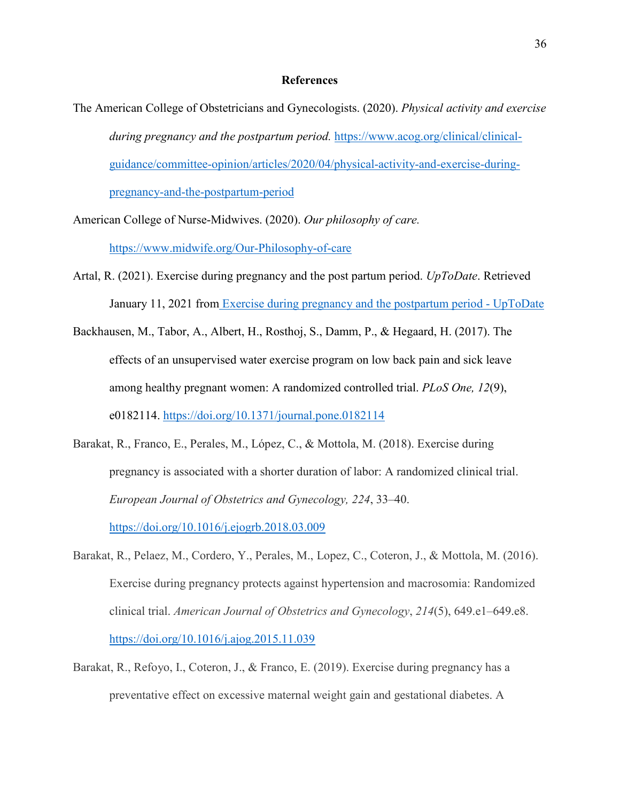#### **References**

The American College of Obstetricians and Gynecologists. (2020). *Physical activity and exercise during pregnancy and the postpartum period.* [https://www.acog.org/clinical/clinical](https://www.acog.org/clinical/clinical-guidance/committee-opinion/articles/2020/04/physical-activity-and-exercise-during-pregnancy-and-the-postpartum-period)[guidance/committee-opinion/articles/2020/04/physical-activity-and-exercise-during](https://www.acog.org/clinical/clinical-guidance/committee-opinion/articles/2020/04/physical-activity-and-exercise-during-pregnancy-and-the-postpartum-period)[pregnancy-and-the-postpartum-period](https://www.acog.org/clinical/clinical-guidance/committee-opinion/articles/2020/04/physical-activity-and-exercise-during-pregnancy-and-the-postpartum-period) 

American College of Nurse-Midwives. (2020). *Our philosophy of care.* 

<https://www.midwife.org/Our-Philosophy-of-care>

- Artal, R. (2021). Exercise during pregnancy and the post partum period. *UpToDate*. Retrieved January 11, 2021 from [Exercise during pregnancy and the postpartum period - UpToDate](https://www.uptodate.com/contents/exercise-during-pregnancy-and-the-postpartum-period?search=exercise%20during%20pregnancy%20and%20postpartum&source=search_result&selectedTitle=1%7E150&usage_type=default&display_rank=1)
- Backhausen, M., Tabor, A., Albert, H., Rosthoj, S., Damm, P., & Hegaard, H. (2017). The effects of an unsupervised water exercise program on low back pain and sick leave among healthy pregnant women: A randomized controlled trial. *PLoS One, 12*(9), e0182114.<https://doi.org/10.1371/journal.pone.0182114>
- Barakat, R., Franco, E., Perales, M., López, C., & Mottola, M. (2018). Exercise during pregnancy is associated with a shorter duration of labor: A randomized clinical trial. *European Journal of Obstetrics and Gynecology, 224*, 33–40. <https://doi.org/10.1016/j.ejogrb.2018.03.009>
- Barakat, R., Pelaez, M., Cordero, Y., Perales, M., Lopez, C., Coteron, J., & Mottola, M. (2016). Exercise during pregnancy protects against hypertension and macrosomia: Randomized clinical trial. *American Journal of Obstetrics and Gynecology*, *214*(5), 649.e1–649.e8. <https://doi.org/10.1016/j.ajog.2015.11.039>
- Barakat, R., Refoyo, I., Coteron, J., & Franco, E. (2019). Exercise during pregnancy has a preventative effect on excessive maternal weight gain and gestational diabetes. A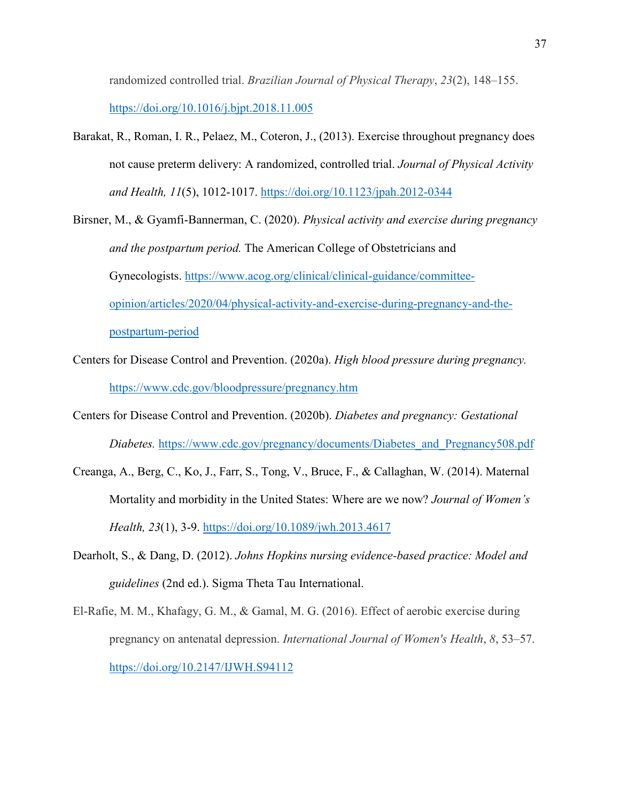randomized controlled trial. *Brazilian Journal of Physical Therapy*, *23*(2), 148–155. <https://doi.org/10.1016/j.bjpt.2018.11.005>

- Barakat, R., Roman, I. R., Pelaez, M., Coteron, J., (2013). Exercise throughout pregnancy does not cause preterm delivery: A randomized, controlled trial. *Journal of Physical Activity and Health, 11*(5), 1012-1017. <https://doi.org/10.1123/jpah.2012-0344>
- Birsner, M., & Gyamfi-Bannerman, C. (2020). *Physical activity and exercise during pregnancy and the postpartum period.* The American College of Obstetricians and Gynecologists. [https://www.acog.org/clinical/clinical-guidance/committee](https://www.acog.org/clinical/clinical-guidance/committee-opinion/articles/2020/04/physical-activity-and-exercise-during-pregnancy-and-the-postpartum-period)[opinion/articles/2020/04/physical-activity-and-exercise-during-pregnancy-and-the](https://www.acog.org/clinical/clinical-guidance/committee-opinion/articles/2020/04/physical-activity-and-exercise-during-pregnancy-and-the-postpartum-period)[postpartum-period](https://www.acog.org/clinical/clinical-guidance/committee-opinion/articles/2020/04/physical-activity-and-exercise-during-pregnancy-and-the-postpartum-period)
- Centers for Disease Control and Prevention. (2020a). *High blood pressure during pregnancy.*  <https://www.cdc.gov/bloodpressure/pregnancy.htm>
- Centers for Disease Control and Prevention. (2020b). *Diabetes and pregnancy: Gestational Diabetes.* [https://www.cdc.gov/pregnancy/documents/Diabetes\\_and\\_Pregnancy508.pdf](https://www.cdc.gov/pregnancy/documents/Diabetes_and_Pregnancy508.pdf)
- Creanga, A., Berg, C., Ko, J., Farr, S., Tong, V., Bruce, F., & Callaghan, W. (2014). Maternal Mortality and morbidity in the United States: Where are we now? *Journal of Women's Health, 23*(1), 3-9.<https://doi.org/10.1089/jwh.2013.4617>
- Dearholt, S., & Dang, D. (2012). *Johns Hopkins nursing evidence-based practice: Model and guidelines* (2nd ed.). Sigma Theta Tau International.
- El-Rafie, M. M., Khafagy, G. M., & Gamal, M. G. (2016). Effect of aerobic exercise during pregnancy on antenatal depression. *International Journal of Women's Health*, *8*, 53–57. <https://doi.org/10.2147/IJWH.S94112>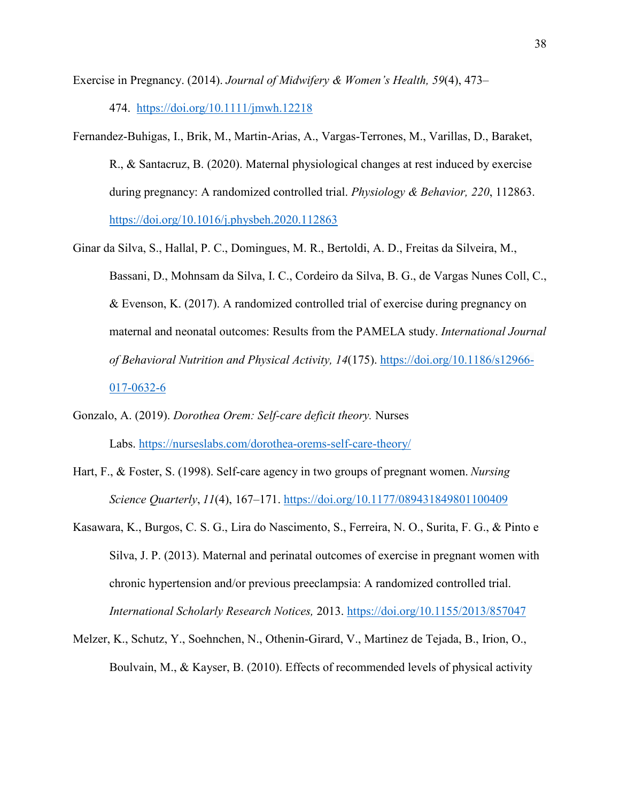Exercise in Pregnancy. (2014). *Journal of Midwifery & Women's Health, 59*(4), 473–

474. <https://doi.org/10.1111/jmwh.12218>

- Fernandez-Buhigas, I., Brik, M., Martin-Arias, A., Vargas-Terrones, M., Varillas, D., Baraket, R., & Santacruz, B. (2020). Maternal physiological changes at rest induced by exercise during pregnancy: A randomized controlled trial. *Physiology & Behavior, 220*, 112863. <https://doi.org/10.1016/j.physbeh.2020.112863>
- Ginar da Silva, S., Hallal, P. C., Domingues, M. R., Bertoldi, A. D., Freitas da Silveira, M., Bassani, D., Mohnsam da Silva, I. C., Cordeiro da Silva, B. G., de Vargas Nunes Coll, C., & Evenson, K. (2017). A randomized controlled trial of exercise during pregnancy on maternal and neonatal outcomes: Results from the PAMELA study. *International Journal of Behavioral Nutrition and Physical Activity, 14*(175). [https://doi.org/10.1186/s12966-](https://doi.org/10.1186/s12966-017-0632-6) [017-0632-6](https://doi.org/10.1186/s12966-017-0632-6)
- Gonzalo, A. (2019). *Dorothea Orem: Self-care deficit theory.* Nurses Labs. <https://nurseslabs.com/dorothea-orems-self-care-theory/>
- Hart, F., & Foster, S. (1998). Self-care agency in two groups of pregnant women. *Nursing Science Quarterly*, *11*(4), 167–171.<https://doi.org/10.1177/089431849801100409>
- Kasawara, K., Burgos, C. S. G., Lira do Nascimento, S., Ferreira, N. O., Surita, F. G., & Pinto e Silva, J. P. (2013). Maternal and perinatal outcomes of exercise in pregnant women with chronic hypertension and/or previous preeclampsia: A randomized controlled trial. *International Scholarly Research Notices,* 2013.<https://doi.org/10.1155/2013/857047>
- Melzer, K., Schutz, Y., Soehnchen, N., Othenin-Girard, V., Martinez de Tejada, B., Irion, O., Boulvain, M., & Kayser, B. (2010). Effects of recommended levels of physical activity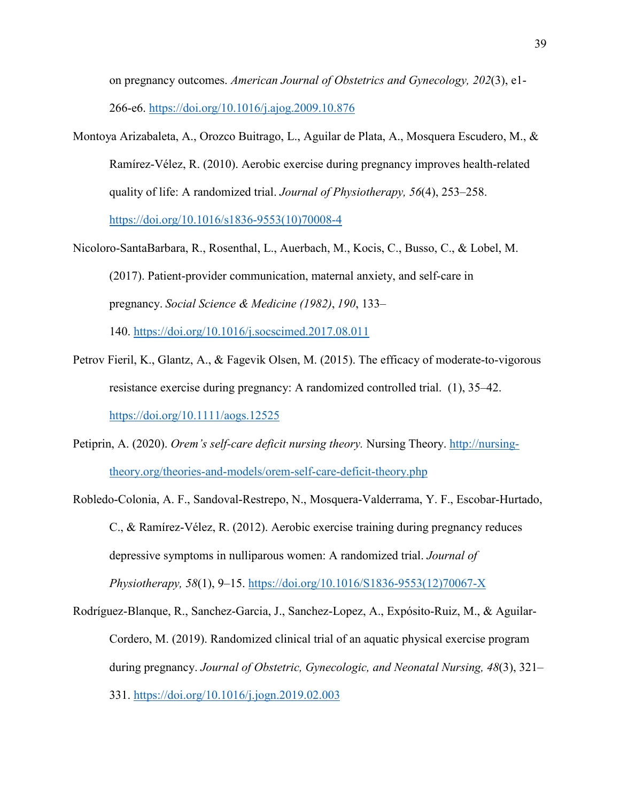on pregnancy outcomes. *American Journal of Obstetrics and Gynecology, 202*(3), e1- 266-e6.<https://doi.org/10.1016/j.ajog.2009.10.876>

- Montoya Arizabaleta, A., Orozco Buitrago, L., Aguilar de Plata, A., Mosquera Escudero, M., & Ramírez-Vélez, R. (2010). Aerobic exercise during pregnancy improves health-related quality of life: A randomized trial. *Journal of Physiotherapy, 56*(4), 253–258. [https://doi.org/10.1016/s1836-9553\(10\)70008-4](https://doi.org/10.1016/s1836-9553(10)70008-4)
- Nicoloro-SantaBarbara, R., Rosenthal, L., Auerbach, M., Kocis, C., Busso, C., & Lobel, M. (2017). Patient-provider communication, maternal anxiety, and self-care in pregnancy. *Social Science & Medicine (1982)*, *190*, 133–

140.<https://doi.org/10.1016/j.socscimed.2017.08.011>

- Petrov Fieril, K., Glantz, A., & Fagevik Olsen, M. (2015). The efficacy of moderate-to-vigorous resistance exercise during pregnancy: A randomized controlled trial. (1), 35–42. <https://doi.org/10.1111/aogs.12525>
- Petiprin, A. (2020). *Orem's self-care deficit nursing theory.* Nursing Theory. [http://nursing](http://nursing-theory.org/theories-and-models/orem-self-care-deficit-theory.php)[theory.org/theories-and-models/orem-self-care-deficit-theory.php](http://nursing-theory.org/theories-and-models/orem-self-care-deficit-theory.php)
- Robledo-Colonia, A. F., Sandoval-Restrepo, N., Mosquera-Valderrama, Y. F., Escobar-Hurtado, C., & Ramírez-Vélez, R. (2012). Aerobic exercise training during pregnancy reduces depressive symptoms in nulliparous women: A randomized trial. *Journal of Physiotherapy, 58*(1), 9–15. [https://doi.org/10.1016/S1836-9553\(12\)70067-X](https://doi.org/10.1016/S1836-9553(12)70067-X)

Rodríguez-Blanque, R., Sanchez-Garcia, J., Sanchez-Lopez, A., Expósito-Ruiz, M., & Aguilar-Cordero, M. (2019). Randomized clinical trial of an aquatic physical exercise program during pregnancy. *Journal of Obstetric, Gynecologic, and Neonatal Nursing, 48*(3), 321– 331.<https://doi.org/10.1016/j.jogn.2019.02.003>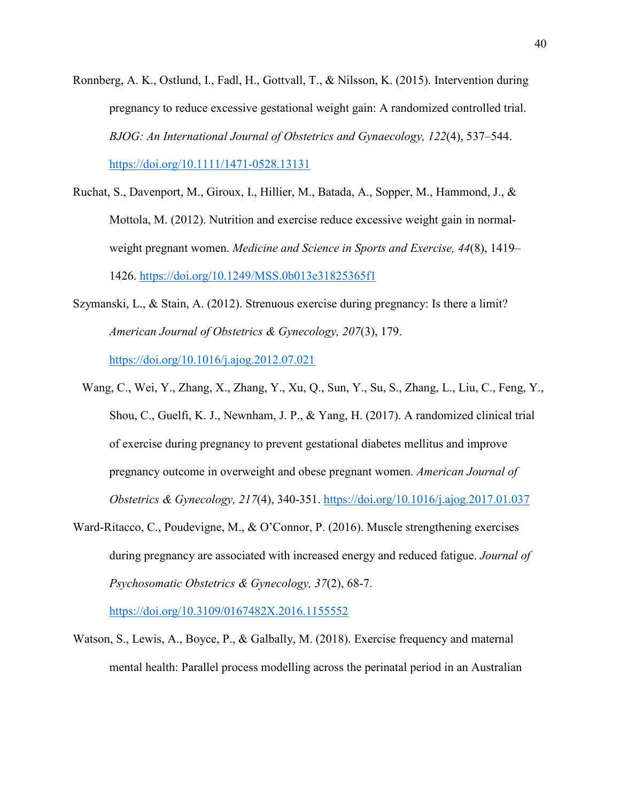- Ronnberg, A. K., Ostlund, I., Fadl, H., Gottvall, T., & Nilsson, K. (2015). Intervention during pregnancy to reduce excessive gestational weight gain: A randomized controlled trial. *BJOG: An International Journal of Obstetrics and Gynaecology, 122*(4), 537–544. <https://doi.org/10.1111/1471-0528.13131>
- Ruchat, S., Davenport, M., Giroux, I., Hillier, M., Batada, A., Sopper, M., Hammond, J., & Mottola, M. (2012). Nutrition and exercise reduce excessive weight gain in normalweight pregnant women. *Medicine and Science in Sports and Exercise, 44*(8), 1419– 1426.<https://doi.org/10.1249/MSS.0b013e31825365f1>
- Szymanski, L., & Stain, A. (2012). Strenuous exercise during pregnancy: Is there a limit? *American Journal of Obstetrics & Gynecology, 207*(3), 179. <https://doi.org/10.1016/j.ajog.2012.07.021>
	- Wang, C., Wei, Y., Zhang, X., Zhang, Y., Xu, Q., Sun, Y., Su, S., Zhang, L., Liu, C., Feng, Y., Shou, C., Guelfi, K. J., Newnham, J. P., & Yang, H. (2017). A randomized clinical trial of exercise during pregnancy to prevent gestational diabetes mellitus and improve pregnancy outcome in overweight and obese pregnant women. *American Journal of Obstetrics & Gynecology, 217*(4), 340-351.<https://doi.org/10.1016/j.ajog.2017.01.037>
- Ward-Ritacco, C., Poudevigne, M., & O'Connor, P. (2016). Muscle strengthening exercises during pregnancy are associated with increased energy and reduced fatigue. *Journal of Psychosomatic Obstetrics & Gynecology, 37*(2), 68-7.

<https://doi.org/10.3109/0167482X.2016.1155552>

Watson, S., Lewis, A., Boyce, P., & Galbally, M. (2018). Exercise frequency and maternal mental health: Parallel process modelling across the perinatal period in an Australian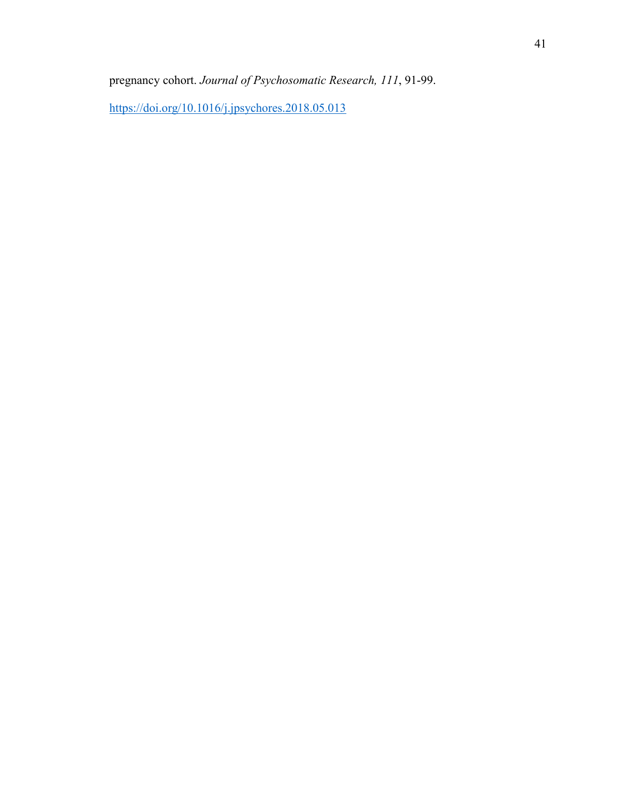pregnancy cohort. *Journal of Psychosomatic Research, 111*, 91-99.

<https://doi.org/10.1016/j.jpsychores.2018.05.013>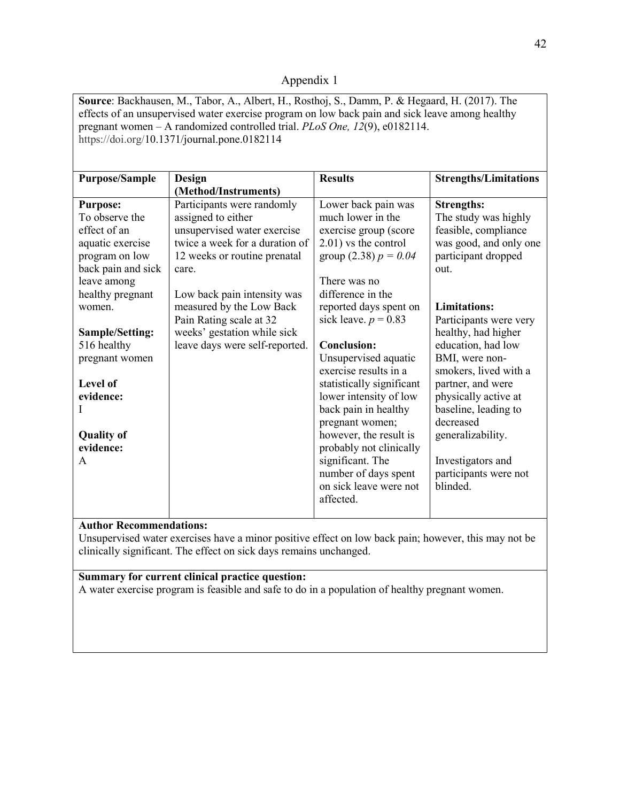# Appendix 1

**Source**: Backhausen, M., Tabor, A., Albert, H., Rosthoj, S., Damm, P. & Hegaard, H. (2017). The effects of an unsupervised water exercise program on low back pain and sick leave among healthy pregnant women – A randomized controlled trial. *PLoS One, 12*(9), e0182114. https://doi.org/10.1371/journal.pone.0182114 **Purpose/Sample Design (Method/Instruments) Results Strengths/Limitations Purpose:** To observe the effect of an aquatic exercise program on low back pain and sick leave among healthy pregnant women. **Sample/Setting:** 516 healthy pregnant women **Level of evidence:** I **Quality of evidence:** A Participants were randomly assigned to either unsupervised water exercise twice a week for a duration of 12 weeks or routine prenatal care. Low back pain intensity was measured by the Low Back Pain Rating scale at 32 weeks' gestation while sick leave days were self-reported. Lower back pain was much lower in the exercise group (score 2.01) vs the control group  $(2.38) p = 0.04$ There was no difference in the reported days spent on sick leave.  $p = 0.83$ **Conclusion:** Unsupervised aquatic exercise results in a statistically significant lower intensity of low back pain in healthy pregnant women; however, the result is probably not clinically significant. The number of days spent on sick leave were not affected. **Strengths:** The study was highly feasible, compliance was good, and only one participant dropped out. **Limitations:** Participants were very healthy, had higher education, had low BMI, were nonsmokers, lived with a partner, and were physically active at baseline, leading to decreased generalizability. Investigators and participants were not blinded.

# **Author Recommendations:**

Unsupervised water exercises have a minor positive effect on low back pain; however, this may not be clinically significant. The effect on sick days remains unchanged.

# **Summary for current clinical practice question:**

A water exercise program is feasible and safe to do in a population of healthy pregnant women.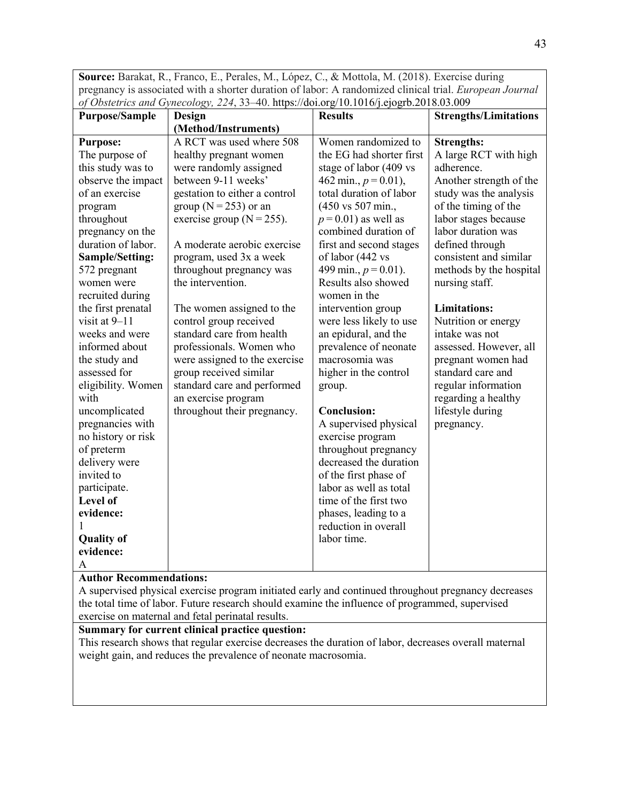**Source:** Barakat, R., Franco, E., Perales, M., López, C., & Mottola, M. (2018). Exercise during pregnancy is associated with a shorter duration of labor: A randomized clinical trial. *European Journal of Obstetrics and Gynecology, 224*, 33–40. https://doi.org/10.1016/j.ejogrb.2018.03.009

| <b>Purpose/Sample</b>       | $\sigma$ coster tes and cynecology, $\mu$ , i.e. not impose concept correction proposes<br>Design | <b>Results</b>                                 | <b>Strengths/Limitations</b> |
|-----------------------------|---------------------------------------------------------------------------------------------------|------------------------------------------------|------------------------------|
|                             | (Method/Instruments)                                                                              |                                                |                              |
| <b>Purpose:</b>             | A RCT was used where 508                                                                          | Women randomized to                            | <b>Strengths:</b>            |
| The purpose of              | healthy pregnant women                                                                            | the EG had shorter first                       | A large RCT with high        |
| this study was to           | were randomly assigned                                                                            | stage of labor (409 vs                         | adherence.                   |
| observe the impact          | between 9-11 weeks'                                                                               | 462 min., $p = 0.01$ ),                        | Another strength of the      |
| of an exercise              | gestation to either a control                                                                     | total duration of labor                        | study was the analysis       |
| program                     | group ( $N = 253$ ) or an                                                                         | (450 vs 507 min.,                              | of the timing of the         |
| throughout                  | exercise group $(N = 255)$ .                                                                      | $p = 0.01$ ) as well as                        | labor stages because         |
| pregnancy on the            |                                                                                                   | combined duration of                           | labor duration was           |
| duration of labor.          | A moderate aerobic exercise                                                                       | first and second stages                        | defined through              |
| <b>Sample/Setting:</b>      | program, used 3x a week                                                                           | of labor (442 vs                               | consistent and similar       |
| 572 pregnant                | throughout pregnancy was                                                                          | 499 min., $p = 0.01$ ).                        | methods by the hospital      |
| women were                  | the intervention.                                                                                 | Results also showed                            | nursing staff.               |
| recruited during            |                                                                                                   | women in the                                   |                              |
| the first prenatal          | The women assigned to the                                                                         | intervention group                             | <b>Limitations:</b>          |
| visit at 9-11               | control group received                                                                            | were less likely to use                        | Nutrition or energy          |
| weeks and were              | standard care from health                                                                         | an epidural, and the                           | intake was not               |
| informed about              | professionals. Women who                                                                          | prevalence of neonate                          | assessed. However, all       |
| the study and               | were assigned to the exercise                                                                     | macrosomia was                                 | pregnant women had           |
| assessed for                | group received similar                                                                            | higher in the control                          | standard care and            |
| eligibility. Women          | standard care and performed                                                                       | group.                                         | regular information          |
| with                        | an exercise program                                                                               |                                                | regarding a healthy          |
| uncomplicated               | throughout their pregnancy.                                                                       | <b>Conclusion:</b>                             | lifestyle during             |
| pregnancies with            |                                                                                                   | A supervised physical                          | pregnancy.                   |
| no history or risk          |                                                                                                   | exercise program                               |                              |
| of preterm<br>delivery were |                                                                                                   | throughout pregnancy<br>decreased the duration |                              |
| invited to                  |                                                                                                   | of the first phase of                          |                              |
| participate.                |                                                                                                   | labor as well as total                         |                              |
| Level of                    |                                                                                                   | time of the first two                          |                              |
| evidence:                   |                                                                                                   | phases, leading to a                           |                              |
|                             |                                                                                                   | reduction in overall                           |                              |
| <b>Quality of</b>           |                                                                                                   | labor time.                                    |                              |
| evidence:                   |                                                                                                   |                                                |                              |
| A                           |                                                                                                   |                                                |                              |

#### **Author Recommendations:**

A supervised physical exercise program initiated early and continued throughout pregnancy decreases the total time of labor. Future research should examine the influence of programmed, supervised exercise on maternal and fetal perinatal results.

# **Summary for current clinical practice question:**

This research shows that regular exercise decreases the duration of labor, decreases overall maternal weight gain, and reduces the prevalence of neonate macrosomia.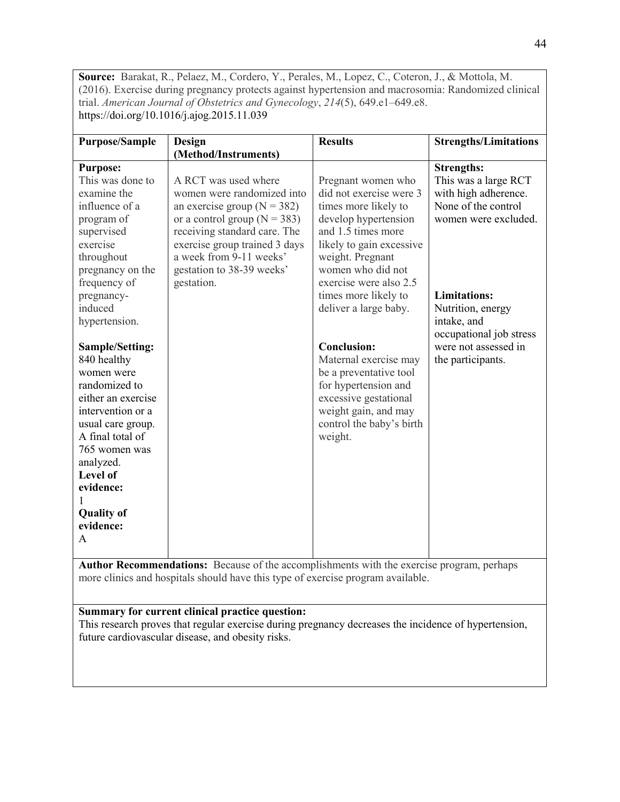**Source:** Barakat, R., Pelaez, M., Cordero, Y., Perales, M., Lopez, C., Coteron, J., & Mottola, M. (2016). Exercise during pregnancy protects against hypertension and macrosomia: Randomized clinical trial. *American Journal of Obstetrics and Gynecology*, *214*(5), 649.e1–649.e8. https://doi.org/10.1016/j.ajog.2015.11.039

| <b>Purpose/Sample</b>                                                                                                                                                                                                                           | <b>Design</b>                                                                                                                                                                                                                                                    | <b>Results</b>                                                                                                                                                                                                                                                      | <b>Strengths/Limitations</b>                                                                                                                                                                           |
|-------------------------------------------------------------------------------------------------------------------------------------------------------------------------------------------------------------------------------------------------|------------------------------------------------------------------------------------------------------------------------------------------------------------------------------------------------------------------------------------------------------------------|---------------------------------------------------------------------------------------------------------------------------------------------------------------------------------------------------------------------------------------------------------------------|--------------------------------------------------------------------------------------------------------------------------------------------------------------------------------------------------------|
|                                                                                                                                                                                                                                                 | (Method/Instruments)                                                                                                                                                                                                                                             |                                                                                                                                                                                                                                                                     |                                                                                                                                                                                                        |
| <b>Purpose:</b><br>This was done to<br>examine the<br>influence of a<br>program of<br>supervised<br>exercise<br>throughout<br>pregnancy on the<br>frequency of<br>pregnancy-<br>induced<br>hypertension.                                        | A RCT was used where<br>women were randomized into<br>an exercise group ( $N = 382$ )<br>or a control group ( $N = 383$ )<br>receiving standard care. The<br>exercise group trained 3 days<br>a week from 9-11 weeks'<br>gestation to 38-39 weeks'<br>gestation. | Pregnant women who<br>did not exercise were 3<br>times more likely to<br>develop hypertension<br>and 1.5 times more<br>likely to gain excessive<br>weight. Pregnant<br>women who did not<br>exercise were also 2.5<br>times more likely to<br>deliver a large baby. | <b>Strengths:</b><br>This was a large RCT<br>with high adherence.<br>None of the control<br>women were excluded.<br><b>Limitations:</b><br>Nutrition, energy<br>intake, and<br>occupational job stress |
| Sample/Setting:<br>840 healthy<br>women were<br>randomized to<br>either an exercise<br>intervention or a<br>usual care group.<br>A final total of<br>765 women was<br>analyzed.<br>Level of<br>evidence:<br><b>Quality of</b><br>evidence:<br>A |                                                                                                                                                                                                                                                                  | <b>Conclusion:</b><br>Maternal exercise may<br>be a preventative tool<br>for hypertension and<br>excessive gestational<br>weight gain, and may<br>control the baby's birth<br>weight.                                                                               | were not assessed in<br>the participants.                                                                                                                                                              |

**Author Recommendations:** Because of the accomplishments with the exercise program, perhaps more clinics and hospitals should have this type of exercise program available.

# **Summary for current clinical practice question:**

This research proves that regular exercise during pregnancy decreases the incidence of hypertension, future cardiovascular disease, and obesity risks.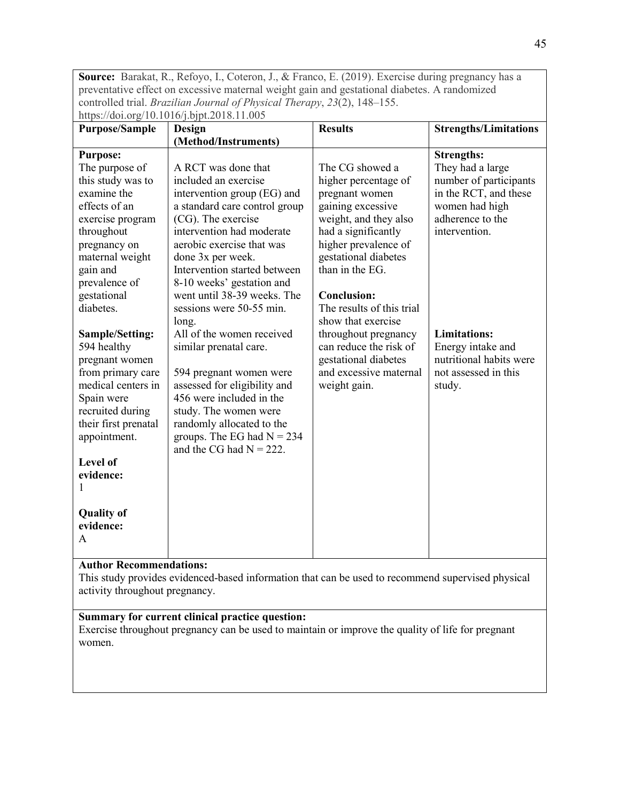**Source:** Barakat, R., Refoyo, I., Coteron, J., & Franco, E. (2019). Exercise during pregnancy has a preventative effect on excessive maternal weight gain and gestational diabetes. A randomized controlled trial. *Brazilian Journal of Physical Therapy*, *23*(2), 148–155. https://doi.org/10.1016/j.bipt.2018.11.005

| <b>Purpose/Sample</b> | Design                        | <b>Results</b>            | <b>Strengths/Limitations</b> |
|-----------------------|-------------------------------|---------------------------|------------------------------|
|                       | (Method/Instruments)          |                           |                              |
|                       |                               |                           |                              |
| <b>Purpose:</b>       |                               |                           | <b>Strengths:</b>            |
| The purpose of        | A RCT was done that           | The CG showed a           | They had a large             |
| this study was to     | included an exercise          | higher percentage of      | number of participants       |
| examine the           | intervention group (EG) and   | pregnant women            | in the RCT, and these        |
| effects of an         | a standard care control group | gaining excessive         | women had high               |
| exercise program      | (CG). The exercise            | weight, and they also     | adherence to the             |
| throughout            | intervention had moderate     | had a significantly       | intervention.                |
| pregnancy on          | aerobic exercise that was     | higher prevalence of      |                              |
| maternal weight       | done 3x per week.             | gestational diabetes      |                              |
| gain and              | Intervention started between  | than in the EG.           |                              |
| prevalence of         | 8-10 weeks' gestation and     |                           |                              |
| gestational           | went until 38-39 weeks. The   | <b>Conclusion:</b>        |                              |
| diabetes.             | sessions were 50-55 min.      | The results of this trial |                              |
|                       | long.                         | show that exercise        |                              |
| Sample/Setting:       | All of the women received     | throughout pregnancy      | <b>Limitations:</b>          |
| 594 healthy           | similar prenatal care.        | can reduce the risk of    | Energy intake and            |
| pregnant women        |                               | gestational diabetes      | nutritional habits were      |
| from primary care     | 594 pregnant women were       | and excessive maternal    | not assessed in this         |
| medical centers in    | assessed for eligibility and  | weight gain.              | study.                       |
| Spain were            | 456 were included in the      |                           |                              |
| recruited during      | study. The women were         |                           |                              |
| their first prenatal  | randomly allocated to the     |                           |                              |
| appointment.          | groups. The EG had $N = 234$  |                           |                              |
|                       | and the CG had $N = 222$ .    |                           |                              |
| Level of              |                               |                           |                              |
| evidence:             |                               |                           |                              |
|                       |                               |                           |                              |
| 1                     |                               |                           |                              |
|                       |                               |                           |                              |
| <b>Quality of</b>     |                               |                           |                              |
| evidence:             |                               |                           |                              |
| A                     |                               |                           |                              |
|                       |                               |                           |                              |

# **Author Recommendations:**

This study provides evidenced-based information that can be used to recommend supervised physical activity throughout pregnancy.

# **Summary for current clinical practice question:**

Exercise throughout pregnancy can be used to maintain or improve the quality of life for pregnant women.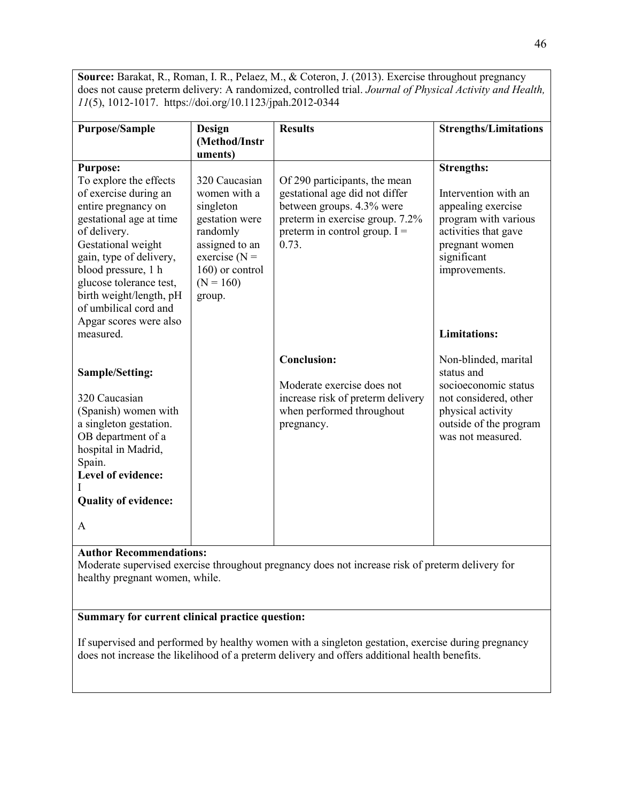**Source:** Barakat, R., Roman, I. R., Pelaez, M., & Coteron, J. (2013). Exercise throughout pregnancy does not cause preterm delivery: A randomized, controlled trial. *Journal of Physical Activity and Health, 11*(5), 1012-1017. https://doi.org/10.1123/jpah.2012-0344

| <b>Purpose/Sample</b>                                                                                                                                                                                                                                                    | <b>Design</b>                                                                                                                                              | <b>Results</b>                                                                                                                                                              | <b>Strengths/Limitations</b>                                                                                                                            |
|--------------------------------------------------------------------------------------------------------------------------------------------------------------------------------------------------------------------------------------------------------------------------|------------------------------------------------------------------------------------------------------------------------------------------------------------|-----------------------------------------------------------------------------------------------------------------------------------------------------------------------------|---------------------------------------------------------------------------------------------------------------------------------------------------------|
|                                                                                                                                                                                                                                                                          | (Method/Instr                                                                                                                                              |                                                                                                                                                                             |                                                                                                                                                         |
|                                                                                                                                                                                                                                                                          | uments)                                                                                                                                                    |                                                                                                                                                                             |                                                                                                                                                         |
| <b>Purpose:</b>                                                                                                                                                                                                                                                          |                                                                                                                                                            |                                                                                                                                                                             | <b>Strengths:</b>                                                                                                                                       |
| To explore the effects<br>of exercise during an<br>entire pregnancy on<br>gestational age at time<br>of delivery.<br>Gestational weight<br>gain, type of delivery,<br>blood pressure, 1 h<br>glucose tolerance test,<br>birth weight/length, pH<br>of umbilical cord and | 320 Caucasian<br>women with a<br>singleton<br>gestation were<br>randomly<br>assigned to an<br>exercise ( $N =$<br>160) or control<br>$(N = 160)$<br>group. | Of 290 participants, the mean<br>gestational age did not differ<br>between groups. 4.3% were<br>preterm in exercise group. 7.2%<br>preterm in control group. $I =$<br>0.73. | Intervention with an<br>appealing exercise<br>program with various<br>activities that gave<br>pregnant women<br>significant<br>improvements.            |
| Apgar scores were also<br>measured.                                                                                                                                                                                                                                      |                                                                                                                                                            |                                                                                                                                                                             | <b>Limitations:</b>                                                                                                                                     |
| <b>Sample/Setting:</b><br>320 Caucasian<br>(Spanish) women with<br>a singleton gestation.<br>OB department of a<br>hospital in Madrid,<br>Spain.<br>Level of evidence:<br><b>Quality of evidence:</b><br>A                                                               |                                                                                                                                                            | <b>Conclusion:</b><br>Moderate exercise does not<br>increase risk of preterm delivery<br>when performed throughout<br>pregnancy.                                            | Non-blinded, marital<br>status and<br>socioeconomic status<br>not considered, other<br>physical activity<br>outside of the program<br>was not measured. |

#### **Author Recommendations:**

Moderate supervised exercise throughout pregnancy does not increase risk of preterm delivery for healthy pregnant women, while.

# **Summary for current clinical practice question:**

If supervised and performed by healthy women with a singleton gestation, exercise during pregnancy does not increase the likelihood of a preterm delivery and offers additional health benefits.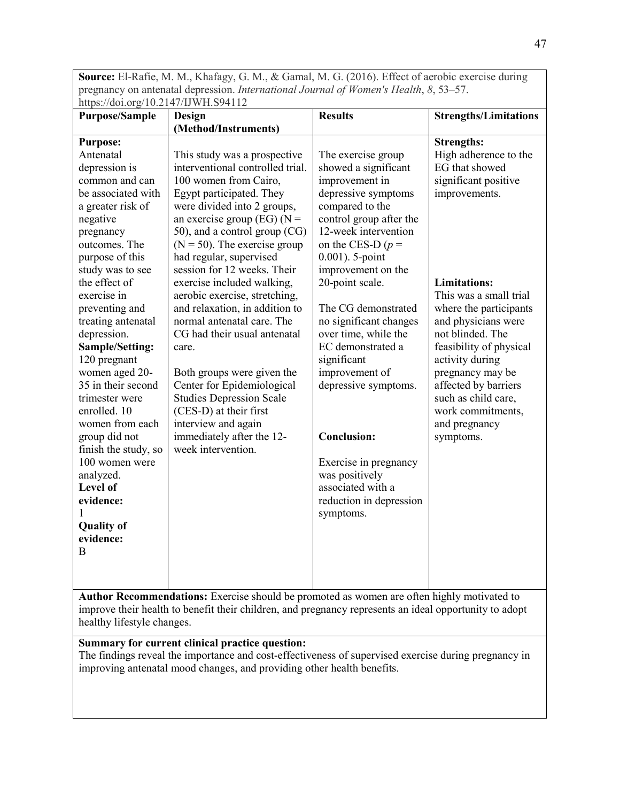**Source:** El-Rafie, M. M., Khafagy, G. M., & Gamal, M. G. (2016). Effect of aerobic exercise during pregnancy on antenatal depression. *International Journal of Women's Health*, *8*, 53–57. https://doi.org/10.2147/IJWH.S94112

| <b>Purpose/Sample</b>        | Design                           | <b>Results</b>                      | <b>Strengths/Limitations</b> |
|------------------------------|----------------------------------|-------------------------------------|------------------------------|
|                              | (Method/Instruments)             |                                     |                              |
| <b>Purpose:</b>              |                                  |                                     | <b>Strengths:</b>            |
| Antenatal                    | This study was a prospective     | The exercise group                  | High adherence to the        |
| depression is                | interventional controlled trial. | showed a significant                | EG that showed               |
| common and can               | 100 women from Cairo,            | improvement in                      | significant positive         |
| be associated with           | Egypt participated. They         | depressive symptoms                 | improvements.                |
| a greater risk of            | were divided into 2 groups,      | compared to the                     |                              |
| negative                     | an exercise group (EG) ( $N =$   | control group after the             |                              |
| pregnancy                    | 50), and a control group (CG)    | 12-week intervention                |                              |
| outcomes. The                | $(N = 50)$ . The exercise group  | on the CES-D $(p =$                 |                              |
| purpose of this              | had regular, supervised          | 0.001). 5-point                     |                              |
| study was to see             | session for 12 weeks. Their      | improvement on the                  |                              |
| the effect of                | exercise included walking,       | 20-point scale.                     | <b>Limitations:</b>          |
| exercise in                  | aerobic exercise, stretching,    |                                     | This was a small trial       |
| preventing and               | and relaxation, in addition to   | The CG demonstrated                 | where the participants       |
| treating antenatal           | normal antenatal care. The       | no significant changes              | and physicians were          |
| depression.                  | CG had their usual antenatal     | over time, while the                | not blinded. The             |
| Sample/Setting:              | care.                            | EC demonstrated a                   | feasibility of physical      |
| 120 pregnant                 |                                  | significant                         | activity during              |
| women aged 20-               | Both groups were given the       | improvement of                      | pregnancy may be             |
| 35 in their second           | Center for Epidemiological       | depressive symptoms.                | affected by barriers         |
| trimester were               | <b>Studies Depression Scale</b>  |                                     | such as child care,          |
| enrolled. 10                 | (CES-D) at their first           |                                     | work commitments,            |
| women from each              | interview and again              |                                     | and pregnancy                |
| group did not                | immediately after the 12-        | <b>Conclusion:</b>                  | symptoms.                    |
| finish the study, so         | week intervention.               |                                     |                              |
| 100 women were               |                                  | Exercise in pregnancy               |                              |
| analyzed.<br><b>Level of</b> |                                  | was positively<br>associated with a |                              |
|                              |                                  |                                     |                              |
| evidence:                    |                                  | reduction in depression             |                              |
| <b>Quality of</b>            |                                  | symptoms.                           |                              |
| evidence:                    |                                  |                                     |                              |
| B                            |                                  |                                     |                              |
|                              |                                  |                                     |                              |
|                              |                                  |                                     |                              |
|                              |                                  |                                     |                              |

**Author Recommendations:** Exercise should be promoted as women are often highly motivated to improve their health to benefit their children, and pregnancy represents an ideal opportunity to adopt healthy lifestyle changes.

# **Summary for current clinical practice question:**

The findings reveal the importance and cost-effectiveness of supervised exercise during pregnancy in improving antenatal mood changes, and providing other health benefits.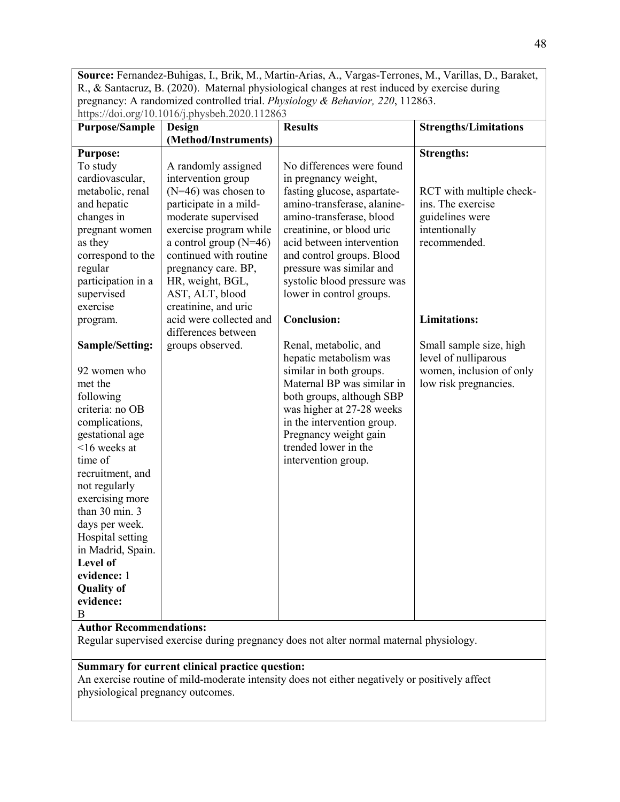**Source:** Fernandez-Buhigas, I., Brik, M., Martin-Arias, A., Vargas-Terrones, M., Varillas, D., Baraket, R., & Santacruz, B. (2020). Maternal physiological changes at rest induced by exercise during pregnancy: A randomized controlled trial. *Physiology & Behavior, 220*, 112863. https://doi.org/10.1016/j.physbeh.2020.112863

| <b>Purpose/Sample</b>          | Design                   | <b>Results</b>              | <b>Strengths/Limitations</b> |
|--------------------------------|--------------------------|-----------------------------|------------------------------|
|                                | (Method/Instruments)     |                             |                              |
| <b>Purpose:</b>                |                          |                             | <b>Strengths:</b>            |
| To study                       | A randomly assigned      | No differences were found   |                              |
| cardiovascular,                | intervention group       | in pregnancy weight,        |                              |
| metabolic, renal               | $(N=46)$ was chosen to   | fasting glucose, aspartate- | RCT with multiple check-     |
| and hepatic                    | participate in a mild-   | amino-transferase, alanine- | ins. The exercise            |
| changes in                     | moderate supervised      | amino-transferase, blood    | guidelines were              |
| pregnant women                 | exercise program while   | creatinine, or blood uric   | intentionally                |
| as they                        | a control group $(N=46)$ | acid between intervention   | recommended.                 |
| correspond to the              | continued with routine   | and control groups. Blood   |                              |
| regular                        | pregnancy care. BP,      | pressure was similar and    |                              |
| participation in a             | HR, weight, BGL,         | systolic blood pressure was |                              |
| supervised                     | AST, ALT, blood          | lower in control groups.    |                              |
| exercise                       | creatinine, and uric     |                             |                              |
| program.                       | acid were collected and  | <b>Conclusion:</b>          | <b>Limitations:</b>          |
|                                | differences between      |                             |                              |
| Sample/Setting:                | groups observed.         | Renal, metabolic, and       | Small sample size, high      |
|                                |                          | hepatic metabolism was      | level of nulliparous         |
| 92 women who                   |                          | similar in both groups.     | women, inclusion of only     |
| met the                        |                          | Maternal BP was similar in  | low risk pregnancies.        |
| following                      |                          | both groups, although SBP   |                              |
| criteria: no OB                |                          | was higher at 27-28 weeks   |                              |
| complications,                 |                          | in the intervention group.  |                              |
| gestational age                |                          | Pregnancy weight gain       |                              |
| $16$ weeks at                  |                          | trended lower in the        |                              |
| time of                        |                          | intervention group.         |                              |
| recruitment, and               |                          |                             |                              |
| not regularly                  |                          |                             |                              |
| exercising more                |                          |                             |                              |
| than 30 min. 3                 |                          |                             |                              |
| days per week.                 |                          |                             |                              |
| Hospital setting               |                          |                             |                              |
| in Madrid, Spain.              |                          |                             |                              |
| Level of                       |                          |                             |                              |
| evidence: 1                    |                          |                             |                              |
| <b>Quality of</b>              |                          |                             |                              |
| evidence:                      |                          |                             |                              |
| В                              |                          |                             |                              |
| <b>Author Recommendations:</b> |                          |                             |                              |

Regular supervised exercise during pregnancy does not alter normal maternal physiology.

#### **Summary for current clinical practice question:**

An exercise routine of mild-moderate intensity does not either negatively or positively affect physiological pregnancy outcomes.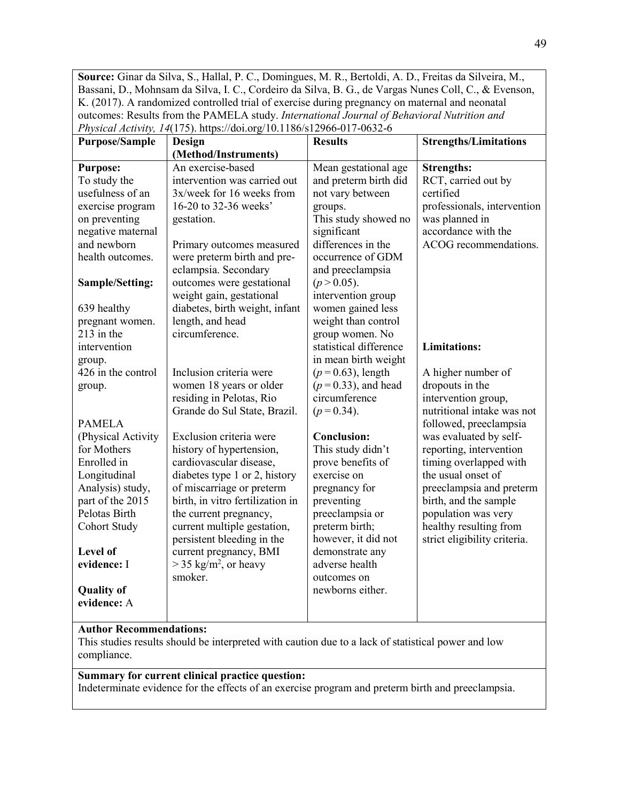**Source:** Ginar da Silva, S., Hallal, P. C., Domingues, M. R., Bertoldi, A. D., Freitas da Silveira, M., Bassani, D., Mohnsam da Silva, I. C., Cordeiro da Silva, B. G., de Vargas Nunes Coll, C., & Evenson, K. (2017). A randomized controlled trial of exercise during pregnancy on maternal and neonatal outcomes: Results from the PAMELA study. *International Journal of Behavioral Nutrition and Physical Activity, 14*(175). https://doi.org/10.1186/s12966-017-0632-6

| <b>Purpose/Sample</b> | <b>Design</b>                       | <b>Results</b>         | <b>Strengths/Limitations</b> |
|-----------------------|-------------------------------------|------------------------|------------------------------|
|                       | (Method/Instruments)                |                        |                              |
| <b>Purpose:</b>       | An exercise-based                   | Mean gestational age   | <b>Strengths:</b>            |
| To study the          | intervention was carried out        | and preterm birth did  | RCT, carried out by          |
| usefulness of an      | 3x/week for 16 weeks from           | not vary between       | certified                    |
| exercise program      | 16-20 to 32-36 weeks'               | groups.                | professionals, intervention  |
| on preventing         | gestation.                          | This study showed no   | was planned in               |
| negative maternal     |                                     | significant            | accordance with the          |
| and newborn           | Primary outcomes measured           | differences in the     | ACOG recommendations.        |
| health outcomes.      | were preterm birth and pre-         | occurrence of GDM      |                              |
|                       | eclampsia. Secondary                | and preeclampsia       |                              |
| Sample/Setting:       | outcomes were gestational           | $(p > 0.05)$ .         |                              |
|                       | weight gain, gestational            | intervention group     |                              |
| 639 healthy           | diabetes, birth weight, infant      | women gained less      |                              |
| pregnant women.       | length, and head                    | weight than control    |                              |
| $213$ in the          | circumference.                      | group women. No        |                              |
| intervention          |                                     | statistical difference | <b>Limitations:</b>          |
| group.                |                                     | in mean birth weight   |                              |
| 426 in the control    | Inclusion criteria were             | $(p=0.63)$ , length    | A higher number of           |
| group.                | women 18 years or older             | $(p=0.33)$ , and head  | dropouts in the              |
|                       | residing in Pelotas, Rio            | circumference          | intervention group,          |
|                       | Grande do Sul State, Brazil.        | $(p=0.34)$ .           | nutritional intake was not   |
| <b>PAMELA</b>         |                                     |                        | followed, preeclampsia       |
| (Physical Activity    | Exclusion criteria were             | <b>Conclusion:</b>     | was evaluated by self-       |
| for Mothers           | history of hypertension,            | This study didn't      | reporting, intervention      |
| Enrolled in           | cardiovascular disease,             | prove benefits of      | timing overlapped with       |
| Longitudinal          | diabetes type 1 or 2, history       | exercise on            | the usual onset of           |
| Analysis) study,      | of miscarriage or preterm           | pregnancy for          | preeclampsia and preterm     |
| part of the 2015      | birth, in vitro fertilization in    | preventing             | birth, and the sample        |
| Pelotas Birth         | the current pregnancy,              | preeclampsia or        | population was very          |
| Cohort Study          | current multiple gestation,         | preterm birth;         | healthy resulting from       |
|                       | persistent bleeding in the          | however, it did not    | strict eligibility criteria. |
| Level of              | current pregnancy, BMI              | demonstrate any        |                              |
| evidence: I           | $>$ 35 kg/m <sup>2</sup> , or heavy | adverse health         |                              |
|                       | smoker.                             | outcomes on            |                              |
| <b>Quality of</b>     |                                     | newborns either.       |                              |
| evidence: A           |                                     |                        |                              |
|                       |                                     |                        |                              |

# **Author Recommendations:**

This studies results should be interpreted with caution due to a lack of statistical power and low compliance.

# **Summary for current clinical practice question:**

Indeterminate evidence for the effects of an exercise program and preterm birth and preeclampsia.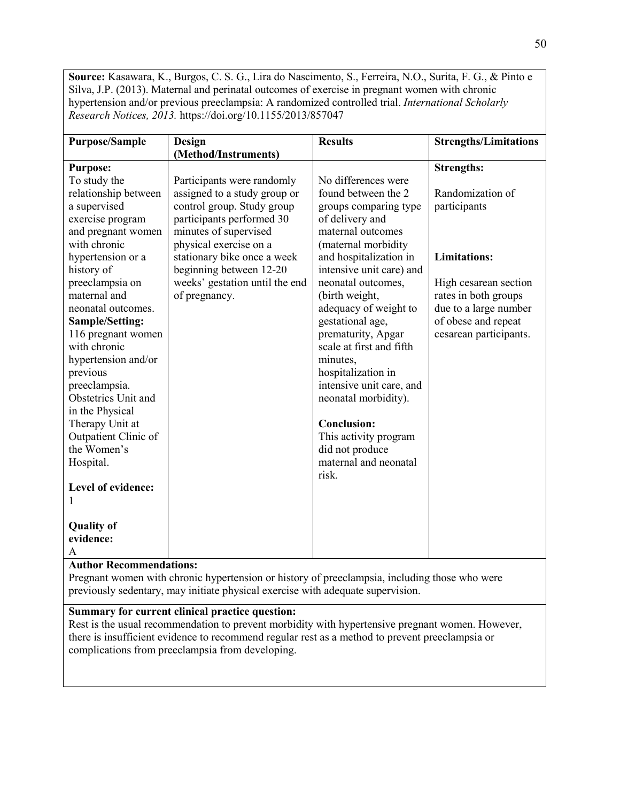**Source:** Kasawara, K., Burgos, C. S. G., Lira do Nascimento, S., Ferreira, N.O., Surita, F. G., & Pinto e Silva, J.P. (2013). Maternal and perinatal outcomes of exercise in pregnant women with chronic hypertension and/or previous preeclampsia: A randomized controlled trial. *International Scholarly Research Notices, 2013.* https://doi.org/10.1155/2013/857047

| <b>Purpose/Sample</b>  | Design                         | <b>Results</b>           | <b>Strengths/Limitations</b> |
|------------------------|--------------------------------|--------------------------|------------------------------|
|                        | (Method/Instruments)           |                          |                              |
| <b>Purpose:</b>        |                                |                          | <b>Strengths:</b>            |
| To study the           | Participants were randomly     | No differences were      |                              |
| relationship between   | assigned to a study group or   | found between the 2      | Randomization of             |
| a supervised           | control group. Study group     | groups comparing type    | participants                 |
| exercise program       | participants performed 30      | of delivery and          |                              |
| and pregnant women     | minutes of supervised          | maternal outcomes        |                              |
| with chronic           | physical exercise on a         | (maternal morbidity      |                              |
| hypertension or a      | stationary bike once a week    | and hospitalization in   | <b>Limitations:</b>          |
| history of             | beginning between 12-20        | intensive unit care) and |                              |
| preeclampsia on        | weeks' gestation until the end | neonatal outcomes,       | High cesarean section        |
| maternal and           | of pregnancy.                  | (birth weight,           | rates in both groups         |
| neonatal outcomes.     |                                | adequacy of weight to    | due to a large number        |
| <b>Sample/Setting:</b> |                                | gestational age,         | of obese and repeat          |
| 116 pregnant women     |                                | prematurity, Apgar       | cesarean participants.       |
| with chronic           |                                | scale at first and fifth |                              |
| hypertension and/or    |                                | minutes,                 |                              |
| previous               |                                | hospitalization in       |                              |
| preeclampsia.          |                                | intensive unit care, and |                              |
| Obstetrics Unit and    |                                | neonatal morbidity).     |                              |
| in the Physical        |                                |                          |                              |
| Therapy Unit at        |                                | <b>Conclusion:</b>       |                              |
| Outpatient Clinic of   |                                | This activity program    |                              |
| the Women's            |                                | did not produce          |                              |
| Hospital.              |                                | maternal and neonatal    |                              |
|                        |                                | risk.                    |                              |
| Level of evidence:     |                                |                          |                              |
|                        |                                |                          |                              |
| <b>Quality of</b>      |                                |                          |                              |
| evidence:              |                                |                          |                              |
| A                      |                                |                          |                              |

#### **Author Recommendations:**

Pregnant women with chronic hypertension or history of preeclampsia, including those who were previously sedentary, may initiate physical exercise with adequate supervision.

# **Summary for current clinical practice question:**

Rest is the usual recommendation to prevent morbidity with hypertensive pregnant women. However, there is insufficient evidence to recommend regular rest as a method to prevent preeclampsia or complications from preeclampsia from developing.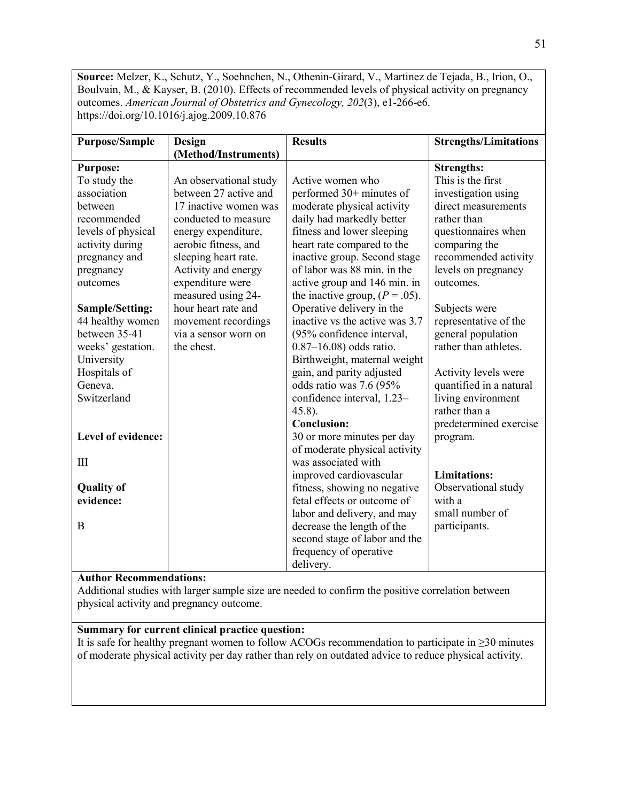**Source:** Melzer, K., Schutz, Y., Soehnchen, N., Othenin-Girard, V., Martinez de Tejada, B., Irion, O., Boulvain, M., & Kayser, B. (2010). Effects of recommended levels of physical activity on pregnancy outcomes. *American Journal of Obstetrics and Gynecology, 202*(3), e1-266-e6. https://doi.org/10.1016/j.ajog.2009.10.876

| <b>Purpose/Sample</b>  | <b>Design</b>          | <b>Results</b>                    | <b>Strengths/Limitations</b> |
|------------------------|------------------------|-----------------------------------|------------------------------|
|                        | (Method/Instruments)   |                                   |                              |
| <b>Purpose:</b>        |                        |                                   | <b>Strengths:</b>            |
| To study the           | An observational study | Active women who                  | This is the first            |
| association            | between 27 active and  | performed 30+ minutes of          | investigation using          |
| between                | 17 inactive women was  | moderate physical activity        | direct measurements          |
| recommended            | conducted to measure   | daily had markedly better         | rather than                  |
| levels of physical     | energy expenditure,    | fitness and lower sleeping        | questionnaires when          |
| activity during        | aerobic fitness, and   | heart rate compared to the        | comparing the                |
| pregnancy and          | sleeping heart rate.   | inactive group. Second stage      | recommended activity         |
| pregnancy              | Activity and energy    | of labor was 88 min. in the       | levels on pregnancy          |
| outcomes               | expenditure were       | active group and 146 min. in      | outcomes.                    |
|                        | measured using 24-     | the inactive group, $(P = .05)$ . |                              |
| <b>Sample/Setting:</b> | hour heart rate and    | Operative delivery in the         | Subjects were                |
| 44 healthy women       | movement recordings    | inactive vs the active was 3.7    | representative of the        |
| between 35-41          | via a sensor worn on   | (95% confidence interval,         | general population           |
| weeks' gestation.      | the chest.             | $0.87 - 16.08$ ) odds ratio.      | rather than athletes.        |
| University             |                        | Birthweight, maternal weight      |                              |
| Hospitals of           |                        | gain, and parity adjusted         | Activity levels were         |
| Geneva,                |                        | odds ratio was 7.6 (95%           | quantified in a natural      |
| Switzerland            |                        | confidence interval, 1.23-        | living environment           |
|                        |                        | $45.8$ ).                         | rather than a                |
|                        |                        | <b>Conclusion:</b>                | predetermined exercise       |
| Level of evidence:     |                        | 30 or more minutes per day        | program.                     |
|                        |                        | of moderate physical activity     |                              |
| Ш                      |                        | was associated with               |                              |
|                        |                        | improved cardiovascular           | <b>Limitations:</b>          |
| <b>Quality of</b>      |                        | fitness, showing no negative      | Observational study          |
| evidence:              |                        | fetal effects or outcome of       | with a                       |
|                        |                        | labor and delivery, and may       | small number of              |
| B                      |                        | decrease the length of the        | participants.                |
|                        |                        | second stage of labor and the     |                              |
|                        |                        | frequency of operative            |                              |
|                        |                        | delivery.                         |                              |

# **Author Recommendations:**

Additional studies with larger sample size are needed to confirm the positive correlation between physical activity and pregnancy outcome.

# **Summary for current clinical practice question:**

It is safe for healthy pregnant women to follow ACOGs recommendation to participate in ≥30 minutes of moderate physical activity per day rather than rely on outdated advice to reduce physical activity.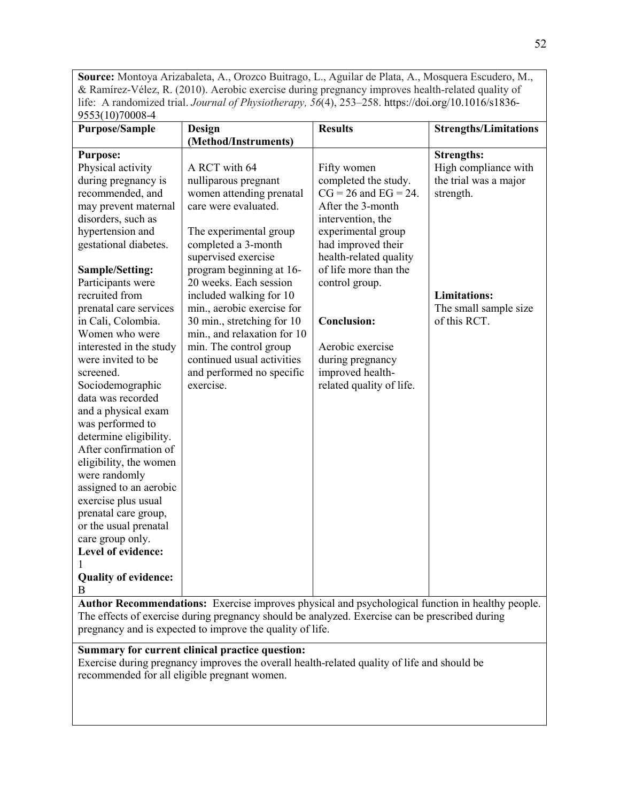**Source:** Montoya Arizabaleta, A., Orozco Buitrago, L., Aguilar de Plata, A., Mosquera Escudero, M., & Ramírez-Vélez, R. (2010). Aerobic exercise during pregnancy improves health-related quality of life: A randomized trial. *Journal of Physiotherapy, 56*(4), 253–258. https://doi.org/10.1016/s1836- 9553(10)70008-4

| <b>Purpose/Sample</b>       | Design                      | <b>Results</b>            | <b>Strengths/Limitations</b> |
|-----------------------------|-----------------------------|---------------------------|------------------------------|
|                             | (Method/Instruments)        |                           |                              |
| <b>Purpose:</b>             |                             |                           | <b>Strengths:</b>            |
| Physical activity           | A RCT with 64               | Fifty women               | High compliance with         |
| during pregnancy is         | nulliparous pregnant        | completed the study.      | the trial was a major        |
| recommended, and            | women attending prenatal    | $CG = 26$ and $EG = 24$ . | strength.                    |
| may prevent maternal        | care were evaluated.        | After the 3-month         |                              |
| disorders, such as          |                             | intervention, the         |                              |
| hypertension and            | The experimental group      | experimental group        |                              |
| gestational diabetes.       | completed a 3-month         | had improved their        |                              |
|                             | supervised exercise         | health-related quality    |                              |
| Sample/Setting:             | program beginning at 16-    | of life more than the     |                              |
| Participants were           | 20 weeks. Each session      | control group.            |                              |
| recruited from              | included walking for 10     |                           | <b>Limitations:</b>          |
| prenatal care services      | min., aerobic exercise for  |                           | The small sample size        |
| in Cali, Colombia.          | 30 min., stretching for 10  | <b>Conclusion:</b>        | of this RCT.                 |
| Women who were              | min., and relaxation for 10 |                           |                              |
| interested in the study     | min. The control group      | Aerobic exercise          |                              |
| were invited to be          | continued usual activities  | during pregnancy          |                              |
| screened.                   | and performed no specific   | improved health-          |                              |
| Sociodemographic            | exercise.                   | related quality of life.  |                              |
| data was recorded           |                             |                           |                              |
| and a physical exam         |                             |                           |                              |
| was performed to            |                             |                           |                              |
| determine eligibility.      |                             |                           |                              |
| After confirmation of       |                             |                           |                              |
| eligibility, the women      |                             |                           |                              |
| were randomly               |                             |                           |                              |
| assigned to an aerobic      |                             |                           |                              |
| exercise plus usual         |                             |                           |                              |
| prenatal care group,        |                             |                           |                              |
| or the usual prenatal       |                             |                           |                              |
| care group only.            |                             |                           |                              |
| Level of evidence:          |                             |                           |                              |
|                             |                             |                           |                              |
| <b>Quality of evidence:</b> |                             |                           |                              |
| B                           |                             |                           |                              |

**Author Recommendations:** Exercise improves physical and psychological function in healthy people. The effects of exercise during pregnancy should be analyzed. Exercise can be prescribed during pregnancy and is expected to improve the quality of life.

# **Summary for current clinical practice question:**

Exercise during pregnancy improves the overall health-related quality of life and should be recommended for all eligible pregnant women.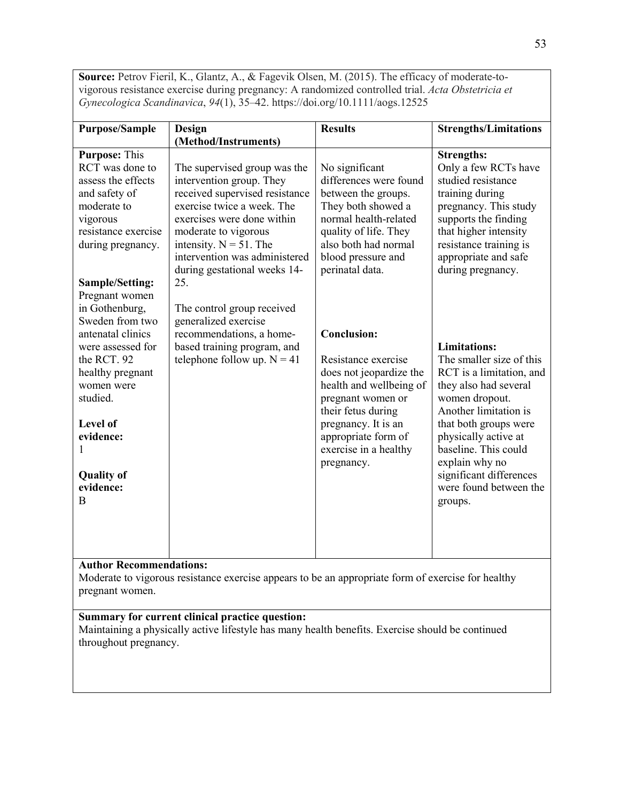**Source:** Petrov Fieril, K., Glantz, A., & Fagevik Olsen, M. (2015). The efficacy of moderate-tovigorous resistance exercise during pregnancy: A randomized controlled trial. *Acta Obstetricia et Gynecologica Scandinavica*, *94*(1), 35–42. https://doi.org/10.1111/aogs.12525

| (Method/Instruments)<br><b>Purpose: This</b><br><b>Strengths:</b><br>RCT was done to<br>The supervised group was the<br>No significant<br>differences were found<br>assess the effects<br>intervention group. They<br>studied resistance<br>received supervised resistance<br>and safety of<br>between the groups.<br>training during<br>moderate to<br>exercise twice a week. The<br>They both showed a<br>normal health-related<br>exercises were done within<br>supports the finding<br>vigorous<br>resistance exercise<br>quality of life. They<br>that higher intensity<br>moderate to vigorous<br>also both had normal<br>intensity. $N = 51$ . The<br>resistance training is<br>during pregnancy.<br>intervention was administered<br>appropriate and safe<br>blood pressure and<br>perinatal data.<br>during pregnancy.<br>during gestational weeks 14-<br>25.<br><b>Sample/Setting:</b><br>Pregnant women<br>in Gothenburg,<br>The control group received<br>Sweden from two<br>generalized exercise<br>antenatal clinics<br>recommendations, a home-<br><b>Conclusion:</b><br>based training program, and<br><b>Limitations:</b><br>were assessed for<br>telephone follow up. $N = 41$<br>the RCT. 92<br>Resistance exercise<br>does not jeopardize the<br>healthy pregnant<br>health and wellbeing of<br>they also had several<br>women were<br>studied.<br>women dropout.<br>pregnant women or<br>Another limitation is<br>their fetus during<br>pregnancy. It is an<br>Level of<br>physically active at<br>appropriate form of<br>evidence:<br>baseline. This could<br>exercise in a healthy<br>explain why no<br>pregnancy.<br><b>Quality of</b><br>evidence:<br>B<br>groups. | <b>Purpose/Sample</b> | Design | <b>Results</b> | <b>Strengths/Limitations</b>                                                                                                       |
|---------------------------------------------------------------------------------------------------------------------------------------------------------------------------------------------------------------------------------------------------------------------------------------------------------------------------------------------------------------------------------------------------------------------------------------------------------------------------------------------------------------------------------------------------------------------------------------------------------------------------------------------------------------------------------------------------------------------------------------------------------------------------------------------------------------------------------------------------------------------------------------------------------------------------------------------------------------------------------------------------------------------------------------------------------------------------------------------------------------------------------------------------------------------------------------------------------------------------------------------------------------------------------------------------------------------------------------------------------------------------------------------------------------------------------------------------------------------------------------------------------------------------------------------------------------------------------------------------------------------------------------------------------------------------------------------|-----------------------|--------|----------------|------------------------------------------------------------------------------------------------------------------------------------|
|                                                                                                                                                                                                                                                                                                                                                                                                                                                                                                                                                                                                                                                                                                                                                                                                                                                                                                                                                                                                                                                                                                                                                                                                                                                                                                                                                                                                                                                                                                                                                                                                                                                                                             |                       |        |                |                                                                                                                                    |
|                                                                                                                                                                                                                                                                                                                                                                                                                                                                                                                                                                                                                                                                                                                                                                                                                                                                                                                                                                                                                                                                                                                                                                                                                                                                                                                                                                                                                                                                                                                                                                                                                                                                                             |                       |        |                | Only a few RCTs have<br>pregnancy. This study                                                                                      |
| <b>Author Recommendations:</b>                                                                                                                                                                                                                                                                                                                                                                                                                                                                                                                                                                                                                                                                                                                                                                                                                                                                                                                                                                                                                                                                                                                                                                                                                                                                                                                                                                                                                                                                                                                                                                                                                                                              |                       |        |                | The smaller size of this<br>RCT is a limitation, and<br>that both groups were<br>significant differences<br>were found between the |

Moderate to vigorous resistance exercise appears to be an appropriate form of exercise for healthy pregnant women.

# **Summary for current clinical practice question:**

Maintaining a physically active lifestyle has many health benefits. Exercise should be continued throughout pregnancy.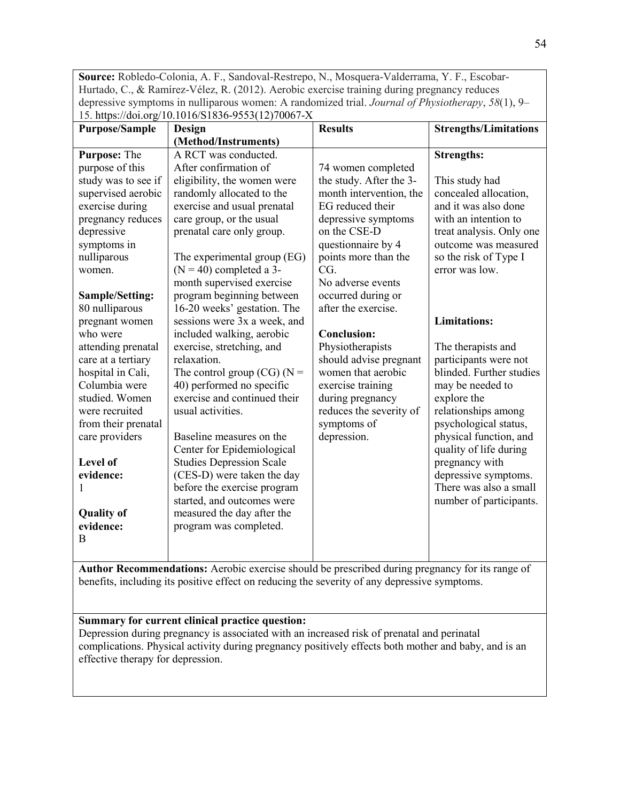**Source:** Robledo-Colonia, A. F., Sandoval-Restrepo, N., Mosquera-Valderrama, Y. F., Escobar-Hurtado, C., & Ramírez-Vélez, R. (2012). Aerobic exercise training during pregnancy reduces depressive symptoms in nulliparous women: A randomized trial. *Journal of Physiotherapy*, *58*(1), 9–  $15. \text{ https://doi.org/10.1016/S1836-9553(12)70067-X}$ 

| <b>Purpose/Sample</b>  | 10. mps adnots 10.1010.01050 9000(12). 000.<br>Design | <b>Results</b>          | <b>Strengths/Limitations</b> |
|------------------------|-------------------------------------------------------|-------------------------|------------------------------|
|                        | (Method/Instruments)                                  |                         |                              |
| Purpose: The           | A RCT was conducted.                                  |                         | <b>Strengths:</b>            |
| purpose of this        | After confirmation of                                 | 74 women completed      |                              |
| study was to see if    | eligibility, the women were                           | the study. After the 3- | This study had               |
| supervised aerobic     | randomly allocated to the                             | month intervention, the | concealed allocation,        |
| exercise during        | exercise and usual prenatal                           | EG reduced their        | and it was also done         |
| pregnancy reduces      | care group, or the usual                              | depressive symptoms     | with an intention to         |
| depressive             | prenatal care only group.                             | on the CSE-D            | treat analysis. Only one     |
| symptoms in            |                                                       | questionnaire by 4      | outcome was measured         |
| nulliparous            | The experimental group (EG)                           | points more than the    | so the risk of Type I        |
| women.                 | $(N = 40)$ completed a 3-                             | CG.                     | error was low.               |
|                        | month supervised exercise                             | No adverse events       |                              |
| <b>Sample/Setting:</b> | program beginning between                             | occurred during or      |                              |
| 80 nulliparous         | 16-20 weeks' gestation. The                           | after the exercise.     |                              |
| pregnant women         | sessions were 3x a week, and                          |                         | <b>Limitations:</b>          |
| who were               | included walking, aerobic                             | <b>Conclusion:</b>      |                              |
| attending prenatal     | exercise, stretching, and                             | Physiotherapists        | The therapists and           |
| care at a tertiary     | relaxation.                                           | should advise pregnant  | participants were not        |
| hospital in Cali,      | The control group (CG) ( $N =$                        | women that aerobic      | blinded. Further studies     |
| Columbia were          | 40) performed no specific                             | exercise training       | may be needed to             |
| studied. Women         | exercise and continued their                          | during pregnancy        | explore the                  |
| were recruited         | usual activities.                                     | reduces the severity of | relationships among          |
| from their prenatal    |                                                       | symptoms of             | psychological status,        |
| care providers         | Baseline measures on the                              | depression.             | physical function, and       |
|                        | Center for Epidemiological                            |                         | quality of life during       |
| Level of               | <b>Studies Depression Scale</b>                       |                         | pregnancy with               |
| evidence:              | (CES-D) were taken the day                            |                         | depressive symptoms.         |
|                        | before the exercise program                           |                         | There was also a small       |
|                        | started, and outcomes were                            |                         | number of participants.      |
| <b>Quality of</b>      | measured the day after the                            |                         |                              |
| evidence:              | program was completed.                                |                         |                              |
| B                      |                                                       |                         |                              |
|                        |                                                       |                         |                              |

**Author Recommendations:** Aerobic exercise should be prescribed during pregnancy for its range of benefits, including its positive effect on reducing the severity of any depressive symptoms.

# **Summary for current clinical practice question:**

Depression during pregnancy is associated with an increased risk of prenatal and perinatal complications. Physical activity during pregnancy positively effects both mother and baby, and is an effective therapy for depression.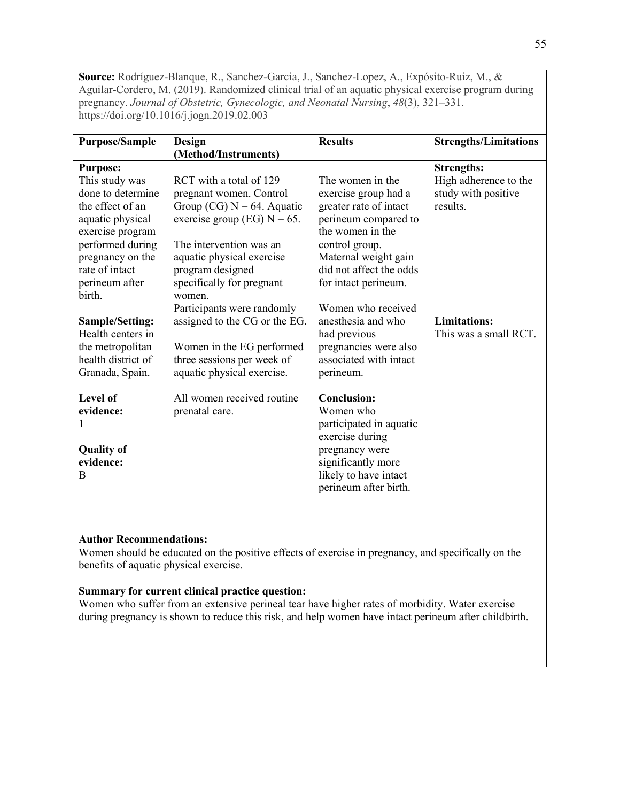**Source:** Rodríguez-Blanque, R., Sanchez-Garcia, J., Sanchez-Lopez, A., Expósito-Ruiz, M., & Aguilar-Cordero, M. (2019). Randomized clinical trial of an aquatic physical exercise program during pregnancy. *Journal of Obstetric, Gynecologic, and Neonatal Nursing*, *48*(3), 321–331. https://doi.org/10.1016/j.jogn.2019.02.003

| <b>Purpose/Sample</b>                                                                                                                                                                                    | Design                                                                                                                                                                                                                                   | <b>Results</b>                                                                                                                                                                                              | <b>Strengths/Limitations</b>                                                  |
|----------------------------------------------------------------------------------------------------------------------------------------------------------------------------------------------------------|------------------------------------------------------------------------------------------------------------------------------------------------------------------------------------------------------------------------------------------|-------------------------------------------------------------------------------------------------------------------------------------------------------------------------------------------------------------|-------------------------------------------------------------------------------|
|                                                                                                                                                                                                          | (Method/Instruments)                                                                                                                                                                                                                     |                                                                                                                                                                                                             |                                                                               |
| <b>Purpose:</b><br>This study was<br>done to determine<br>the effect of an<br>aquatic physical<br>exercise program<br>performed during<br>pregnancy on the<br>rate of intact<br>perineum after<br>birth. | RCT with a total of 129<br>pregnant women. Control<br>Group (CG) $N = 64$ . Aquatic<br>exercise group (EG) $N = 65$ .<br>The intervention was an<br>aquatic physical exercise<br>program designed<br>specifically for pregnant<br>women. | The women in the<br>exercise group had a<br>greater rate of intact<br>perineum compared to<br>the women in the<br>control group.<br>Maternal weight gain<br>did not affect the odds<br>for intact perineum. | <b>Strengths:</b><br>High adherence to the<br>study with positive<br>results. |
| <b>Sample/Setting:</b><br>Health centers in<br>the metropolitan<br>health district of<br>Granada, Spain.                                                                                                 | Participants were randomly<br>assigned to the CG or the EG.<br>Women in the EG performed<br>three sessions per week of<br>aquatic physical exercise.                                                                                     | Women who received<br>anesthesia and who<br>had previous<br>pregnancies were also<br>associated with intact<br>perineum.                                                                                    | <b>Limitations:</b><br>This was a small RCT.                                  |
| Level of<br>evidence:<br><b>Quality of</b><br>evidence:<br>B                                                                                                                                             | All women received routine<br>prenatal care.                                                                                                                                                                                             | <b>Conclusion:</b><br>Women who<br>participated in aquatic<br>exercise during<br>pregnancy were<br>significantly more<br>likely to have intact<br>perineum after birth.                                     |                                                                               |

# **Author Recommendations:**

Women should be educated on the positive effects of exercise in pregnancy, and specifically on the benefits of aquatic physical exercise.

# **Summary for current clinical practice question:**

Women who suffer from an extensive perineal tear have higher rates of morbidity. Water exercise during pregnancy is shown to reduce this risk, and help women have intact perineum after childbirth.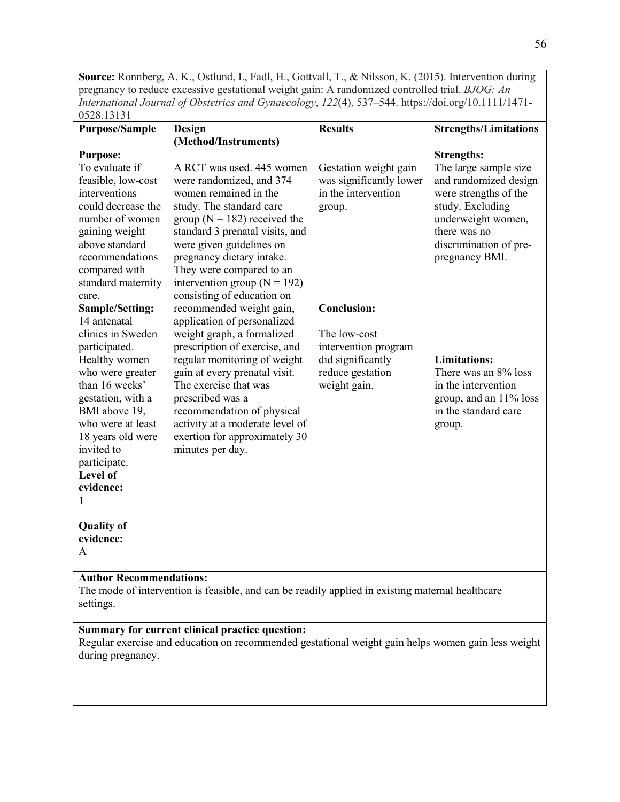**Source:** Ronnberg, A. K., Ostlund, I., Fadl, H., Gottvall, T., & Nilsson, K. (2015). Intervention during pregnancy to reduce excessive gestational weight gain: A randomized controlled trial. *BJOG: An International Journal of Obstetrics and Gynaecology*, *122*(4), 537–544. https://doi.org/10.1111/1471- 0528.13131

| <b>Purpose/Sample</b> | Design                           | <b>Results</b>          | <b>Strengths/Limitations</b> |
|-----------------------|----------------------------------|-------------------------|------------------------------|
|                       | (Method/Instruments)             |                         |                              |
| <b>Purpose:</b>       |                                  |                         | <b>Strengths:</b>            |
| To evaluate if        | A RCT was used. 445 women        | Gestation weight gain   | The large sample size        |
| feasible, low-cost    | were randomized, and 374         | was significantly lower | and randomized design        |
| interventions         | women remained in the            | in the intervention     | were strengths of the        |
| could decrease the    | study. The standard care         | group.                  | study. Excluding             |
| number of women       | group ( $N = 182$ ) received the |                         | underweight women,           |
| gaining weight        | standard 3 prenatal visits, and  |                         | there was no                 |
| above standard        | were given guidelines on         |                         | discrimination of pre-       |
| recommendations       | pregnancy dietary intake.        |                         | pregnancy BMI.               |
| compared with         | They were compared to an         |                         |                              |
| standard maternity    | intervention group ( $N = 192$ ) |                         |                              |
| care.                 | consisting of education on       |                         |                              |
| Sample/Setting:       | recommended weight gain,         | <b>Conclusion:</b>      |                              |
| 14 antenatal          | application of personalized      |                         |                              |
| clinics in Sweden     | weight graph, a formalized       | The low-cost            |                              |
| participated.         | prescription of exercise, and    | intervention program    |                              |
| Healthy women         | regular monitoring of weight     | did significantly       | <b>Limitations:</b>          |
| who were greater      | gain at every prenatal visit.    | reduce gestation        | There was an 8% loss         |
| than 16 weeks'        | The exercise that was            | weight gain.            | in the intervention          |
| gestation, with a     | prescribed was a                 |                         | group, and an 11% loss       |
| BMI above 19,         | recommendation of physical       |                         | in the standard care         |
| who were at least     | activity at a moderate level of  |                         | group.                       |
| 18 years old were     | exertion for approximately 30    |                         |                              |
| invited to            | minutes per day.                 |                         |                              |
| participate.          |                                  |                         |                              |
| <b>Level of</b>       |                                  |                         |                              |
| evidence:             |                                  |                         |                              |
|                       |                                  |                         |                              |
| <b>Quality of</b>     |                                  |                         |                              |
| evidence:             |                                  |                         |                              |
| A                     |                                  |                         |                              |
|                       |                                  |                         |                              |
|                       |                                  |                         |                              |

# **Author Recommendations:**

The mode of intervention is feasible, and can be readily applied in existing maternal healthcare settings.

# **Summary for current clinical practice question:**

Regular exercise and education on recommended gestational weight gain helps women gain less weight during pregnancy.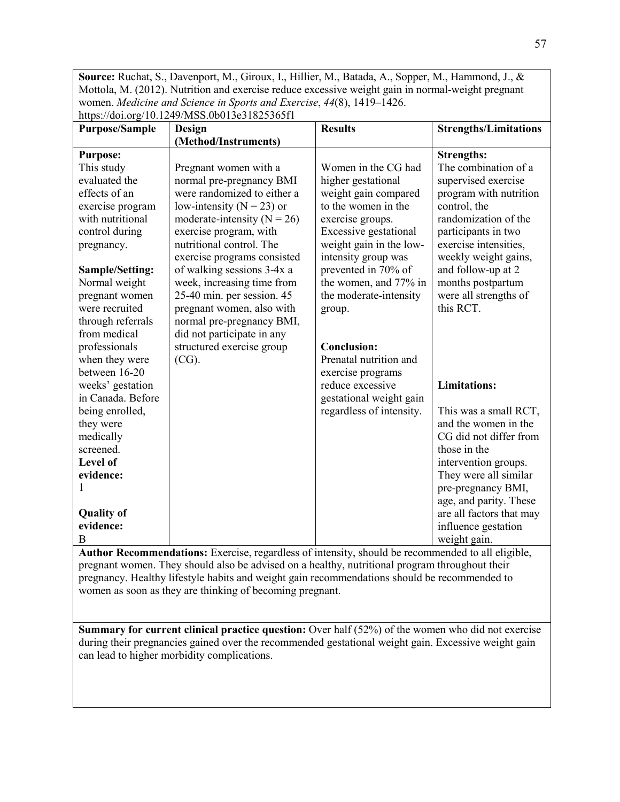**Source:** Ruchat, S., Davenport, M., Giroux, I., Hillier, M., Batada, A., Sopper, M., Hammond, J., & Mottola, M. (2012). Nutrition and exercise reduce excessive weight gain in normal-weight pregnant women. *Medicine and Science in Sports and Exercise*, *44*(8), 1419–1426. https://doi.org/10.1249/MSS.0b013e31825365f1

|                        | $\mu$                           | <b>Results</b>           |                              |
|------------------------|---------------------------------|--------------------------|------------------------------|
| <b>Purpose/Sample</b>  | Design                          |                          | <b>Strengths/Limitations</b> |
|                        | (Method/Instruments)            |                          |                              |
| <b>Purpose:</b>        |                                 |                          | <b>Strengths:</b>            |
| This study             | Pregnant women with a           | Women in the CG had      | The combination of a         |
| evaluated the          | normal pre-pregnancy BMI        | higher gestational       | supervised exercise          |
| effects of an          | were randomized to either a     | weight gain compared     | program with nutrition       |
| exercise program       | low-intensity ( $N = 23$ ) or   | to the women in the      | control, the                 |
| with nutritional       | moderate-intensity ( $N = 26$ ) | exercise groups.         | randomization of the         |
| control during         | exercise program, with          | Excessive gestational    | participants in two          |
| pregnancy.             | nutritional control. The        | weight gain in the low-  | exercise intensities,        |
|                        | exercise programs consisted     | intensity group was      | weekly weight gains,         |
| <b>Sample/Setting:</b> | of walking sessions 3-4x a      | prevented in 70% of      | and follow-up at 2           |
| Normal weight          | week, increasing time from      | the women, and 77% in    | months postpartum            |
| pregnant women         | 25-40 min. per session. 45      | the moderate-intensity   | were all strengths of        |
| were recruited         | pregnant women, also with       | group.                   | this RCT.                    |
| through referrals      | normal pre-pregnancy BMI,       |                          |                              |
| from medical           | did not participate in any      |                          |                              |
| professionals          | structured exercise group       | <b>Conclusion:</b>       |                              |
| when they were         | $(CG)$ .                        | Prenatal nutrition and   |                              |
| between 16-20          |                                 | exercise programs        |                              |
| weeks' gestation       |                                 | reduce excessive         | <b>Limitations:</b>          |
| in Canada. Before      |                                 | gestational weight gain  |                              |
| being enrolled,        |                                 | regardless of intensity. | This was a small RCT,        |
| they were              |                                 |                          | and the women in the         |
| medically              |                                 |                          | CG did not differ from       |
| screened.              |                                 |                          | those in the                 |
| Level of               |                                 |                          | intervention groups.         |
| evidence:              |                                 |                          | They were all similar        |
|                        |                                 |                          |                              |
|                        |                                 |                          | pre-pregnancy BMI,           |
|                        |                                 |                          | age, and parity. These       |
| <b>Quality of</b>      |                                 |                          | are all factors that may     |
| evidence:              |                                 |                          | influence gestation          |
| B                      |                                 |                          | weight gain.                 |

**Author Recommendations:** Exercise, regardless of intensity, should be recommended to all eligible, pregnant women. They should also be advised on a healthy, nutritional program throughout their pregnancy. Healthy lifestyle habits and weight gain recommendations should be recommended to women as soon as they are thinking of becoming pregnant.

**Summary for current clinical practice question:** Over half (52%) of the women who did not exercise during their pregnancies gained over the recommended gestational weight gain. Excessive weight gain can lead to higher morbidity complications.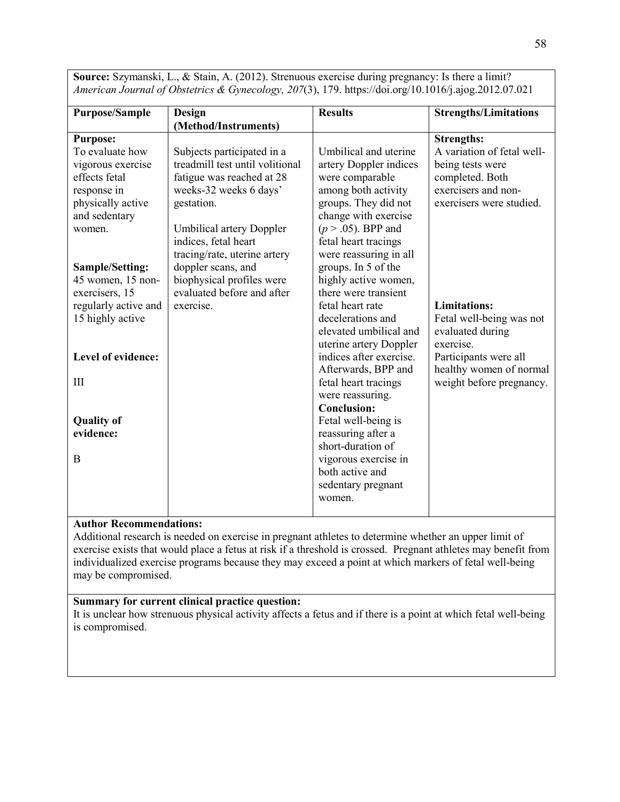**Purpose/Sample Design (Method/Instruments) Results Strengths/Limitations Purpose:** To evaluate how vigorous exercise effects fetal response in physically active and sedentary women. **Sample/Setting:** 45 women, 15 nonexercisers, 15 regularly active and 15 highly active **Level of evidence:** III **Quality of evidence:** B Subjects participated in a treadmill test until volitional fatigue was reached at 28 weeks-32 weeks 6 days' gestation. Umbilical artery Doppler indices, fetal heart tracing/rate, uterine artery doppler scans, and biophysical profiles were evaluated before and after exercise. Umbilical and uterine artery Doppler indices were comparable among both activity groups. They did not change with exercise (*p* > .05). BPP and fetal heart tracings were reassuring in all groups. In 5 of the highly active women, there were transient fetal heart rate decelerations and elevated umbilical and uterine artery Doppler indices after exercise. Afterwards, BPP and fetal heart tracings were reassuring. **Conclusion:** Fetal well-being is reassuring after a short-duration of vigorous exercise in both active and sedentary pregnant women. **Strengths:** A variation of fetal wellbeing tests were completed. Both exercisers and nonexercisers were studied. **Limitations:** Fetal well-being was not evaluated during exercise. Participants were all healthy women of normal weight before pregnancy.

**Source:** Szymanski, L., & Stain, A. (2012). Strenuous exercise during pregnancy: Is there a limit? *American Journal of Obstetrics & Gynecology, 207*(3), 179. https://doi.org/10.1016/j.ajog.2012.07.021

# **Author Recommendations:**

Additional research is needed on exercise in pregnant athletes to determine whether an upper limit of exercise exists that would place a fetus at risk if a threshold is crossed. Pregnant athletes may benefit from individualized exercise programs because they may exceed a point at which markers of fetal well-being may be compromised.

# **Summary for current clinical practice question:**

It is unclear how strenuous physical activity affects a fetus and if there is a point at which fetal well-being is compromised.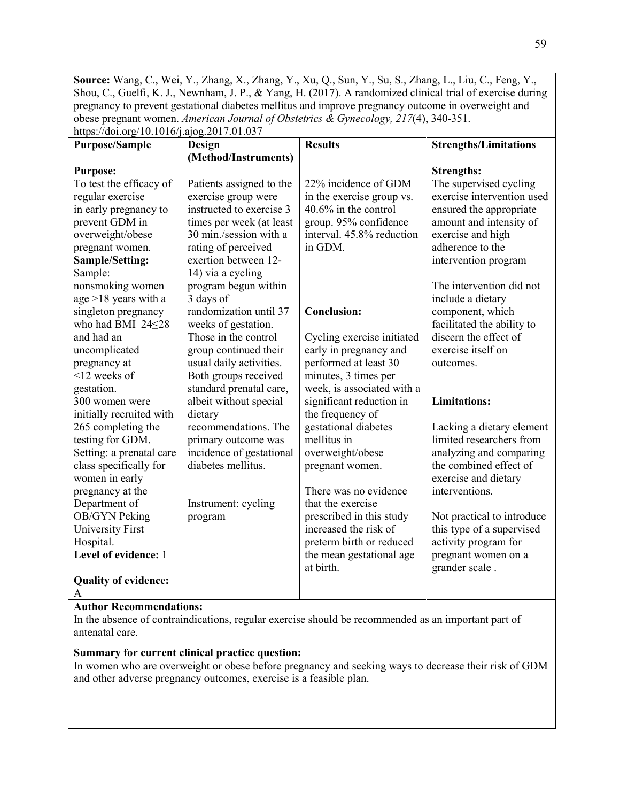**Source:** Wang, C., Wei, Y., Zhang, X., Zhang, Y., Xu, Q., Sun, Y., Su, S., Zhang, L., Liu, C., Feng, Y., Shou, C., Guelfi, K. J., Newnham, J. P., & Yang, H. (2017). A randomized clinical trial of exercise during pregnancy to prevent gestational diabetes mellitus and improve pregnancy outcome in overweight and obese pregnant women. *American Journal of Obstetrics & Gynecology, 217*(4), 340-351. https://doi.org/10.1016/j.ajog.2017.01.037

| <b>Purpose/Sample</b>       | nupon, aon. 15 10. 1010   1010   1021 11021 1103<br>Design | <b>Results</b>             | <b>Strengths/Limitations</b> |
|-----------------------------|------------------------------------------------------------|----------------------------|------------------------------|
|                             | (Method/Instruments)                                       |                            |                              |
| <b>Purpose:</b>             |                                                            |                            | <b>Strengths:</b>            |
| To test the efficacy of     | Patients assigned to the                                   | 22% incidence of GDM       | The supervised cycling       |
| regular exercise            | exercise group were                                        | in the exercise group vs.  | exercise intervention used   |
| in early pregnancy to       | instructed to exercise 3                                   | $40.6\%$ in the control    | ensured the appropriate      |
| prevent GDM in              | times per week (at least                                   | group. 95% confidence      | amount and intensity of      |
| overweight/obese            | 30 min./session with a                                     | interval. 45.8% reduction  | exercise and high            |
| pregnant women.             | rating of perceived                                        | in GDM.                    | adherence to the             |
| Sample/Setting:             | exertion between 12-                                       |                            | intervention program         |
| Sample:                     | 14) via a cycling                                          |                            |                              |
| nonsmoking women            | program begun within                                       |                            | The intervention did not     |
| age $>18$ years with a      | 3 days of                                                  |                            | include a dietary            |
| singleton pregnancy         | randomization until 37                                     | <b>Conclusion:</b>         | component, which             |
| who had BMI 24<28           | weeks of gestation.                                        |                            | facilitated the ability to   |
| and had an                  | Those in the control                                       | Cycling exercise initiated | discern the effect of        |
| uncomplicated               | group continued their                                      | early in pregnancy and     | exercise itself on           |
| pregnancy at                | usual daily activities.                                    | performed at least 30      | outcomes.                    |
| $12$ weeks of               | Both groups received                                       | minutes, 3 times per       |                              |
| gestation.                  | standard prenatal care,                                    | week, is associated with a |                              |
| 300 women were              | albeit without special                                     | significant reduction in   | <b>Limitations:</b>          |
| initially recruited with    | dietary                                                    | the frequency of           |                              |
| 265 completing the          | recommendations. The                                       | gestational diabetes       | Lacking a dietary element    |
| testing for GDM.            | primary outcome was                                        | mellitus in                | limited researchers from     |
| Setting: a prenatal care    | incidence of gestational                                   | overweight/obese           | analyzing and comparing      |
| class specifically for      | diabetes mellitus.                                         | pregnant women.            | the combined effect of       |
| women in early              |                                                            |                            | exercise and dietary         |
| pregnancy at the            |                                                            | There was no evidence      | interventions.               |
| Department of               | Instrument: cycling                                        | that the exercise          |                              |
| OB/GYN Peking               | program                                                    | prescribed in this study   | Not practical to introduce   |
| <b>University First</b>     |                                                            | increased the risk of      | this type of a supervised    |
| Hospital.                   |                                                            | preterm birth or reduced   | activity program for         |
| Level of evidence: 1        |                                                            | the mean gestational age   | pregnant women on a          |
|                             |                                                            | at birth.                  | grander scale.               |
| <b>Quality of evidence:</b> |                                                            |                            |                              |
| А                           |                                                            |                            |                              |

#### **Author Recommendations:**

In the absence of contraindications, regular exercise should be recommended as an important part of antenatal care.

#### **Summary for current clinical practice question:**

In women who are overweight or obese before pregnancy and seeking ways to decrease their risk of GDM and other adverse pregnancy outcomes, exercise is a feasible plan.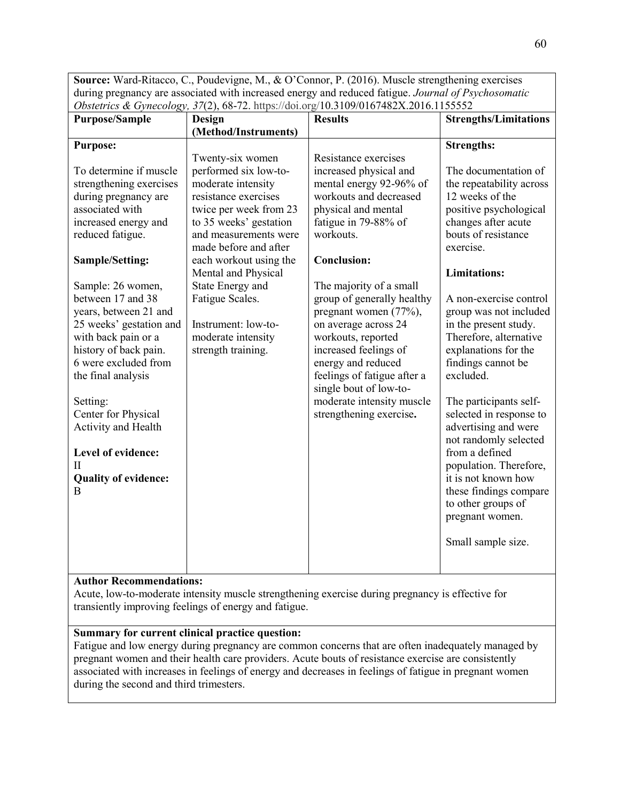**Source:** Ward-Ritacco, C., Poudevigne, M., & O'Connor, P. (2016). Muscle strengthening exercises during pregnancy are associated with increased energy and reduced fatigue. *Journal of Psychosomatic Obstetrics & Gynecology, 37*(2), 68-72. https://doi.org/10.3109/0167482X.2016.1155552

# **Author Recommendations:**

Acute, low-to-moderate intensity muscle strengthening exercise during pregnancy is effective for transiently improving feelings of energy and fatigue.

# **Summary for current clinical practice question:**

Fatigue and low energy during pregnancy are common concerns that are often inadequately managed by pregnant women and their health care providers. Acute bouts of resistance exercise are consistently associated with increases in feelings of energy and decreases in feelings of fatigue in pregnant women during the second and third trimesters.